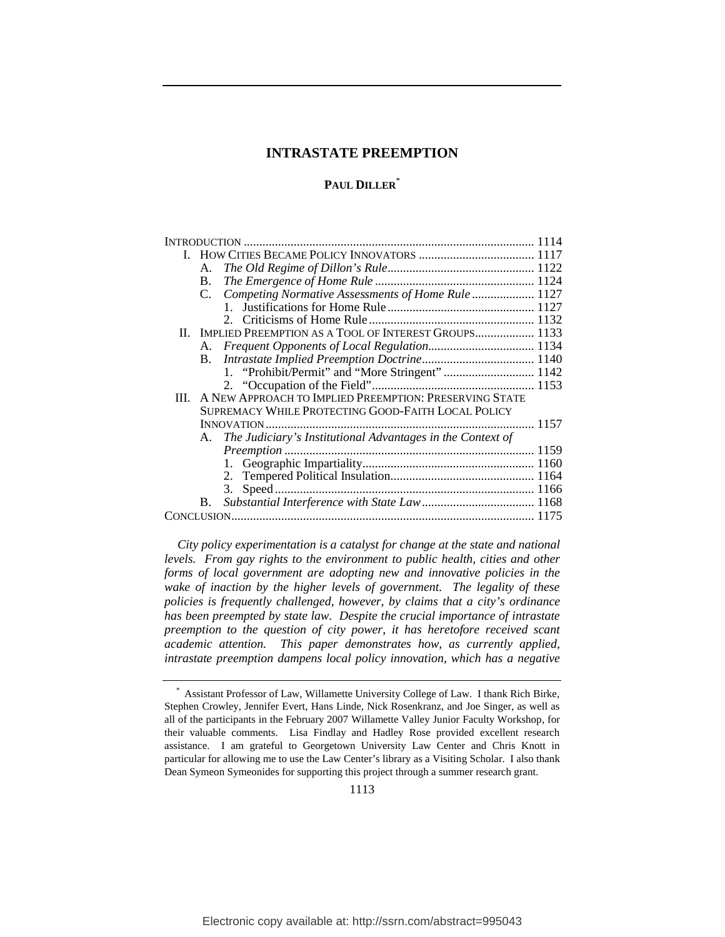# **PAUL DILLER**\*

|      | А.          |                                                               |  |
|------|-------------|---------------------------------------------------------------|--|
|      | Β.          |                                                               |  |
|      | $C_{\cdot}$ | Competing Normative Assessments of Home Rule  1127            |  |
|      |             |                                                               |  |
|      |             |                                                               |  |
|      |             | II. IMPLIED PREEMPTION AS A TOOL OF INTEREST GROUPS 1133      |  |
|      |             |                                                               |  |
|      | <b>B.</b>   |                                                               |  |
|      |             | 1. "Prohibit/Permit" and "More Stringent"  1142               |  |
|      |             |                                                               |  |
| III. |             | A NEW APPROACH TO IMPLIED PREEMPTION: PRESERVING STATE        |  |
|      |             | SUPREMACY WHILE PROTECTING GOOD-FAITH LOCAL POLICY            |  |
|      |             |                                                               |  |
|      |             | A. The Judiciary's Institutional Advantages in the Context of |  |
|      |             |                                                               |  |
|      |             |                                                               |  |
|      |             |                                                               |  |
|      |             |                                                               |  |
|      | В.          |                                                               |  |
|      |             |                                                               |  |
|      |             |                                                               |  |

*City policy experimentation is a catalyst for change at the state and national levels. From gay rights to the environment to public health, cities and other forms of local government are adopting new and innovative policies in the wake of inaction by the higher levels of government. The legality of these policies is frequently challenged, however, by claims that a city's ordinance has been preempted by state law. Despite the crucial importance of intrastate preemption to the question of city power, it has heretofore received scant academic attention. This paper demonstrates how, as currently applied, intrastate preemption dampens local policy innovation, which has a negative* 

1113

Assistant Professor of Law, Willamette University College of Law. I thank Rich Birke, Stephen Crowley, Jennifer Evert, Hans Linde, Nick Rosenkranz, and Joe Singer, as well as all of the participants in the February 2007 Willamette Valley Junior Faculty Workshop, for their valuable comments. Lisa Findlay and Hadley Rose provided excellent research assistance. I am grateful to Georgetown University Law Center and Chris Knott in particular for allowing me to use the Law Center's library as a Visiting Scholar. I also thank Dean Symeon Symeonides for supporting this project through a summer research grant.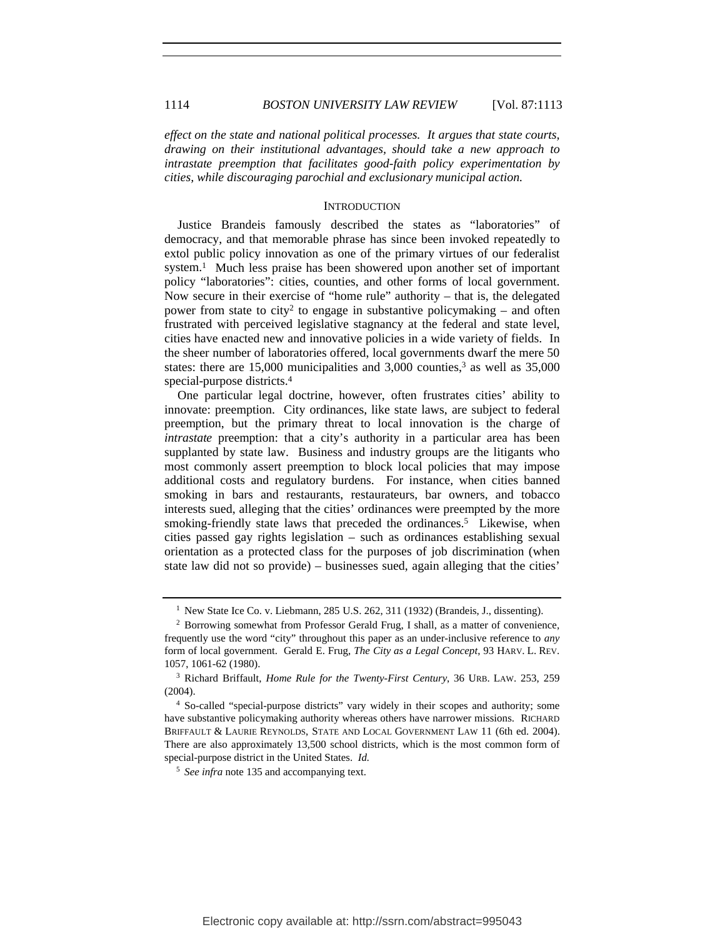*effect on the state and national political processes. It argues that state courts, drawing on their institutional advantages, should take a new approach to intrastate preemption that facilitates good-faith policy experimentation by cities, while discouraging parochial and exclusionary municipal action.*

### **INTRODUCTION**

Justice Brandeis famously described the states as "laboratories" of democracy, and that memorable phrase has since been invoked repeatedly to extol public policy innovation as one of the primary virtues of our federalist system.<sup>1</sup> Much less praise has been showered upon another set of important policy "laboratories": cities, counties, and other forms of local government. Now secure in their exercise of "home rule" authority – that is, the delegated power from state to city<sup>2</sup> to engage in substantive policymaking – and often frustrated with perceived legislative stagnancy at the federal and state level, cities have enacted new and innovative policies in a wide variety of fields. In the sheer number of laboratories offered, local governments dwarf the mere 50 states: there are  $15,000$  municipalities and  $3,000$  counties,<sup>3</sup> as well as  $35,000$ special-purpose districts.4

One particular legal doctrine, however, often frustrates cities' ability to innovate: preemption. City ordinances, like state laws, are subject to federal preemption, but the primary threat to local innovation is the charge of *intrastate* preemption: that a city's authority in a particular area has been supplanted by state law. Business and industry groups are the litigants who most commonly assert preemption to block local policies that may impose additional costs and regulatory burdens. For instance, when cities banned smoking in bars and restaurants, restaurateurs, bar owners, and tobacco interests sued, alleging that the cities' ordinances were preempted by the more smoking-friendly state laws that preceded the ordinances.<sup>5</sup> Likewise, when cities passed gay rights legislation – such as ordinances establishing sexual orientation as a protected class for the purposes of job discrimination (when state law did not so provide) – businesses sued, again alleging that the cities'

<sup>&</sup>lt;sup>1</sup> New State Ice Co. v. Liebmann, 285 U.S. 262, 311 (1932) (Brandeis, J., dissenting).

<sup>2</sup> Borrowing somewhat from Professor Gerald Frug, I shall, as a matter of convenience, frequently use the word "city" throughout this paper as an under-inclusive reference to *any* form of local government. Gerald E. Frug, *The City as a Legal Concept*, 93 HARV. L. REV. 1057, 1061-62 (1980).

<sup>3</sup> Richard Briffault, *Home Rule for the Twenty-First Century*, 36 URB. LAW. 253, 259 (2004).

<sup>4</sup> So-called "special-purpose districts" vary widely in their scopes and authority; some have substantive policymaking authority whereas others have narrower missions. RICHARD BRIFFAULT & LAURIE REYNOLDS, STATE AND LOCAL GOVERNMENT LAW 11 (6th ed. 2004). There are also approximately 13,500 school districts, which is the most common form of special-purpose district in the United States. *Id.*

<sup>5</sup> *See infra* note 135 and accompanying text.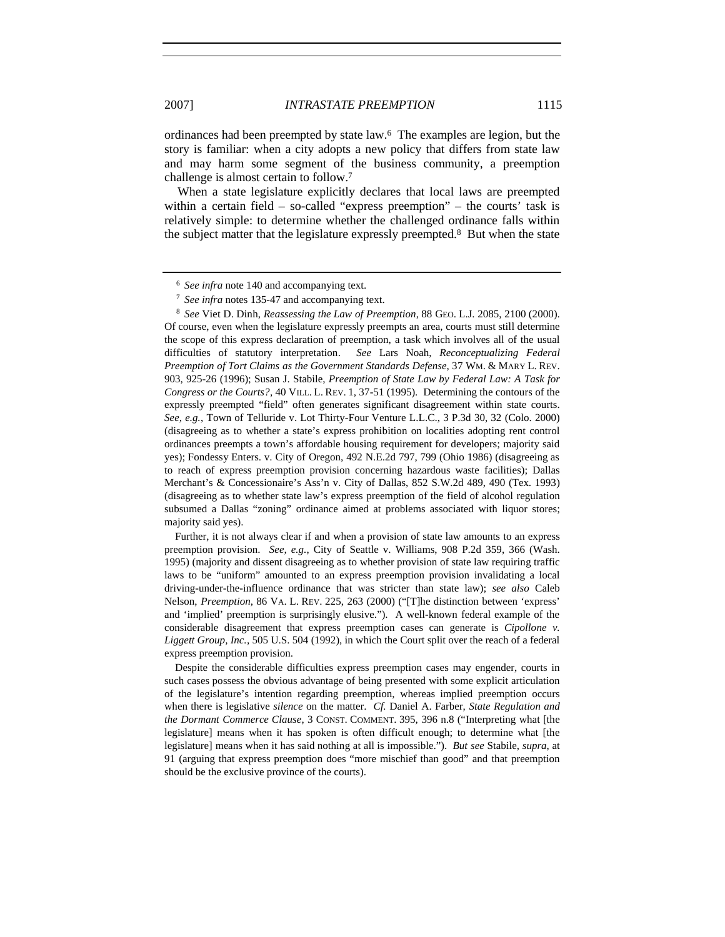ordinances had been preempted by state law.6 The examples are legion, but the story is familiar: when a city adopts a new policy that differs from state law and may harm some segment of the business community, a preemption challenge is almost certain to follow.7

When a state legislature explicitly declares that local laws are preempted within a certain field – so-called "express preemption" – the courts' task is relatively simple: to determine whether the challenged ordinance falls within the subject matter that the legislature expressly preempted.<sup>8</sup> But when the state

<sup>8</sup> *See* Viet D. Dinh, *Reassessing the Law of Preemption*, 88 GEO. L.J. 2085, 2100 (2000). Of course, even when the legislature expressly preempts an area, courts must still determine the scope of this express declaration of preemption, a task which involves all of the usual difficulties of statutory interpretation. *See* Lars Noah, *Reconceptualizing Federal Preemption of Tort Claims as the Government Standards Defense*, 37 WM. & MARY L. REV. 903, 925-26 (1996); Susan J. Stabile, *Preemption of State Law by Federal Law: A Task for Congress or the Courts?*, 40 VILL. L. REV. 1, 37-51 (1995). Determining the contours of the expressly preempted "field" often generates significant disagreement within state courts. *See, e.g.*, Town of Telluride v. Lot Thirty-Four Venture L.L.C., 3 P.3d 30, 32 (Colo. 2000) (disagreeing as to whether a state's express prohibition on localities adopting rent control ordinances preempts a town's affordable housing requirement for developers; majority said yes); Fondessy Enters. v. City of Oregon, 492 N.E.2d 797, 799 (Ohio 1986) (disagreeing as to reach of express preemption provision concerning hazardous waste facilities); Dallas Merchant's & Concessionaire's Ass'n v. City of Dallas, 852 S.W.2d 489, 490 (Tex. 1993) (disagreeing as to whether state law's express preemption of the field of alcohol regulation subsumed a Dallas "zoning" ordinance aimed at problems associated with liquor stores; majority said yes).

Further, it is not always clear if and when a provision of state law amounts to an express preemption provision. *See, e.g.*, City of Seattle v. Williams, 908 P.2d 359, 366 (Wash. 1995) (majority and dissent disagreeing as to whether provision of state law requiring traffic laws to be "uniform" amounted to an express preemption provision invalidating a local driving-under-the-influence ordinance that was stricter than state law); *see also* Caleb Nelson, *Preemption*, 86 VA. L. REV. 225, 263 (2000) ("[T]he distinction between 'express' and 'implied' preemption is surprisingly elusive."). A well-known federal example of the considerable disagreement that express preemption cases can generate is *Cipollone v. Liggett Group, Inc.*, 505 U.S. 504 (1992), in which the Court split over the reach of a federal express preemption provision.

Despite the considerable difficulties express preemption cases may engender, courts in such cases possess the obvious advantage of being presented with some explicit articulation of the legislature's intention regarding preemption, whereas implied preemption occurs when there is legislative *silence* on the matter. *Cf.* Daniel A. Farber, *State Regulation and the Dormant Commerce Clause*, 3 CONST. COMMENT. 395, 396 n.8 ("Interpreting what [the legislature] means when it has spoken is often difficult enough; to determine what [the legislature] means when it has said nothing at all is impossible."). *But see* Stabile, *supra*, at 91 (arguing that express preemption does "more mischief than good" and that preemption should be the exclusive province of the courts).

<sup>6</sup> *See infra* note 140 and accompanying text.

<sup>7</sup> *See infra* notes 135-47 and accompanying text.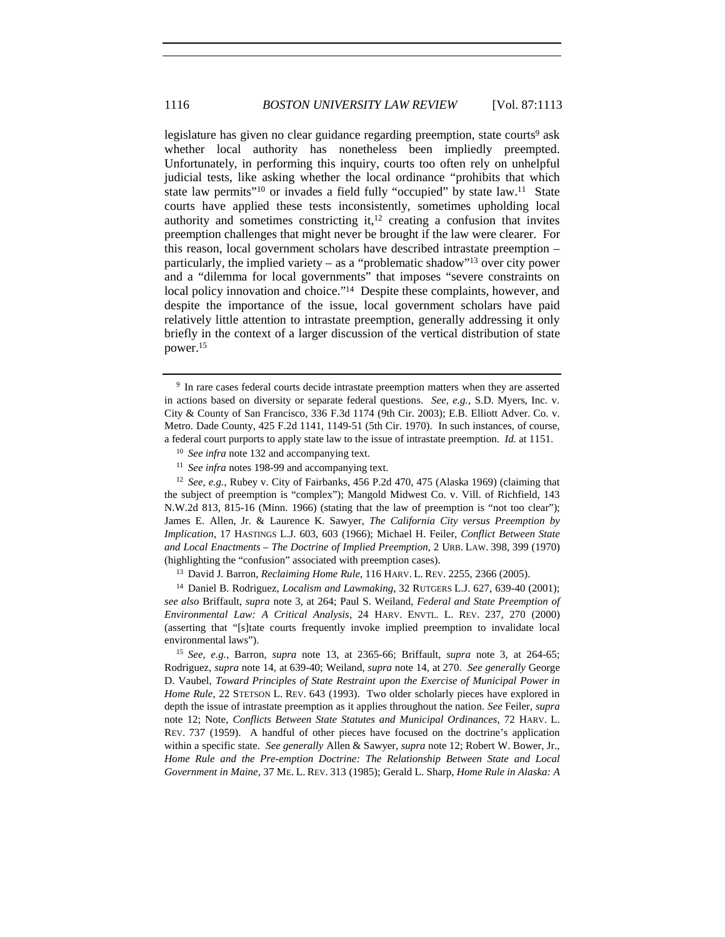legislature has given no clear guidance regarding preemption, state courts<sup>9</sup> ask whether local authority has nonetheless been impliedly preempted. Unfortunately, in performing this inquiry, courts too often rely on unhelpful judicial tests, like asking whether the local ordinance "prohibits that which state law permits"<sup>10</sup> or invades a field fully "occupied" by state law.<sup>11</sup> State courts have applied these tests inconsistently, sometimes upholding local authority and sometimes constricting it, $12$  creating a confusion that invites preemption challenges that might never be brought if the law were clearer. For this reason, local government scholars have described intrastate preemption – particularly, the implied variety – as a "problematic shadow"13 over city power and a "dilemma for local governments" that imposes "severe constraints on local policy innovation and choice."<sup>14</sup> Despite these complaints, however, and despite the importance of the issue, local government scholars have paid relatively little attention to intrastate preemption, generally addressing it only briefly in the context of a larger discussion of the vertical distribution of state power.15

<sup>&</sup>lt;sup>9</sup> In rare cases federal courts decide intrastate preemption matters when they are asserted in actions based on diversity or separate federal questions. *See, e.g.*, S.D. Myers, Inc. v. City & County of San Francisco, 336 F.3d 1174 (9th Cir. 2003); E.B. Elliott Adver. Co. v. Metro. Dade County, 425 F.2d 1141, 1149-51 (5th Cir. 1970). In such instances, of course, a federal court purports to apply state law to the issue of intrastate preemption. *Id.* at 1151.

<sup>10</sup> *See infra* note 132 and accompanying text.

<sup>&</sup>lt;sup>11</sup> *See infra* notes 198-99 and accompanying text.

<sup>12</sup> *See, e.g.*, Rubey v. City of Fairbanks, 456 P.2d 470, 475 (Alaska 1969) (claiming that the subject of preemption is "complex"); Mangold Midwest Co. v. Vill. of Richfield, 143 N.W.2d 813, 815-16 (Minn. 1966) (stating that the law of preemption is "not too clear"); James E. Allen, Jr. & Laurence K. Sawyer, *The California City versus Preemption by Implication*, 17 HASTINGS L.J. 603, 603 (1966); Michael H. Feiler, *Conflict Between State and Local Enactments – The Doctrine of Implied Preemption*, 2 URB. LAW. 398, 399 (1970) (highlighting the "confusion" associated with preemption cases).

<sup>13</sup> David J. Barron, *Reclaiming Home Rule*, 116 HARV. L. REV. 2255, 2366 (2005).

<sup>14</sup> Daniel B. Rodriguez, *Localism and Lawmaking*, 32 RUTGERS L.J. 627, 639-40 (2001); *see also* Briffault, *supra* note 3, at 264; Paul S. Weiland, *Federal and State Preemption of Environmental Law: A Critical Analysis*, 24 HARV. ENVTL. L. REV. 237, 270 (2000) (asserting that "[s]tate courts frequently invoke implied preemption to invalidate local environmental laws").

<sup>15</sup> *See, e.g.*, Barron, *supra* note 13, at 2365-66; Briffault, *supra* note 3, at 264-65; Rodriguez, *supra* note 14, at 639-40; Weiland, *supra* note 14, at 270. *See generally* George D. Vaubel, *Toward Principles of State Restraint upon the Exercise of Municipal Power in Home Rule*, 22 STETSON L. REV. 643 (1993). Two older scholarly pieces have explored in depth the issue of intrastate preemption as it applies throughout the nation. *See* Feiler, *supra*  note 12; Note, *Conflicts Between State Statutes and Municipal Ordinances*, 72 HARV. L. REV. 737 (1959). A handful of other pieces have focused on the doctrine's application within a specific state. *See generally* Allen & Sawyer, *supra* note 12; Robert W. Bower, Jr., *Home Rule and the Pre-emption Doctrine: The Relationship Between State and Local Government in Maine*, 37 ME. L. REV. 313 (1985); Gerald L. Sharp, *Home Rule in Alaska: A*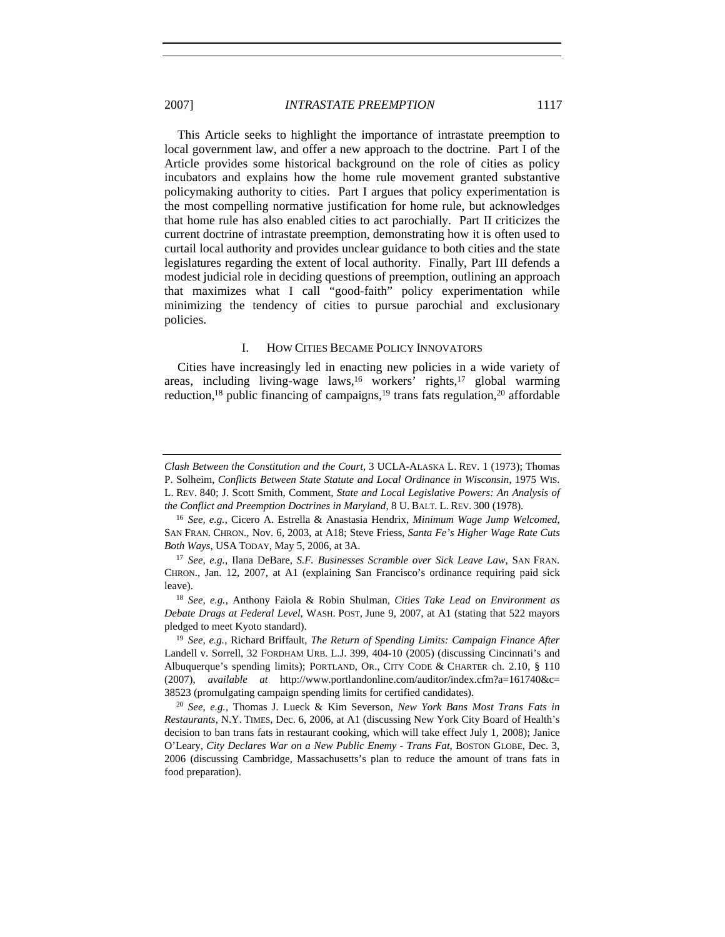This Article seeks to highlight the importance of intrastate preemption to local government law, and offer a new approach to the doctrine. Part I of the Article provides some historical background on the role of cities as policy incubators and explains how the home rule movement granted substantive policymaking authority to cities. Part I argues that policy experimentation is the most compelling normative justification for home rule, but acknowledges that home rule has also enabled cities to act parochially. Part II criticizes the current doctrine of intrastate preemption, demonstrating how it is often used to curtail local authority and provides unclear guidance to both cities and the state legislatures regarding the extent of local authority. Finally, Part III defends a modest judicial role in deciding questions of preemption, outlining an approach that maximizes what I call "good-faith" policy experimentation while minimizing the tendency of cities to pursue parochial and exclusionary policies.

#### I. HOW CITIES BECAME POLICY INNOVATORS

Cities have increasingly led in enacting new policies in a wide variety of areas, including living-wage laws,<sup>16</sup> workers' rights,<sup>17</sup> global warming reduction,<sup>18</sup> public financing of campaigns,<sup>19</sup> trans fats regulation,<sup>20</sup> affordable

*Clash Between the Constitution and the Court*, 3 UCLA-ALASKA L. REV. 1 (1973); Thomas P. Solheim, *Conflicts Between State Statute and Local Ordinance in Wisconsin*, 1975 WIS. L. REV. 840; J. Scott Smith, Comment, *State and Local Legislative Powers: An Analysis of the Conflict and Preemption Doctrines in Maryland*, 8 U. BALT. L. REV. 300 (1978).

<sup>16</sup> *See, e.g.*, Cicero A. Estrella & Anastasia Hendrix, *Minimum Wage Jump Welcomed*, SAN FRAN. CHRON., Nov. 6, 2003, at A18; Steve Friess, *Santa Fe's Higher Wage Rate Cuts Both Ways*, USA TODAY, May 5, 2006, at 3A.

<sup>17</sup> *See, e.g.*, Ilana DeBare, *S.F. Businesses Scramble over Sick Leave Law*, SAN FRAN. CHRON., Jan. 12, 2007, at A1 (explaining San Francisco's ordinance requiring paid sick leave).

<sup>18</sup> *See, e.g.*, Anthony Faiola & Robin Shulman, *Cities Take Lead on Environment as Debate Drags at Federal Level*, WASH. POST, June 9, 2007, at A1 (stating that 522 mayors pledged to meet Kyoto standard).

<sup>19</sup> *See, e.g.*, Richard Briffault, *The Return of Spending Limits: Campaign Finance After*  Landell v. Sorrell, 32 FORDHAM URB. L.J. 399, 404-10 (2005) (discussing Cincinnati's and Albuquerque's spending limits); PORTLAND, OR., CITY CODE & CHARTER ch. 2.10, § 110 (2007), *available at* http://www.portlandonline.com/auditor/index.cfm?a=161740&c= 38523 (promulgating campaign spending limits for certified candidates).

<sup>20</sup> *See, e.g.*, Thomas J. Lueck & Kim Severson, *New York Bans Most Trans Fats in Restaurants*, N.Y. TIMES, Dec. 6, 2006, at A1 (discussing New York City Board of Health's decision to ban trans fats in restaurant cooking, which will take effect July 1, 2008); Janice O'Leary, *City Declares War on a New Public Enemy - Trans Fat*, BOSTON GLOBE, Dec. 3, 2006 (discussing Cambridge, Massachusetts's plan to reduce the amount of trans fats in food preparation).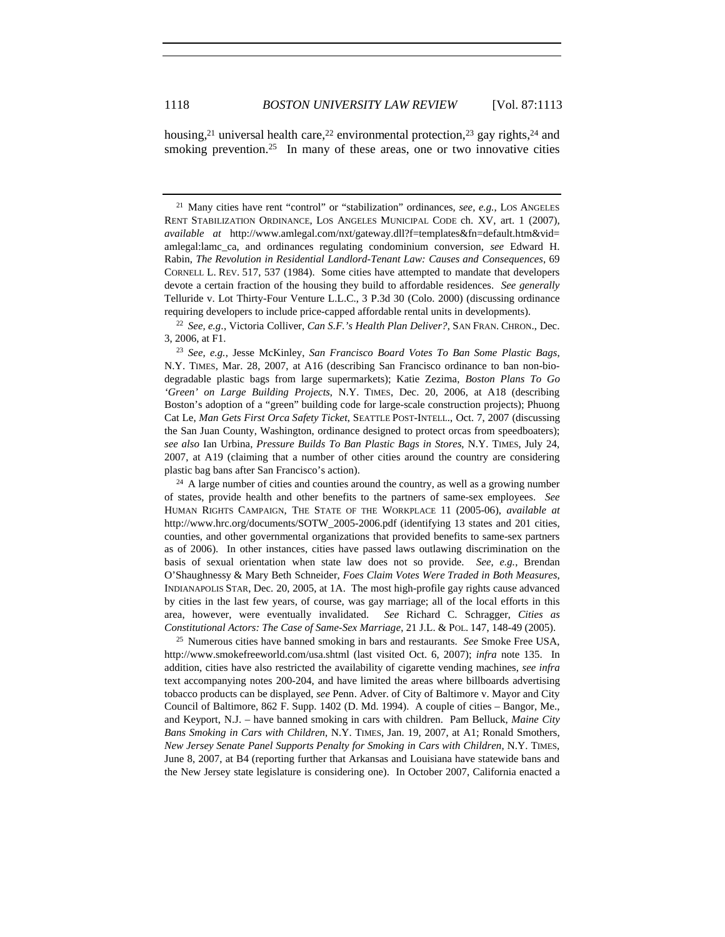housing,<sup>21</sup> universal health care,<sup>22</sup> environmental protection,<sup>23</sup> gay rights,<sup>24</sup> and smoking prevention.<sup>25</sup> In many of these areas, one or two innovative cities

<sup>22</sup> *See, e.g.*, Victoria Colliver, *Can S.F.'s Health Plan Deliver?*, SAN FRAN. CHRON., Dec. 3, 2006, at F1.

<sup>23</sup> *See, e.g.*, Jesse McKinley, *San Francisco Board Votes To Ban Some Plastic Bags*, N.Y. TIMES, Mar. 28, 2007, at A16 (describing San Francisco ordinance to ban non-biodegradable plastic bags from large supermarkets); Katie Zezima, *Boston Plans To Go 'Green' on Large Building Projects*, N.Y. TIMES, Dec. 20, 2006, at A18 (describing Boston's adoption of a "green" building code for large-scale construction projects); Phuong Cat Le, *Man Gets First Orca Safety Ticket*, SEATTLE POST-INTELL., Oct. 7, 2007 (discussing the San Juan County, Washington, ordinance designed to protect orcas from speedboaters); *see also* Ian Urbina, *Pressure Builds To Ban Plastic Bags in Stores*, N.Y. TIMES, July 24, 2007, at A19 (claiming that a number of other cities around the country are considering plastic bag bans after San Francisco's action).

 $24$  A large number of cities and counties around the country, as well as a growing number of states, provide health and other benefits to the partners of same-sex employees. *See* HUMAN RIGHTS CAMPAIGN, THE STATE OF THE WORKPLACE 11 (2005-06), *available at* http://www.hrc.org/documents/SOTW\_2005-2006.pdf (identifying 13 states and 201 cities, counties, and other governmental organizations that provided benefits to same-sex partners as of 2006). In other instances, cities have passed laws outlawing discrimination on the basis of sexual orientation when state law does not so provide. *See, e.g.*, Brendan O'Shaughnessy & Mary Beth Schneider, *Foes Claim Votes Were Traded in Both Measures*, INDIANAPOLIS STAR, Dec. 20, 2005, at 1A. The most high-profile gay rights cause advanced by cities in the last few years, of course, was gay marriage; all of the local efforts in this area, however, were eventually invalidated. *See* Richard C. Schragger, *Cities as Constitutional Actors: The Case of Same-Sex Marriage*, 21 J.L. & POL. 147, 148-49 (2005).

<sup>25</sup> Numerous cities have banned smoking in bars and restaurants. *See* Smoke Free USA, http://www.smokefreeworld.com/usa.shtml (last visited Oct. 6, 2007); *infra* note 135. In addition, cities have also restricted the availability of cigarette vending machines, *see infra*  text accompanying notes 200-204, and have limited the areas where billboards advertising tobacco products can be displayed, *see* Penn. Adver. of City of Baltimore v. Mayor and City Council of Baltimore, 862 F. Supp. 1402 (D. Md. 1994). A couple of cities – Bangor, Me., and Keyport, N.J. – have banned smoking in cars with children. Pam Belluck, *Maine City Bans Smoking in Cars with Children*, N.Y. TIMES, Jan. 19, 2007, at A1; Ronald Smothers, *New Jersey Senate Panel Supports Penalty for Smoking in Cars with Children*, N.Y. TIMES, June 8, 2007, at B4 (reporting further that Arkansas and Louisiana have statewide bans and the New Jersey state legislature is considering one). In October 2007, California enacted a

<sup>&</sup>lt;sup>21</sup> Many cities have rent "control" or "stabilization" ordinances, see, e.g., LOS ANGELES RENT STABILIZATION ORDINANCE, LOS ANGELES MUNICIPAL CODE ch. XV, art. 1 (2007), *available at* http://www.amlegal.com/nxt/gateway.dll?f=templates&fn=default.htm&vid= amlegal:lamc\_ca, and ordinances regulating condominium conversion, *see* Edward H. Rabin, *The Revolution in Residential Landlord-Tenant Law: Causes and Consequences*, 69 CORNELL L. REV. 517, 537 (1984). Some cities have attempted to mandate that developers devote a certain fraction of the housing they build to affordable residences. *See generally* Telluride v. Lot Thirty-Four Venture L.L.C., 3 P.3d 30 (Colo. 2000) (discussing ordinance requiring developers to include price-capped affordable rental units in developments).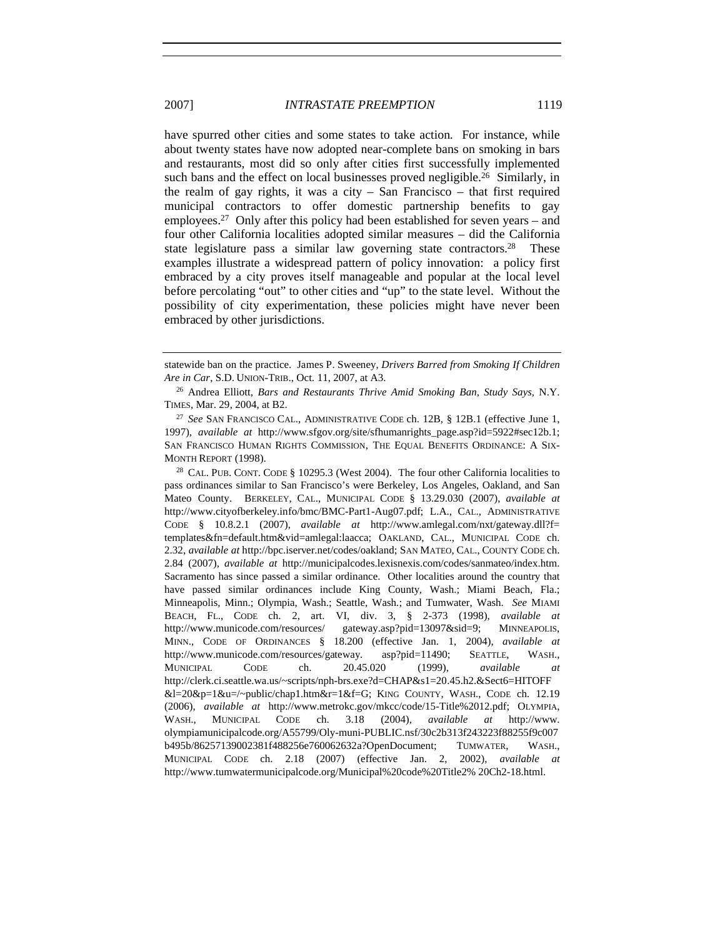have spurred other cities and some states to take action. For instance, while about twenty states have now adopted near-complete bans on smoking in bars and restaurants, most did so only after cities first successfully implemented such bans and the effect on local businesses proved negligible.<sup>26</sup> Similarly, in the realm of gay rights, it was a city – San Francisco – that first required municipal contractors to offer domestic partnership benefits to gay employees.<sup>27</sup> Only after this policy had been established for seven years – and four other California localities adopted similar measures – did the California state legislature pass a similar law governing state contractors.<sup>28</sup> These examples illustrate a widespread pattern of policy innovation: a policy first embraced by a city proves itself manageable and popular at the local level before percolating "out" to other cities and "up" to the state level. Without the possibility of city experimentation, these policies might have never been embraced by other jurisdictions.

<sup>28</sup> CAL. PUB. CONT. CODE § 10295.3 (West 2004). The four other California localities to pass ordinances similar to San Francisco's were Berkeley, Los Angeles, Oakland, and San Mateo County. BERKELEY, CAL., MUNICIPAL CODE § 13.29.030 (2007), *available at* http://www.cityofberkeley.info/bmc/BMC-Part1-Aug07.pdf; L.A., CAL., ADMINISTRATIVE CODE § 10.8.2.1 (2007), *available at* http://www.amlegal.com/nxt/gateway.dll?f= templates&fn=default.htm&vid=amlegal:laacca; OAKLAND, CAL., MUNICIPAL CODE ch. 2.32, *available at* http://bpc.iserver.net/codes/oakland; SAN MATEO, CAL., COUNTY CODE ch. 2.84 (2007), *available at* http://municipalcodes.lexisnexis.com/codes/sanmateo/index.htm. Sacramento has since passed a similar ordinance. Other localities around the country that have passed similar ordinances include King County, Wash.; Miami Beach, Fla.; Minneapolis, Minn.; Olympia, Wash.; Seattle, Wash.; and Tumwater, Wash. *See* MIAMI BEACH, FL., CODE ch. 2, art. VI, div. 3, § 2-373 (1998), *available at* http://www.municode.com/resources/ gateway.asp?pid=13097&sid=9; MINNEAPOLIS, MINN., CODE OF ORDINANCES § 18.200 (effective Jan. 1, 2004), *available at* http://www.municode.com/resources/gateway. asp?pid=11490; SEATTLE, WASH., MUNICIPAL CODE ch. 20.45.020 (1999), *available at* http://clerk.ci.seattle.wa.us/~scripts/nph-brs.exe?d=CHAP&s1=20.45.h2.&Sect6=HITOFF &l=20&p=1&u=/~public/chap1.htm&r=1&f=G; KING COUNTY, WASH., CODE ch. 12.19 (2006), *available at* http://www.metrokc.gov/mkcc/code/15-Title%2012.pdf; OLYMPIA, WASH., MUNICIPAL CODE ch. 3.18 (2004), *available at* http://www. olympiamunicipalcode.org/A55799/Oly-muni-PUBLIC.nsf/30c2b313f243223f88255f9c007 b495b/86257139002381f488256e760062632a?OpenDocument; TUMWATER, WASH., MUNICIPAL CODE ch. 2.18 (2007) (effective Jan. 2, 2002), *available at*  http://www.tumwatermunicipalcode.org/Municipal%20code%20Title2% 20Ch2-18.html.

statewide ban on the practice. James P. Sweeney, *Drivers Barred from Smoking If Children Are in Car*, S.D. UNION-TRIB., Oct. 11, 2007, at A3.

<sup>26</sup> Andrea Elliott, *Bars and Restaurants Thrive Amid Smoking Ban, Study Says*, N.Y. TIMES, Mar. 29, 2004, at B2.

<sup>27</sup> *See* SAN FRANCISCO CAL., ADMINISTRATIVE CODE ch. 12B, § 12B.1 (effective June 1, 1997), *available at* http://www.sfgov.org/site/sfhumanrights\_page.asp?id=5922#sec12b.1; SAN FRANCISCO HUMAN RIGHTS COMMISSION, THE EQUAL BENEFITS ORDINANCE: A SIX-MONTH REPORT (1998).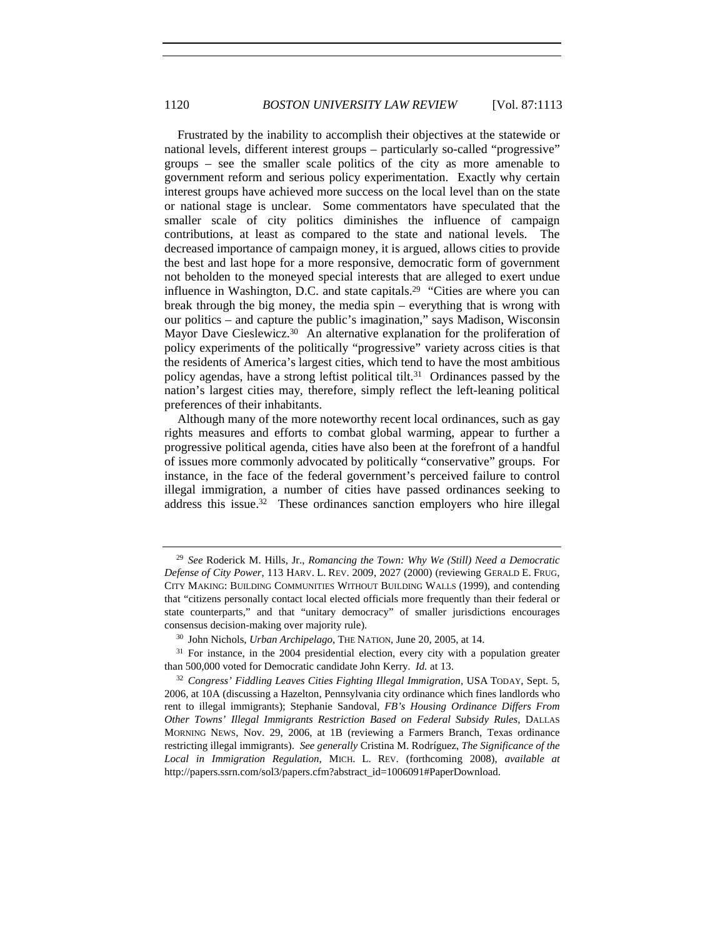Frustrated by the inability to accomplish their objectives at the statewide or national levels, different interest groups – particularly so-called "progressive" groups – see the smaller scale politics of the city as more amenable to government reform and serious policy experimentation. Exactly why certain interest groups have achieved more success on the local level than on the state or national stage is unclear. Some commentators have speculated that the smaller scale of city politics diminishes the influence of campaign contributions, at least as compared to the state and national levels. The decreased importance of campaign money, it is argued, allows cities to provide the best and last hope for a more responsive, democratic form of government not beholden to the moneyed special interests that are alleged to exert undue influence in Washington, D.C. and state capitals.<sup>29</sup> "Cities are where you can break through the big money, the media spin – everything that is wrong with our politics – and capture the public's imagination," says Madison, Wisconsin Mayor Dave Cieslewicz.<sup>30</sup> An alternative explanation for the proliferation of policy experiments of the politically "progressive" variety across cities is that the residents of America's largest cities, which tend to have the most ambitious policy agendas, have a strong leftist political tilt.<sup>31</sup> Ordinances passed by the nation's largest cities may, therefore, simply reflect the left-leaning political preferences of their inhabitants.

Although many of the more noteworthy recent local ordinances, such as gay rights measures and efforts to combat global warming, appear to further a progressive political agenda, cities have also been at the forefront of a handful of issues more commonly advocated by politically "conservative" groups. For instance, in the face of the federal government's perceived failure to control illegal immigration, a number of cities have passed ordinances seeking to address this issue.<sup>32</sup> These ordinances sanction employers who hire illegal

<sup>29</sup> *See* Roderick M. Hills, Jr., *Romancing the Town: Why We (Still) Need a Democratic Defense of City Power*, 113 HARV. L. REV. 2009, 2027 (2000) (reviewing GERALD E. FRUG, CITY MAKING: BUILDING COMMUNITIES WITHOUT BUILDING WALLS (1999), and contending that "citizens personally contact local elected officials more frequently than their federal or state counterparts," and that "unitary democracy" of smaller jurisdictions encourages consensus decision-making over majority rule).

<sup>30</sup> John Nichols, *Urban Archipelago*, THE NATION, June 20, 2005, at 14.

 $31$  For instance, in the 2004 presidential election, every city with a population greater than 500,000 voted for Democratic candidate John Kerry. *Id.* at 13.

<sup>32</sup> *Congress' Fiddling Leaves Cities Fighting Illegal Immigration*, USA TODAY, Sept. 5, 2006, at 10A (discussing a Hazelton, Pennsylvania city ordinance which fines landlords who rent to illegal immigrants); Stephanie Sandoval, *FB's Housing Ordinance Differs From Other Towns' Illegal Immigrants Restriction Based on Federal Subsidy Rules*, DALLAS MORNING NEWS, Nov. 29, 2006, at 1B (reviewing a Farmers Branch, Texas ordinance restricting illegal immigrants). *See generally* Cristina M. Rodríguez, *The Significance of the Local in Immigration Regulation*, MICH. L. REV. (forthcoming 2008), *available at* http://papers.ssrn.com/sol3/papers.cfm?abstract\_id=1006091#PaperDownload.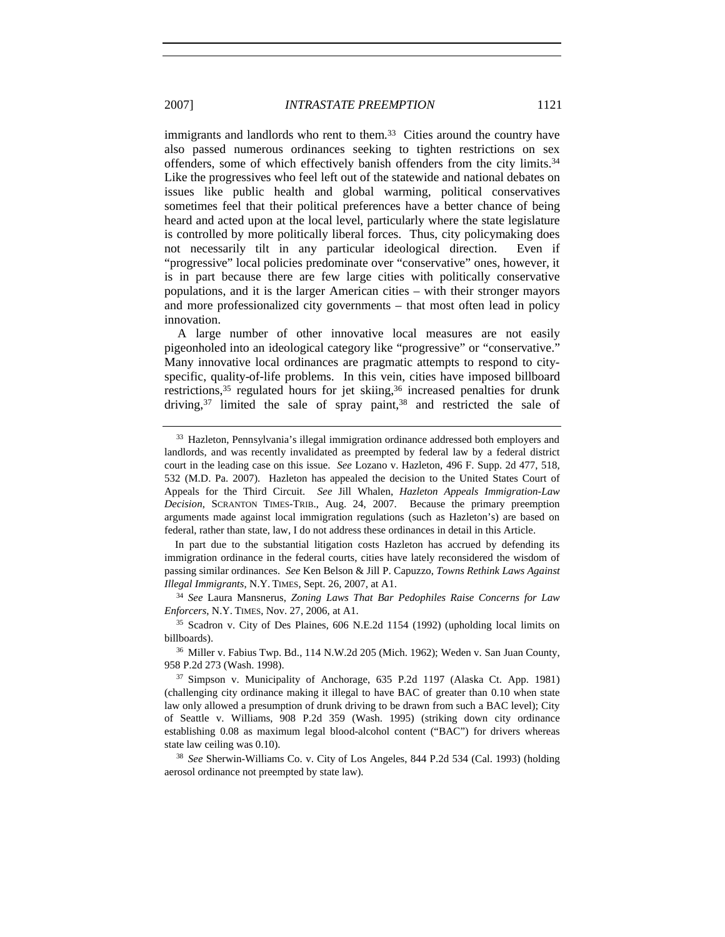immigrants and landlords who rent to them.<sup>33</sup> Cities around the country have also passed numerous ordinances seeking to tighten restrictions on sex offenders, some of which effectively banish offenders from the city limits.34 Like the progressives who feel left out of the statewide and national debates on issues like public health and global warming, political conservatives sometimes feel that their political preferences have a better chance of being heard and acted upon at the local level, particularly where the state legislature is controlled by more politically liberal forces. Thus, city policymaking does not necessarily tilt in any particular ideological direction. Even if "progressive" local policies predominate over "conservative" ones, however, it is in part because there are few large cities with politically conservative populations, and it is the larger American cities – with their stronger mayors and more professionalized city governments – that most often lead in policy innovation.

A large number of other innovative local measures are not easily pigeonholed into an ideological category like "progressive" or "conservative." Many innovative local ordinances are pragmatic attempts to respond to cityspecific, quality-of-life problems. In this vein, cities have imposed billboard restrictions,<sup>35</sup> regulated hours for jet skiing,<sup>36</sup> increased penalties for drunk driving,  $37$  limited the sale of spray paint,  $38$  and restricted the sale of

In part due to the substantial litigation costs Hazleton has accrued by defending its immigration ordinance in the federal courts, cities have lately reconsidered the wisdom of passing similar ordinances. *See* Ken Belson & Jill P. Capuzzo, *Towns Rethink Laws Against Illegal Immigrants*, N.Y. TIMES, Sept. 26, 2007, at A1.

<sup>34</sup> *See* Laura Mansnerus, *Zoning Laws That Bar Pedophiles Raise Concerns for Law Enforcers*, N.Y. TIMES, Nov. 27, 2006, at A1.

<sup>38</sup> *See* Sherwin-Williams Co. v. City of Los Angeles, 844 P.2d 534 (Cal. 1993) (holding aerosol ordinance not preempted by state law).

<sup>&</sup>lt;sup>33</sup> Hazleton, Pennsylvania's illegal immigration ordinance addressed both employers and landlords, and was recently invalidated as preempted by federal law by a federal district court in the leading case on this issue. *See* Lozano v. Hazleton, 496 F. Supp. 2d 477, 518, 532 (M.D. Pa. 2007). Hazleton has appealed the decision to the United States Court of Appeals for the Third Circuit. *See* Jill Whalen, *Hazleton Appeals Immigration-Law Decision*, SCRANTON TIMES-TRIB., Aug. 24, 2007. Because the primary preemption arguments made against local immigration regulations (such as Hazleton's) are based on federal, rather than state, law, I do not address these ordinances in detail in this Article.

<sup>35</sup> Scadron v. City of Des Plaines, 606 N.E.2d 1154 (1992) (upholding local limits on billboards).

<sup>36</sup> Miller v. Fabius Twp. Bd., 114 N.W.2d 205 (Mich. 1962); Weden v. San Juan County, 958 P.2d 273 (Wash. 1998).

<sup>37</sup> Simpson v. Municipality of Anchorage, 635 P.2d 1197 (Alaska Ct. App. 1981) (challenging city ordinance making it illegal to have BAC of greater than 0.10 when state law only allowed a presumption of drunk driving to be drawn from such a BAC level); City of Seattle v. Williams, 908 P.2d 359 (Wash. 1995) (striking down city ordinance establishing 0.08 as maximum legal blood-alcohol content ("BAC") for drivers whereas state law ceiling was 0.10).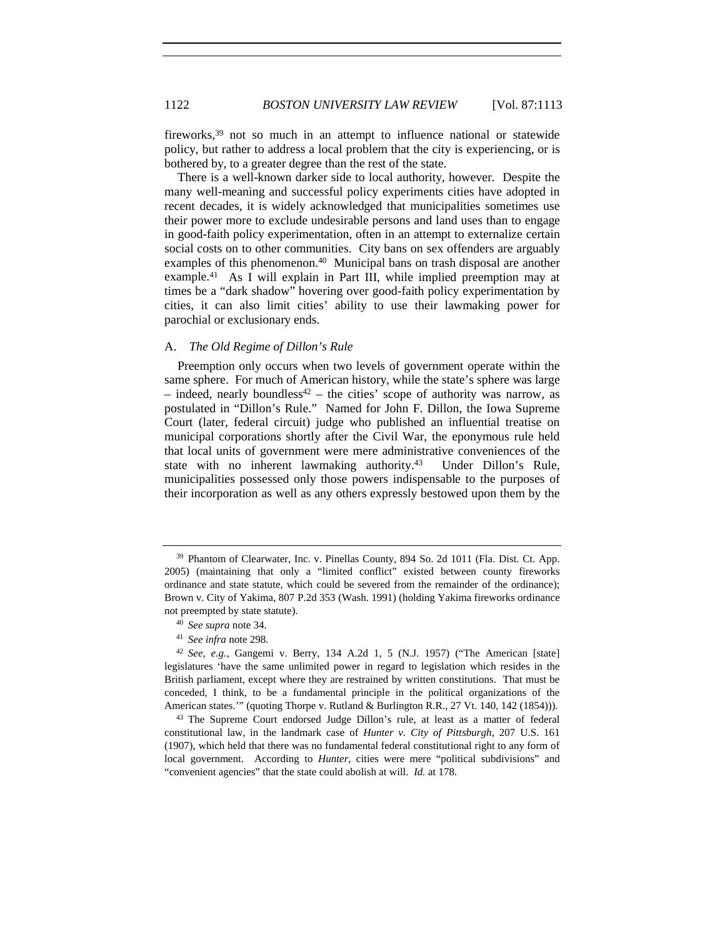fireworks,39 not so much in an attempt to influence national or statewide policy, but rather to address a local problem that the city is experiencing, or is bothered by, to a greater degree than the rest of the state.

There is a well-known darker side to local authority, however. Despite the many well-meaning and successful policy experiments cities have adopted in recent decades, it is widely acknowledged that municipalities sometimes use their power more to exclude undesirable persons and land uses than to engage in good-faith policy experimentation, often in an attempt to externalize certain social costs on to other communities. City bans on sex offenders are arguably examples of this phenomenon.<sup>40</sup> Municipal bans on trash disposal are another example.41 As I will explain in Part III, while implied preemption may at times be a "dark shadow" hovering over good-faith policy experimentation by cities, it can also limit cities' ability to use their lawmaking power for parochial or exclusionary ends.

### A. *The Old Regime of Dillon's Rule*

Preemption only occurs when two levels of government operate within the same sphere. For much of American history, while the state's sphere was large – indeed, nearly boundless<sup>42</sup> – the cities' scope of authority was narrow, as postulated in "Dillon's Rule." Named for John F. Dillon, the Iowa Supreme Court (later, federal circuit) judge who published an influential treatise on municipal corporations shortly after the Civil War, the eponymous rule held that local units of government were mere administrative conveniences of the state with no inherent lawmaking authority.43 Under Dillon's Rule, municipalities possessed only those powers indispensable to the purposes of their incorporation as well as any others expressly bestowed upon them by the

<sup>39</sup> Phantom of Clearwater, Inc. v. Pinellas County, 894 So. 2d 1011 (Fla. Dist. Ct. App. 2005) (maintaining that only a "limited conflict" existed between county fireworks ordinance and state statute, which could be severed from the remainder of the ordinance); Brown v. City of Yakima, 807 P.2d 353 (Wash. 1991) (holding Yakima fireworks ordinance not preempted by state statute).

<sup>40</sup> *See supra* note 34.

<sup>41</sup> *See infra* note 298.

<sup>42</sup> *See, e.g.*, Gangemi v. Berry, 134 A.2d 1, 5 (N.J. 1957) ("The American [state] legislatures 'have the same unlimited power in regard to legislation which resides in the British parliament, except where they are restrained by written constitutions. That must be conceded, I think, to be a fundamental principle in the political organizations of the American states.'" (quoting Thorpe v. Rutland & Burlington R.R., 27 Vt. 140, 142 (1854))).

<sup>43</sup> The Supreme Court endorsed Judge Dillon's rule, at least as a matter of federal constitutional law, in the landmark case of *Hunter v. City of Pittsburgh*, 207 U.S. 161 (1907), which held that there was no fundamental federal constitutional right to any form of local government. According to *Hunter*, cities were mere "political subdivisions" and "convenient agencies" that the state could abolish at will. *Id.* at 178.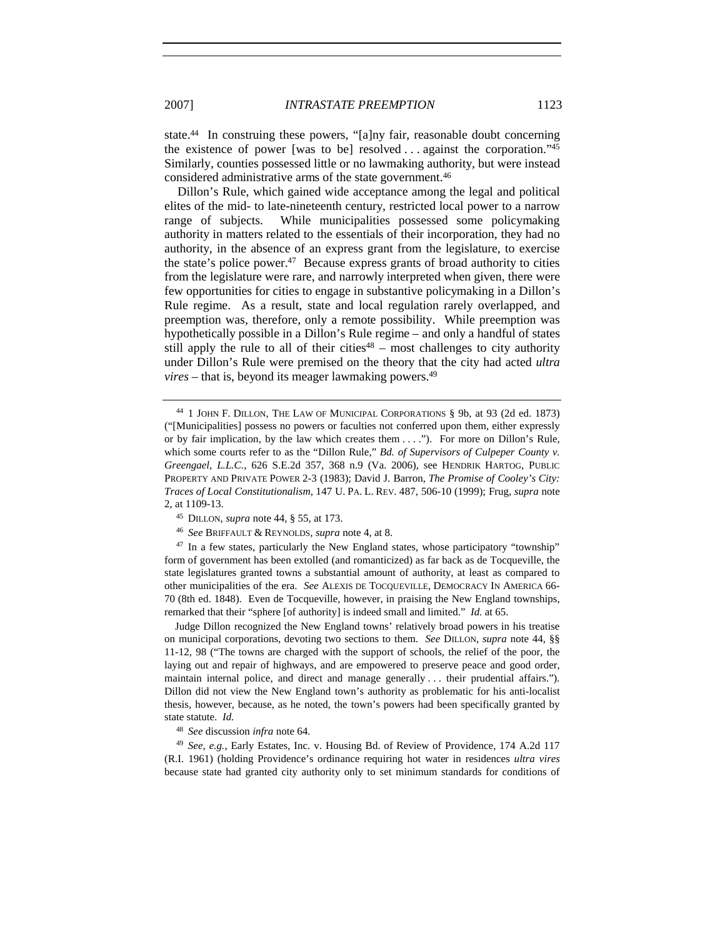state.44 In construing these powers, "[a]ny fair, reasonable doubt concerning the existence of power [was to be] resolved ... against the corporation." $45$ Similarly, counties possessed little or no lawmaking authority, but were instead considered administrative arms of the state government.46

Dillon's Rule, which gained wide acceptance among the legal and political elites of the mid- to late-nineteenth century, restricted local power to a narrow range of subjects. While municipalities possessed some policymaking authority in matters related to the essentials of their incorporation, they had no authority, in the absence of an express grant from the legislature, to exercise the state's police power.<sup>47</sup> Because express grants of broad authority to cities from the legislature were rare, and narrowly interpreted when given, there were few opportunities for cities to engage in substantive policymaking in a Dillon's Rule regime. As a result, state and local regulation rarely overlapped, and preemption was, therefore, only a remote possibility. While preemption was hypothetically possible in a Dillon's Rule regime – and only a handful of states still apply the rule to all of their cities $48$  – most challenges to city authority under Dillon's Rule were premised on the theory that the city had acted *ultra vires* – that is, beyond its meager lawmaking powers.<sup>49</sup>

 $47$  In a few states, particularly the New England states, whose participatory "township" form of government has been extolled (and romanticized) as far back as de Tocqueville, the state legislatures granted towns a substantial amount of authority, at least as compared to other municipalities of the era. *See* ALEXIS DE TOCQUEVILLE, DEMOCRACY IN AMERICA 66- 70 (8th ed. 1848). Even de Tocqueville, however, in praising the New England townships, remarked that their "sphere [of authority] is indeed small and limited." *Id.* at 65.

Judge Dillon recognized the New England towns' relatively broad powers in his treatise on municipal corporations, devoting two sections to them. *See* DILLON, *supra* note 44, §§ 11-12, 98 ("The towns are charged with the support of schools, the relief of the poor, the laying out and repair of highways, and are empowered to preserve peace and good order, maintain internal police, and direct and manage generally . . . their prudential affairs."). Dillon did not view the New England town's authority as problematic for his anti-localist thesis, however, because, as he noted, the town's powers had been specifically granted by state statute. *Id.*

<sup>48</sup> *See* discussion *infra* note 64.

<sup>49</sup> *See, e.g.*, Early Estates, Inc. v. Housing Bd. of Review of Providence, 174 A.2d 117 (R.I. 1961) (holding Providence's ordinance requiring hot water in residences *ultra vires* because state had granted city authority only to set minimum standards for conditions of

<sup>44</sup> 1 JOHN F. DILLON, THE LAW OF MUNICIPAL CORPORATIONS § 9b, at 93 (2d ed. 1873) ("[Municipalities] possess no powers or faculties not conferred upon them, either expressly or by fair implication, by the law which creates them . . . ."). For more on Dillon's Rule, which some courts refer to as the "Dillon Rule," *Bd. of Supervisors of Culpeper County v. Greengael, L.L.C.*, 626 S.E.2d 357, 368 n.9 (Va. 2006), see HENDRIK HARTOG, PUBLIC PROPERTY AND PRIVATE POWER 2-3 (1983); David J. Barron, *The Promise of Cooley's City: Traces of Local Constitutionalism*, 147 U. PA. L. REV. 487, 506-10 (1999); Frug, *supra* note 2, at 1109-13.

<sup>45</sup> DILLON, *supra* note 44, § 55, at 173.

<sup>46</sup> *See* BRIFFAULT & REYNOLDS, *supra* note 4, at 8.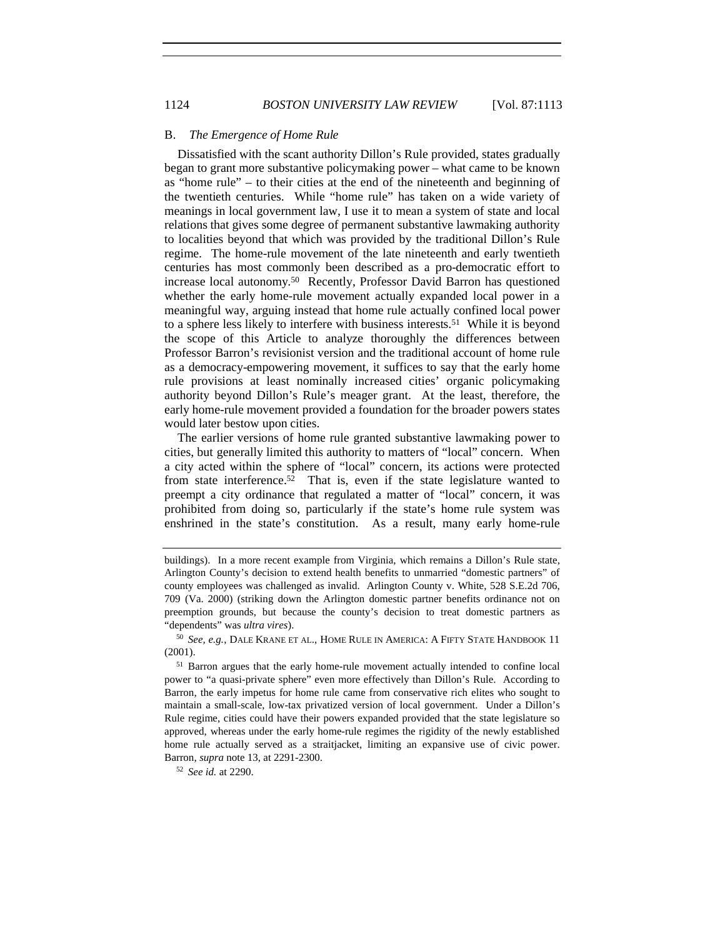## B. *The Emergence of Home Rule*

Dissatisfied with the scant authority Dillon's Rule provided, states gradually began to grant more substantive policymaking power – what came to be known as "home rule" – to their cities at the end of the nineteenth and beginning of the twentieth centuries. While "home rule" has taken on a wide variety of meanings in local government law, I use it to mean a system of state and local relations that gives some degree of permanent substantive lawmaking authority to localities beyond that which was provided by the traditional Dillon's Rule regime. The home-rule movement of the late nineteenth and early twentieth centuries has most commonly been described as a pro-democratic effort to increase local autonomy.50 Recently, Professor David Barron has questioned whether the early home-rule movement actually expanded local power in a meaningful way, arguing instead that home rule actually confined local power to a sphere less likely to interfere with business interests.<sup>51</sup> While it is beyond the scope of this Article to analyze thoroughly the differences between Professor Barron's revisionist version and the traditional account of home rule as a democracy-empowering movement, it suffices to say that the early home rule provisions at least nominally increased cities' organic policymaking authority beyond Dillon's Rule's meager grant. At the least, therefore, the early home-rule movement provided a foundation for the broader powers states would later bestow upon cities.

The earlier versions of home rule granted substantive lawmaking power to cities, but generally limited this authority to matters of "local" concern. When a city acted within the sphere of "local" concern, its actions were protected from state interference.<sup>52</sup> That is, even if the state legislature wanted to preempt a city ordinance that regulated a matter of "local" concern, it was prohibited from doing so, particularly if the state's home rule system was enshrined in the state's constitution. As a result, many early home-rule

<sup>52</sup> *See id.* at 2290.

buildings). In a more recent example from Virginia, which remains a Dillon's Rule state, Arlington County's decision to extend health benefits to unmarried "domestic partners" of county employees was challenged as invalid. Arlington County v. White, 528 S.E.2d 706, 709 (Va. 2000) (striking down the Arlington domestic partner benefits ordinance not on preemption grounds, but because the county's decision to treat domestic partners as "dependents" was *ultra vires*).

<sup>50</sup> *See, e.g.*, DALE KRANE ET AL., HOME RULE IN AMERICA: A FIFTY STATE HANDBOOK 11 (2001).

<sup>&</sup>lt;sup>51</sup> Barron argues that the early home-rule movement actually intended to confine local power to "a quasi-private sphere" even more effectively than Dillon's Rule. According to Barron, the early impetus for home rule came from conservative rich elites who sought to maintain a small-scale, low-tax privatized version of local government. Under a Dillon's Rule regime, cities could have their powers expanded provided that the state legislature so approved, whereas under the early home-rule regimes the rigidity of the newly established home rule actually served as a straitjacket, limiting an expansive use of civic power. Barron, *supra* note 13, at 2291-2300.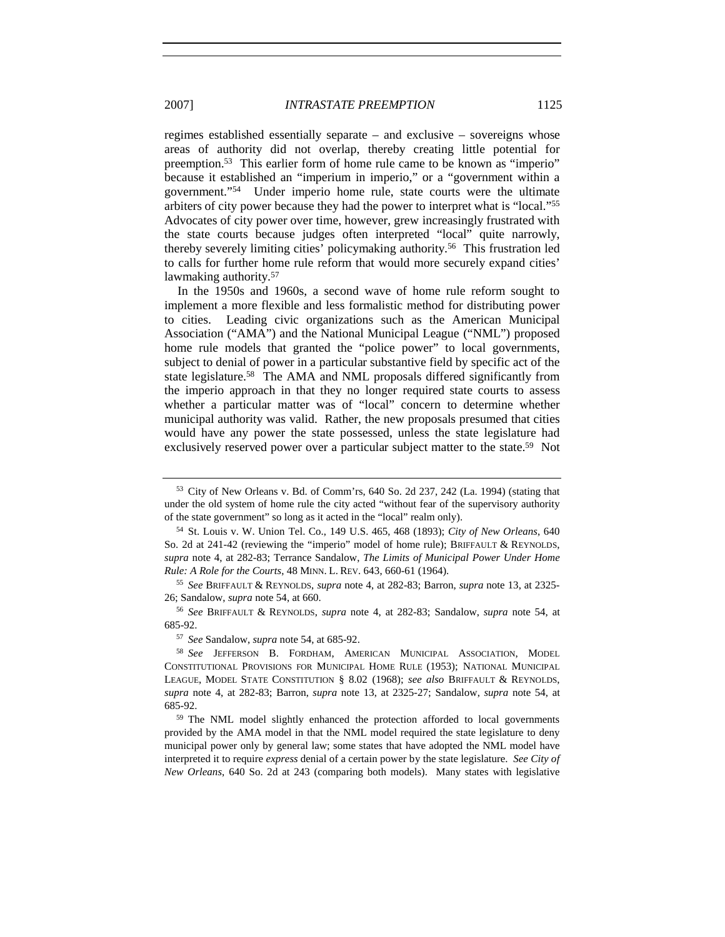regimes established essentially separate – and exclusive – sovereigns whose areas of authority did not overlap, thereby creating little potential for preemption.53 This earlier form of home rule came to be known as "imperio" because it established an "imperium in imperio," or a "government within a government."54 Under imperio home rule, state courts were the ultimate arbiters of city power because they had the power to interpret what is "local."55 Advocates of city power over time, however, grew increasingly frustrated with the state courts because judges often interpreted "local" quite narrowly, thereby severely limiting cities' policymaking authority.56 This frustration led to calls for further home rule reform that would more securely expand cities' lawmaking authority.<sup>57</sup>

In the 1950s and 1960s, a second wave of home rule reform sought to implement a more flexible and less formalistic method for distributing power to cities. Leading civic organizations such as the American Municipal Association ("AMA") and the National Municipal League ("NML") proposed home rule models that granted the "police power" to local governments, subject to denial of power in a particular substantive field by specific act of the state legislature.<sup>58</sup> The AMA and NML proposals differed significantly from the imperio approach in that they no longer required state courts to assess whether a particular matter was of "local" concern to determine whether municipal authority was valid. Rather, the new proposals presumed that cities would have any power the state possessed, unless the state legislature had exclusively reserved power over a particular subject matter to the state.<sup>59</sup> Not

<sup>53</sup> City of New Orleans v. Bd. of Comm'rs, 640 So. 2d 237, 242 (La. 1994) (stating that under the old system of home rule the city acted "without fear of the supervisory authority of the state government" so long as it acted in the "local" realm only).

<sup>54</sup> St. Louis v. W. Union Tel. Co., 149 U.S. 465, 468 (1893); *City of New Orleans*, 640 So. 2d at 241-42 (reviewing the "imperio" model of home rule); BRIFFAULT & REYNOLDS, *supra* note 4, at 282-83; Terrance Sandalow, *The Limits of Municipal Power Under Home Rule: A Role for the Courts*, 48 MINN. L. REV. 643, 660-61 (1964).

<sup>55</sup> *See* BRIFFAULT & REYNOLDS, *supra* note 4, at 282-83; Barron, *supra* note 13, at 2325- 26; Sandalow, *supra* note 54, at 660.

<sup>56</sup> *See* BRIFFAULT & REYNOLDS, *supra* note 4, at 282-83; Sandalow, *supra* note 54, at 685-92.

<sup>57</sup> *See* Sandalow, *supra* note 54, at 685-92.

<sup>58</sup> *See* JEFFERSON B. FORDHAM, AMERICAN MUNICIPAL ASSOCIATION, MODEL CONSTITUTIONAL PROVISIONS FOR MUNICIPAL HOME RULE (1953); NATIONAL MUNICIPAL LEAGUE, MODEL STATE CONSTITUTION § 8.02 (1968); *see also* BRIFFAULT & REYNOLDS, *supra* note 4, at 282-83; Barron, *supra* note 13, at 2325-27; Sandalow, *supra* note 54, at 685-92.

<sup>59</sup> The NML model slightly enhanced the protection afforded to local governments provided by the AMA model in that the NML model required the state legislature to deny municipal power only by general law; some states that have adopted the NML model have interpreted it to require *express* denial of a certain power by the state legislature. *See City of New Orleans*, 640 So. 2d at 243 (comparing both models). Many states with legislative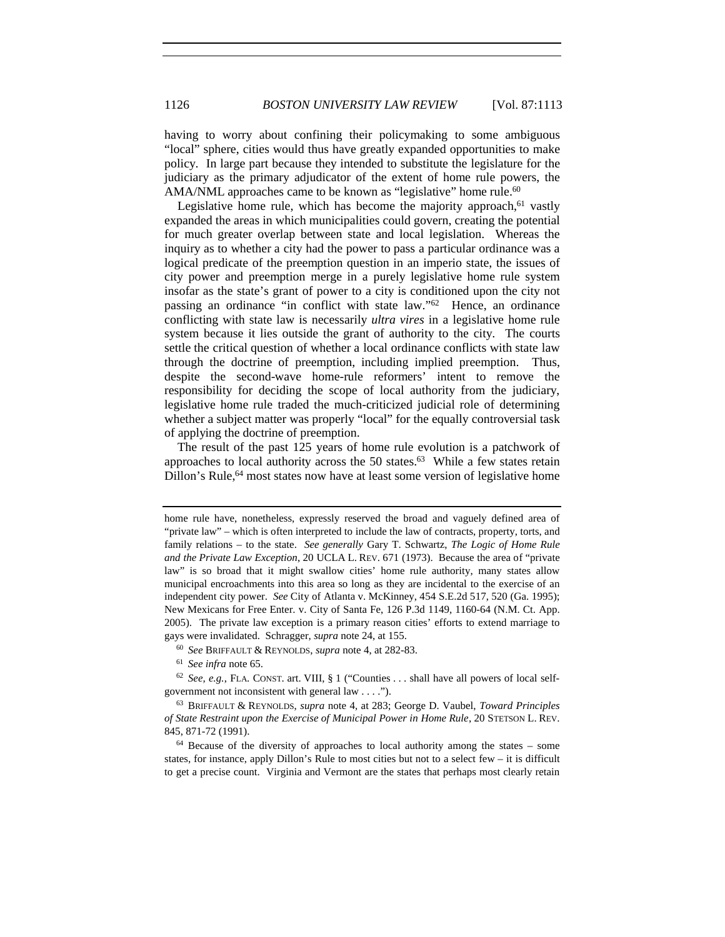having to worry about confining their policymaking to some ambiguous "local" sphere, cities would thus have greatly expanded opportunities to make policy. In large part because they intended to substitute the legislature for the judiciary as the primary adjudicator of the extent of home rule powers, the AMA/NML approaches came to be known as "legislative" home rule.<sup>60</sup>

Legislative home rule, which has become the majority approach,  $61$  vastly expanded the areas in which municipalities could govern, creating the potential for much greater overlap between state and local legislation. Whereas the inquiry as to whether a city had the power to pass a particular ordinance was a logical predicate of the preemption question in an imperio state, the issues of city power and preemption merge in a purely legislative home rule system insofar as the state's grant of power to a city is conditioned upon the city not passing an ordinance "in conflict with state law."62 Hence, an ordinance conflicting with state law is necessarily *ultra vires* in a legislative home rule system because it lies outside the grant of authority to the city. The courts settle the critical question of whether a local ordinance conflicts with state law through the doctrine of preemption, including implied preemption. Thus, despite the second-wave home-rule reformers' intent to remove the responsibility for deciding the scope of local authority from the judiciary, legislative home rule traded the much-criticized judicial role of determining whether a subject matter was properly "local" for the equally controversial task of applying the doctrine of preemption.

The result of the past 125 years of home rule evolution is a patchwork of approaches to local authority across the 50 states.<sup>63</sup> While a few states retain Dillon's Rule,<sup>64</sup> most states now have at least some version of legislative home

<sup>61</sup> *See infra* note 65.

home rule have, nonetheless, expressly reserved the broad and vaguely defined area of "private law" – which is often interpreted to include the law of contracts, property, torts, and family relations – to the state. *See generally* Gary T. Schwartz, *The Logic of Home Rule and the Private Law Exception*, 20 UCLA L. REV. 671 (1973). Because the area of "private law" is so broad that it might swallow cities' home rule authority, many states allow municipal encroachments into this area so long as they are incidental to the exercise of an independent city power. *See* City of Atlanta v. McKinney, 454 S.E.2d 517, 520 (Ga. 1995); New Mexicans for Free Enter. v. City of Santa Fe, 126 P.3d 1149, 1160-64 (N.M. Ct. App. 2005). The private law exception is a primary reason cities' efforts to extend marriage to gays were invalidated. Schragger, *supra* note 24, at 155.

<sup>60</sup> *See* BRIFFAULT & REYNOLDS, *supra* note 4, at 282-83.

<sup>62</sup> *See, e.g.*, FLA. CONST. art. VIII, § 1 ("Counties . . . shall have all powers of local selfgovernment not inconsistent with general law . . . .").

<sup>63</sup> BRIFFAULT & REYNOLDS, *supra* note 4, at 283; George D. Vaubel, *Toward Principles of State Restraint upon the Exercise of Municipal Power in Home Rule*, 20 STETSON L. REV. 845, 871-72 (1991).

<sup>64</sup> Because of the diversity of approaches to local authority among the states – some states, for instance, apply Dillon's Rule to most cities but not to a select few – it is difficult to get a precise count. Virginia and Vermont are the states that perhaps most clearly retain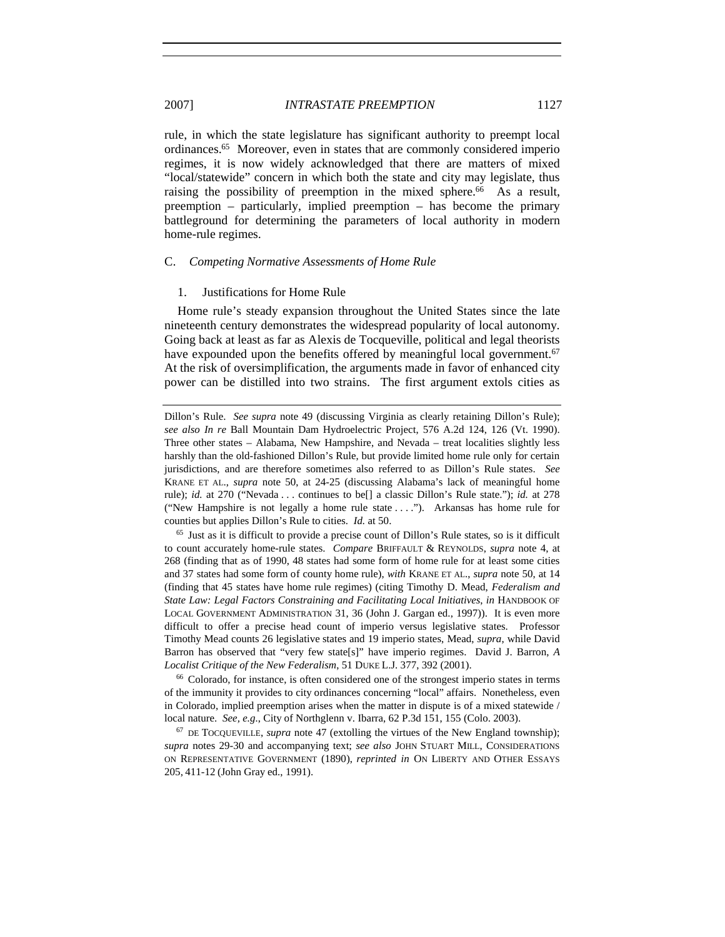rule, in which the state legislature has significant authority to preempt local ordinances.65 Moreover, even in states that are commonly considered imperio regimes, it is now widely acknowledged that there are matters of mixed "local/statewide" concern in which both the state and city may legislate, thus raising the possibility of preemption in the mixed sphere.<sup>66</sup> As a result, preemption – particularly, implied preemption – has become the primary battleground for determining the parameters of local authority in modern home-rule regimes.

#### C. *Competing Normative Assessments of Home Rule*

#### 1. Justifications for Home Rule

Home rule's steady expansion throughout the United States since the late nineteenth century demonstrates the widespread popularity of local autonomy. Going back at least as far as Alexis de Tocqueville, political and legal theorists have expounded upon the benefits offered by meaningful local government.<sup>67</sup> At the risk of oversimplification, the arguments made in favor of enhanced city power can be distilled into two strains. The first argument extols cities as

<sup>65</sup> Just as it is difficult to provide a precise count of Dillon's Rule states, so is it difficult to count accurately home-rule states. *Compare* BRIFFAULT & REYNOLDS, *supra* note 4, at 268 (finding that as of 1990, 48 states had some form of home rule for at least some cities and 37 states had some form of county home rule), *with* KRANE ET AL., *supra* note 50, at 14 (finding that 45 states have home rule regimes) (citing Timothy D. Mead, *Federalism and State Law: Legal Factors Constraining and Facilitating Local Initiatives*, *in* HANDBOOK OF LOCAL GOVERNMENT ADMINISTRATION 31, 36 (John J. Gargan ed., 1997)). It is even more difficult to offer a precise head count of imperio versus legislative states. Professor Timothy Mead counts 26 legislative states and 19 imperio states, Mead, *supra*, while David Barron has observed that "very few state[s]" have imperio regimes. David J. Barron, *A Localist Critique of the New Federalism*, 51 DUKE L.J. 377, 392 (2001).

<sup>66</sup> Colorado, for instance, is often considered one of the strongest imperio states in terms of the immunity it provides to city ordinances concerning "local" affairs. Nonetheless, even in Colorado, implied preemption arises when the matter in dispute is of a mixed statewide / local nature. *See, e.g.*, City of Northglenn v. Ibarra, 62 P.3d 151, 155 (Colo. 2003).

<sup>67</sup> DE TOCQUEVILLE, *supra* note 47 (extolling the virtues of the New England township); *supra* notes 29-30 and accompanying text; *see also* JOHN STUART MILL, CONSIDERATIONS ON REPRESENTATIVE GOVERNMENT (1890), *reprinted in* ON LIBERTY AND OTHER ESSAYS 205, 411-12 (John Gray ed., 1991).

Dillon's Rule. *See supra* note 49 (discussing Virginia as clearly retaining Dillon's Rule); *see also In re* Ball Mountain Dam Hydroelectric Project, 576 A.2d 124, 126 (Vt. 1990). Three other states – Alabama, New Hampshire, and Nevada – treat localities slightly less harshly than the old-fashioned Dillon's Rule, but provide limited home rule only for certain jurisdictions, and are therefore sometimes also referred to as Dillon's Rule states. *See*  KRANE ET AL., *supra* note 50, at 24-25 (discussing Alabama's lack of meaningful home rule); *id.* at 270 ("Nevada . . . continues to be[] a classic Dillon's Rule state."); *id.* at 278 ("New Hampshire is not legally a home rule state . . . ."). Arkansas has home rule for counties but applies Dillon's Rule to cities. *Id.* at 50.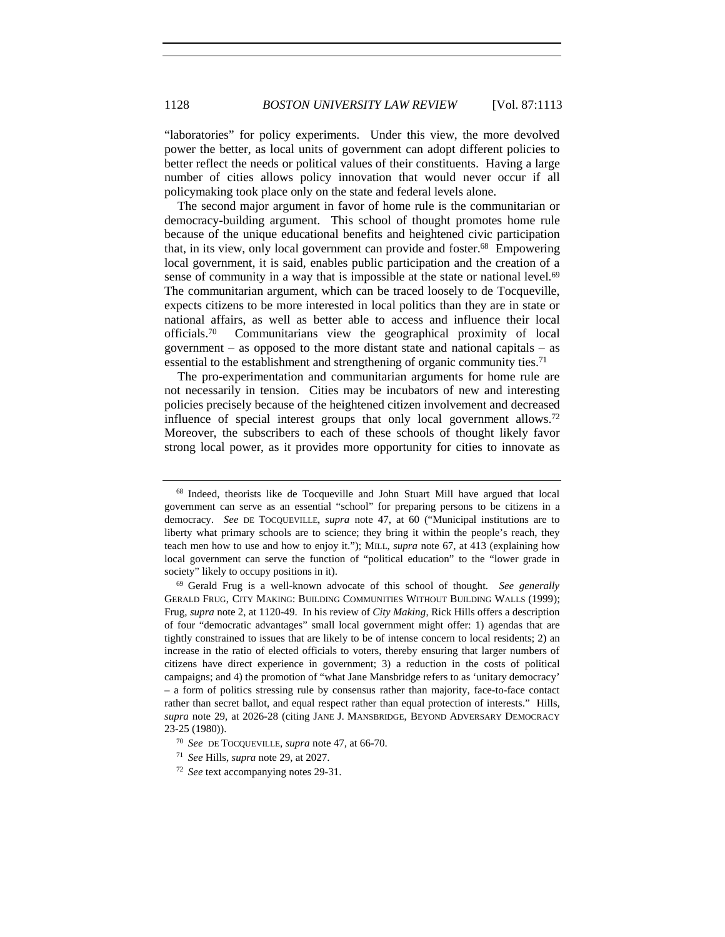"laboratories" for policy experiments. Under this view, the more devolved power the better, as local units of government can adopt different policies to better reflect the needs or political values of their constituents. Having a large number of cities allows policy innovation that would never occur if all policymaking took place only on the state and federal levels alone.

The second major argument in favor of home rule is the communitarian or democracy-building argument. This school of thought promotes home rule because of the unique educational benefits and heightened civic participation that, in its view, only local government can provide and foster.68 Empowering local government, it is said, enables public participation and the creation of a sense of community in a way that is impossible at the state or national level.<sup>69</sup> The communitarian argument, which can be traced loosely to de Tocqueville, expects citizens to be more interested in local politics than they are in state or national affairs, as well as better able to access and influence their local officials.70 Communitarians view the geographical proximity of local government – as opposed to the more distant state and national capitals – as essential to the establishment and strengthening of organic community ties.<sup>71</sup>

The pro-experimentation and communitarian arguments for home rule are not necessarily in tension. Cities may be incubators of new and interesting policies precisely because of the heightened citizen involvement and decreased influence of special interest groups that only local government allows.72 Moreover, the subscribers to each of these schools of thought likely favor strong local power, as it provides more opportunity for cities to innovate as

<sup>68</sup> Indeed, theorists like de Tocqueville and John Stuart Mill have argued that local government can serve as an essential "school" for preparing persons to be citizens in a democracy. *See* DE TOCQUEVILLE, *supra* note 47, at 60 ("Municipal institutions are to liberty what primary schools are to science; they bring it within the people's reach, they teach men how to use and how to enjoy it."); MILL, *supra* note 67, at 413 (explaining how local government can serve the function of "political education" to the "lower grade in society" likely to occupy positions in it).

<sup>69</sup> Gerald Frug is a well-known advocate of this school of thought. *See generally*  GERALD FRUG, CITY MAKING: BUILDING COMMUNITIES WITHOUT BUILDING WALLS (1999); Frug, *supra* note 2, at 1120-49. In his review of *City Making*, Rick Hills offers a description of four "democratic advantages" small local government might offer: 1) agendas that are tightly constrained to issues that are likely to be of intense concern to local residents; 2) an increase in the ratio of elected officials to voters, thereby ensuring that larger numbers of citizens have direct experience in government; 3) a reduction in the costs of political campaigns; and 4) the promotion of "what Jane Mansbridge refers to as 'unitary democracy' – a form of politics stressing rule by consensus rather than majority, face-to-face contact rather than secret ballot, and equal respect rather than equal protection of interests." Hills, *supra* note 29, at 2026-28 (citing JANE J. MANSBRIDGE, BEYOND ADVERSARY DEMOCRACY 23-25 (1980)).

<sup>70</sup> *See* DE TOCQUEVILLE, *supra* note 47, at 66-70.

<sup>71</sup> *See* Hills, *supra* note 29, at 2027.

<sup>72</sup> *See* text accompanying notes 29-31.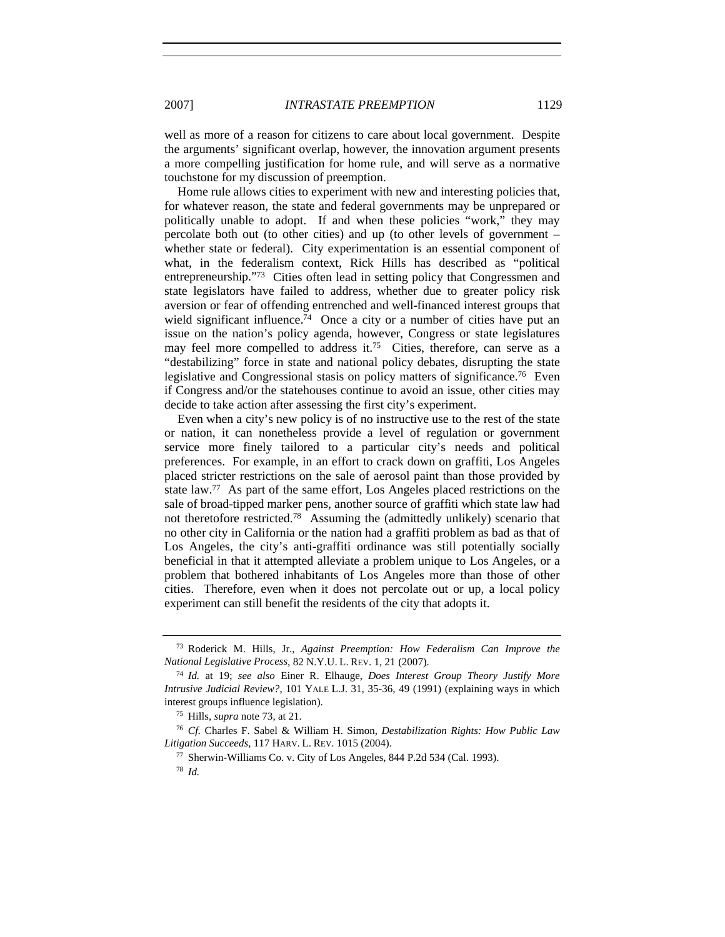well as more of a reason for citizens to care about local government. Despite the arguments' significant overlap, however, the innovation argument presents a more compelling justification for home rule, and will serve as a normative touchstone for my discussion of preemption.

Home rule allows cities to experiment with new and interesting policies that, for whatever reason, the state and federal governments may be unprepared or politically unable to adopt. If and when these policies "work," they may percolate both out (to other cities) and up (to other levels of government – whether state or federal). City experimentation is an essential component of what, in the federalism context, Rick Hills has described as "political entrepreneurship."73 Cities often lead in setting policy that Congressmen and state legislators have failed to address, whether due to greater policy risk aversion or fear of offending entrenched and well-financed interest groups that wield significant influence.<sup>74</sup> Once a city or a number of cities have put an issue on the nation's policy agenda, however, Congress or state legislatures may feel more compelled to address it.<sup>75</sup> Cities, therefore, can serve as a "destabilizing" force in state and national policy debates, disrupting the state legislative and Congressional stasis on policy matters of significance.76 Even if Congress and/or the statehouses continue to avoid an issue, other cities may decide to take action after assessing the first city's experiment.

Even when a city's new policy is of no instructive use to the rest of the state or nation, it can nonetheless provide a level of regulation or government service more finely tailored to a particular city's needs and political preferences. For example, in an effort to crack down on graffiti, Los Angeles placed stricter restrictions on the sale of aerosol paint than those provided by state law.77 As part of the same effort, Los Angeles placed restrictions on the sale of broad-tipped marker pens, another source of graffiti which state law had not theretofore restricted.78 Assuming the (admittedly unlikely) scenario that no other city in California or the nation had a graffiti problem as bad as that of Los Angeles, the city's anti-graffiti ordinance was still potentially socially beneficial in that it attempted alleviate a problem unique to Los Angeles, or a problem that bothered inhabitants of Los Angeles more than those of other cities. Therefore, even when it does not percolate out or up, a local policy experiment can still benefit the residents of the city that adopts it.

<sup>73</sup> Roderick M. Hills, Jr., *Against Preemption: How Federalism Can Improve the National Legislative Process*, 82 N.Y.U. L. REV. 1, 21 (2007).

<sup>74</sup> *Id.* at 19; *see also* Einer R. Elhauge, *Does Interest Group Theory Justify More Intrusive Judicial Review?*, 101 YALE L.J. 31, 35-36, 49 (1991) (explaining ways in which interest groups influence legislation).

<sup>75</sup> Hills, *supra* note 73, at 21.

<sup>76</sup> *Cf.* Charles F. Sabel & William H. Simon, *Destabilization Rights: How Public Law Litigation Succeeds*, 117 HARV. L. REV. 1015 (2004).

<sup>77</sup> Sherwin-Williams Co. v. City of Los Angeles, 844 P.2d 534 (Cal. 1993).

<sup>78</sup> *Id.*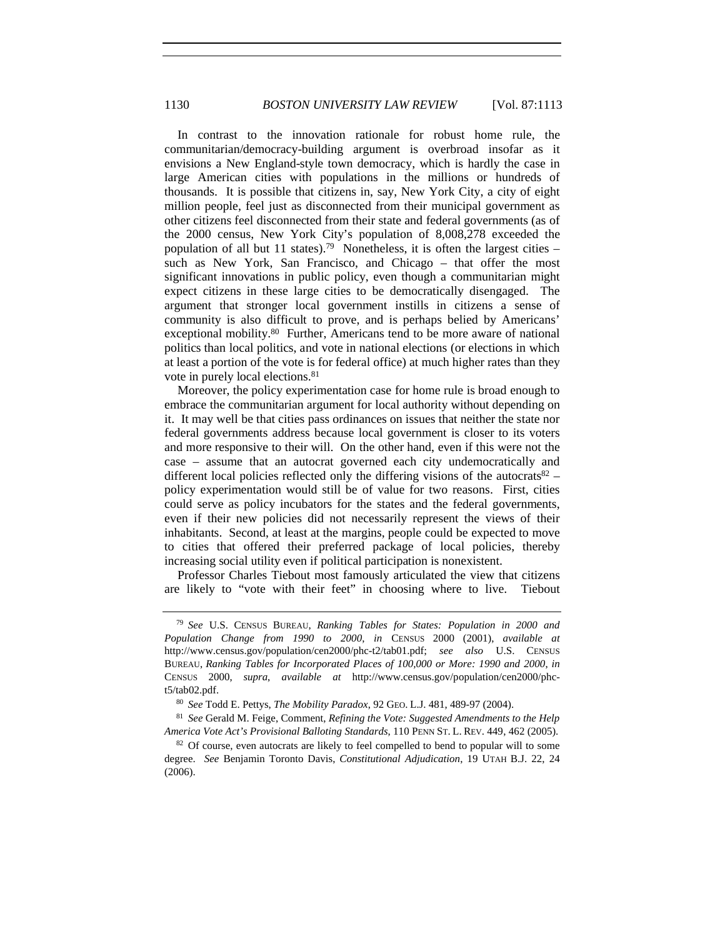In contrast to the innovation rationale for robust home rule, the communitarian/democracy-building argument is overbroad insofar as it envisions a New England-style town democracy, which is hardly the case in large American cities with populations in the millions or hundreds of thousands. It is possible that citizens in, say, New York City, a city of eight million people, feel just as disconnected from their municipal government as other citizens feel disconnected from their state and federal governments (as of the 2000 census, New York City's population of 8,008,278 exceeded the population of all but 11 states).<sup>79</sup> Nonetheless, it is often the largest cities – such as New York, San Francisco, and Chicago – that offer the most significant innovations in public policy, even though a communitarian might expect citizens in these large cities to be democratically disengaged. The argument that stronger local government instills in citizens a sense of community is also difficult to prove, and is perhaps belied by Americans' exceptional mobility.<sup>80</sup> Further, Americans tend to be more aware of national politics than local politics, and vote in national elections (or elections in which at least a portion of the vote is for federal office) at much higher rates than they vote in purely local elections.81

Moreover, the policy experimentation case for home rule is broad enough to embrace the communitarian argument for local authority without depending on it. It may well be that cities pass ordinances on issues that neither the state nor federal governments address because local government is closer to its voters and more responsive to their will. On the other hand, even if this were not the case – assume that an autocrat governed each city undemocratically and different local policies reflected only the differing visions of the autocrats  $82$ policy experimentation would still be of value for two reasons. First, cities could serve as policy incubators for the states and the federal governments, even if their new policies did not necessarily represent the views of their inhabitants. Second, at least at the margins, people could be expected to move to cities that offered their preferred package of local policies, thereby increasing social utility even if political participation is nonexistent.

Professor Charles Tiebout most famously articulated the view that citizens are likely to "vote with their feet" in choosing where to live. Tiebout

<sup>79</sup> *See* U.S. CENSUS BUREAU, *Ranking Tables for States: Population in 2000 and Population Change from 1990 to 2000*, *in* CENSUS 2000 (2001), *available at*  http://www.census.gov/population/cen2000/phc-t2/tab01.pdf; *see also* U.S. CENSUS BUREAU, *Ranking Tables for Incorporated Places of 100,000 or More: 1990 and 2000*, *in*  CENSUS 2000, *supra*, *available at* http://www.census.gov/population/cen2000/phct5/tab02.pdf.

<sup>80</sup> *See* Todd E. Pettys, *The Mobility Paradox*, 92 GEO. L.J. 481, 489-97 (2004).

<sup>81</sup> *See* Gerald M. Feige, Comment, *Refining the Vote: Suggested Amendments to the Help America Vote Act's Provisional Balloting Standards*, 110 PENN ST. L. REV. 449, 462 (2005).

<sup>&</sup>lt;sup>82</sup> Of course, even autocrats are likely to feel compelled to bend to popular will to some degree. *See* Benjamin Toronto Davis, *Constitutional Adjudication*, 19 UTAH B.J. 22, 24 (2006).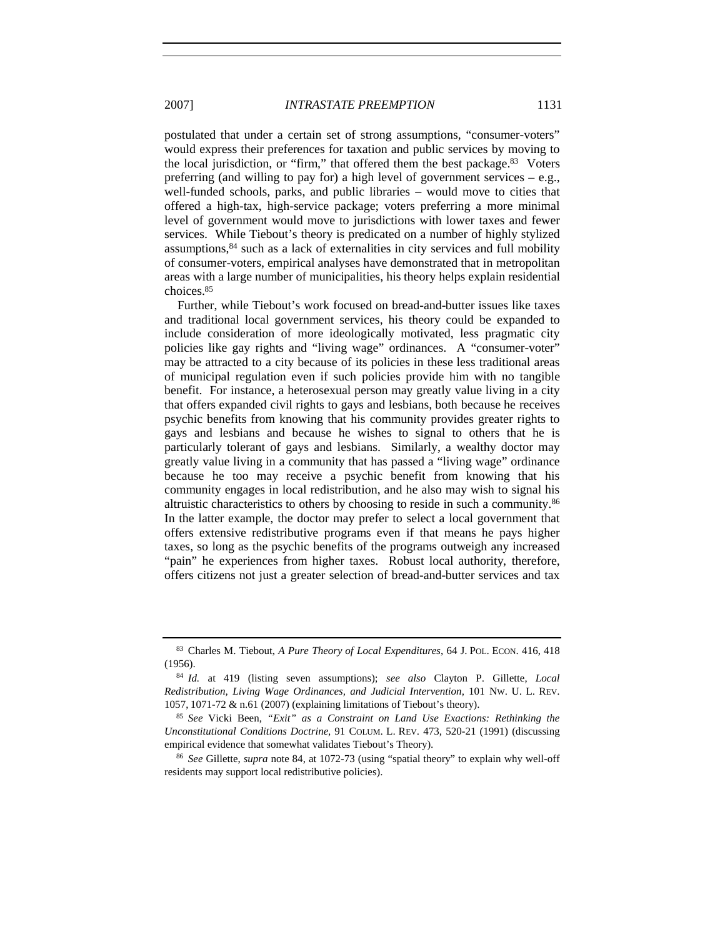postulated that under a certain set of strong assumptions, "consumer-voters" would express their preferences for taxation and public services by moving to the local jurisdiction, or "firm," that offered them the best package.83 Voters preferring (and willing to pay for) a high level of government services  $-e.g.,$ well-funded schools, parks, and public libraries – would move to cities that offered a high-tax, high-service package; voters preferring a more minimal level of government would move to jurisdictions with lower taxes and fewer services. While Tiebout's theory is predicated on a number of highly stylized assumptions, $84$  such as a lack of externalities in city services and full mobility of consumer-voters, empirical analyses have demonstrated that in metropolitan areas with a large number of municipalities, his theory helps explain residential choices.85

Further, while Tiebout's work focused on bread-and-butter issues like taxes and traditional local government services, his theory could be expanded to include consideration of more ideologically motivated, less pragmatic city policies like gay rights and "living wage" ordinances. A "consumer-voter" may be attracted to a city because of its policies in these less traditional areas of municipal regulation even if such policies provide him with no tangible benefit. For instance, a heterosexual person may greatly value living in a city that offers expanded civil rights to gays and lesbians, both because he receives psychic benefits from knowing that his community provides greater rights to gays and lesbians and because he wishes to signal to others that he is particularly tolerant of gays and lesbians. Similarly, a wealthy doctor may greatly value living in a community that has passed a "living wage" ordinance because he too may receive a psychic benefit from knowing that his community engages in local redistribution, and he also may wish to signal his altruistic characteristics to others by choosing to reside in such a community.86 In the latter example, the doctor may prefer to select a local government that offers extensive redistributive programs even if that means he pays higher taxes, so long as the psychic benefits of the programs outweigh any increased "pain" he experiences from higher taxes. Robust local authority, therefore, offers citizens not just a greater selection of bread-and-butter services and tax

<sup>83</sup> Charles M. Tiebout, *A Pure Theory of Local Expenditures*, 64 J. POL. ECON. 416, 418 (1956).

<sup>84</sup> *Id.* at 419 (listing seven assumptions); *see also* Clayton P. Gillette, *Local Redistribution, Living Wage Ordinances, and Judicial Intervention*, 101 NW. U. L. REV. 1057, 1071-72 & n.61 (2007) (explaining limitations of Tiebout's theory).

<sup>85</sup> *See* Vicki Been, *"Exit" as a Constraint on Land Use Exactions: Rethinking the Unconstitutional Conditions Doctrine*, 91 COLUM. L. REV. 473, 520-21 (1991) (discussing empirical evidence that somewhat validates Tiebout's Theory).

<sup>86</sup> *See* Gillette, *supra* note 84, at 1072-73 (using "spatial theory" to explain why well-off residents may support local redistributive policies).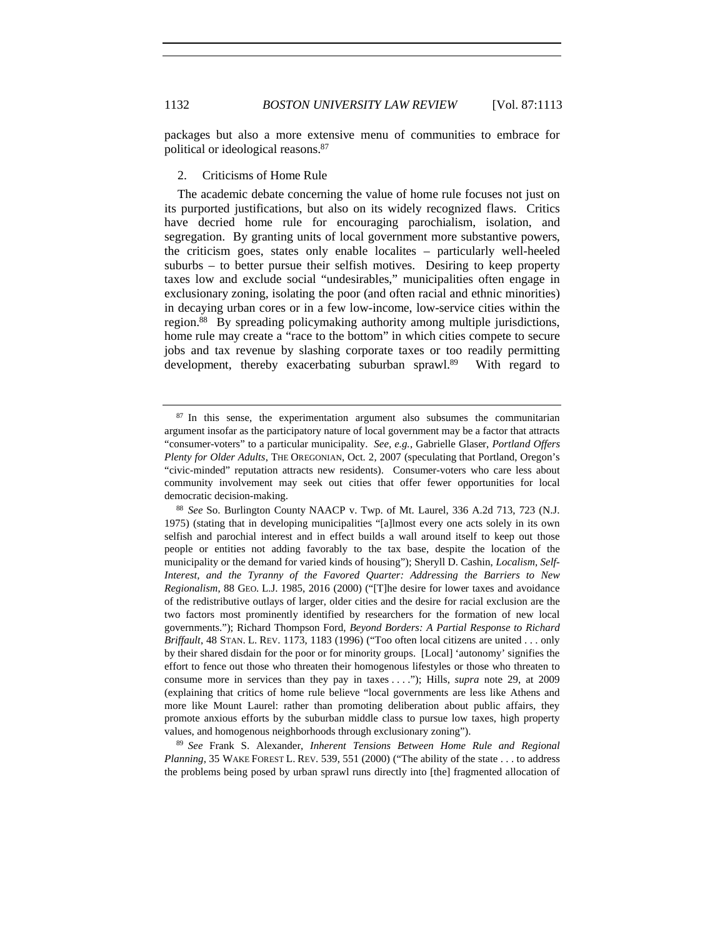packages but also a more extensive menu of communities to embrace for political or ideological reasons.87

# 2. Criticisms of Home Rule

The academic debate concerning the value of home rule focuses not just on its purported justifications, but also on its widely recognized flaws. Critics have decried home rule for encouraging parochialism, isolation, and segregation. By granting units of local government more substantive powers, the criticism goes, states only enable localites – particularly well-heeled suburbs – to better pursue their selfish motives. Desiring to keep property taxes low and exclude social "undesirables," municipalities often engage in exclusionary zoning, isolating the poor (and often racial and ethnic minorities) in decaying urban cores or in a few low-income, low-service cities within the region.88 By spreading policymaking authority among multiple jurisdictions, home rule may create a "race to the bottom" in which cities compete to secure jobs and tax revenue by slashing corporate taxes or too readily permitting development, thereby exacerbating suburban sprawl.<sup>89</sup> With regard to

<sup>89</sup> *See* Frank S. Alexander, *Inherent Tensions Between Home Rule and Regional Planning*, 35 WAKE FOREST L. REV. 539, 551 (2000) ("The ability of the state . . . to address the problems being posed by urban sprawl runs directly into [the] fragmented allocation of

<sup>&</sup>lt;sup>87</sup> In this sense, the experimentation argument also subsumes the communitarian argument insofar as the participatory nature of local government may be a factor that attracts "consumer-voters" to a particular municipality. *See, e.g.*, Gabrielle Glaser, *Portland Offers Plenty for Older Adults*, THE OREGONIAN, Oct. 2, 2007 (speculating that Portland, Oregon's "civic-minded" reputation attracts new residents). Consumer-voters who care less about community involvement may seek out cities that offer fewer opportunities for local democratic decision-making.

<sup>88</sup> *See* So. Burlington County NAACP v. Twp. of Mt. Laurel, 336 A.2d 713, 723 (N.J. 1975) (stating that in developing municipalities "[a]lmost every one acts solely in its own selfish and parochial interest and in effect builds a wall around itself to keep out those people or entities not adding favorably to the tax base, despite the location of the municipality or the demand for varied kinds of housing"); Sheryll D. Cashin, *Localism, Self-Interest, and the Tyranny of the Favored Quarter: Addressing the Barriers to New Regionalism*, 88 GEO. L.J. 1985, 2016 (2000) ("[T]he desire for lower taxes and avoidance of the redistributive outlays of larger, older cities and the desire for racial exclusion are the two factors most prominently identified by researchers for the formation of new local governments."); Richard Thompson Ford, *Beyond Borders: A Partial Response to Richard Briffault*, 48 STAN. L. REV. 1173, 1183 (1996) ("Too often local citizens are united . . . only by their shared disdain for the poor or for minority groups. [Local] 'autonomy' signifies the effort to fence out those who threaten their homogenous lifestyles or those who threaten to consume more in services than they pay in taxes . . . ."); Hills, *supra* note 29, at 2009 (explaining that critics of home rule believe "local governments are less like Athens and more like Mount Laurel: rather than promoting deliberation about public affairs, they promote anxious efforts by the suburban middle class to pursue low taxes, high property values, and homogenous neighborhoods through exclusionary zoning").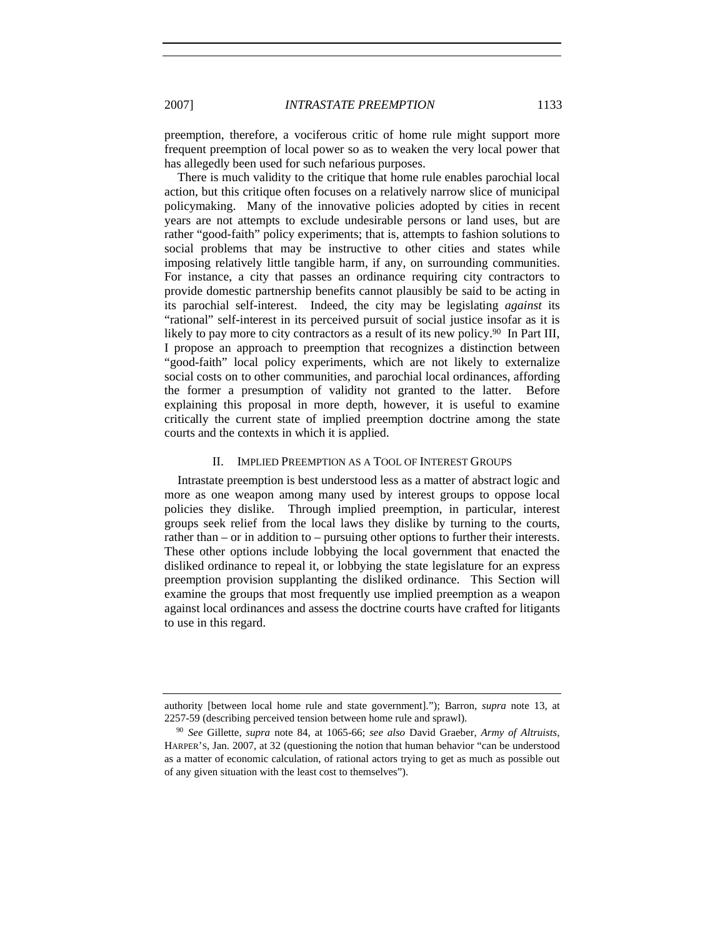preemption, therefore, a vociferous critic of home rule might support more frequent preemption of local power so as to weaken the very local power that has allegedly been used for such nefarious purposes.

There is much validity to the critique that home rule enables parochial local action, but this critique often focuses on a relatively narrow slice of municipal policymaking. Many of the innovative policies adopted by cities in recent years are not attempts to exclude undesirable persons or land uses, but are rather "good-faith" policy experiments; that is, attempts to fashion solutions to social problems that may be instructive to other cities and states while imposing relatively little tangible harm, if any, on surrounding communities. For instance, a city that passes an ordinance requiring city contractors to provide domestic partnership benefits cannot plausibly be said to be acting in its parochial self-interest. Indeed, the city may be legislating *against* its "rational" self-interest in its perceived pursuit of social justice insofar as it is likely to pay more to city contractors as a result of its new policy.<sup>90</sup> In Part III, I propose an approach to preemption that recognizes a distinction between "good-faith" local policy experiments, which are not likely to externalize social costs on to other communities, and parochial local ordinances, affording the former a presumption of validity not granted to the latter. Before explaining this proposal in more depth, however, it is useful to examine critically the current state of implied preemption doctrine among the state courts and the contexts in which it is applied.

### II. IMPLIED PREEMPTION AS A TOOL OF INTEREST GROUPS

Intrastate preemption is best understood less as a matter of abstract logic and more as one weapon among many used by interest groups to oppose local policies they dislike. Through implied preemption, in particular, interest groups seek relief from the local laws they dislike by turning to the courts, rather than – or in addition to – pursuing other options to further their interests. These other options include lobbying the local government that enacted the disliked ordinance to repeal it, or lobbying the state legislature for an express preemption provision supplanting the disliked ordinance. This Section will examine the groups that most frequently use implied preemption as a weapon against local ordinances and assess the doctrine courts have crafted for litigants to use in this regard.

authority [between local home rule and state government]."); Barron, *supra* note 13, at 2257-59 (describing perceived tension between home rule and sprawl).

<sup>90</sup> *See* Gillette, *supra* note 84, at 1065-66; *see also* David Graeber, *Army of Altruists*, HARPER'S, Jan. 2007, at 32 (questioning the notion that human behavior "can be understood as a matter of economic calculation, of rational actors trying to get as much as possible out of any given situation with the least cost to themselves").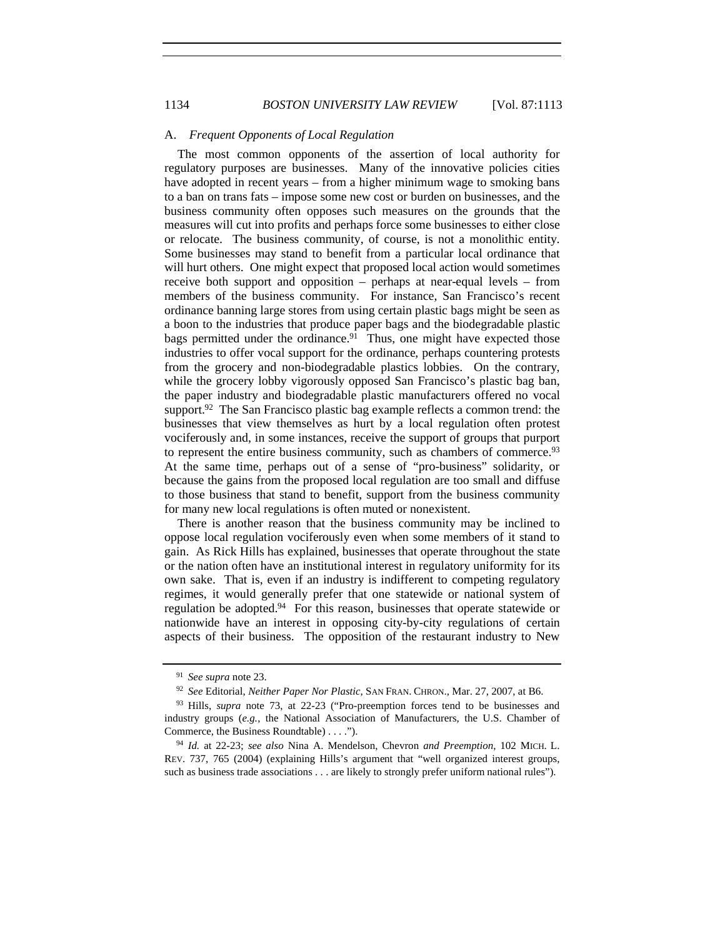## A. *Frequent Opponents of Local Regulation*

The most common opponents of the assertion of local authority for regulatory purposes are businesses. Many of the innovative policies cities have adopted in recent years – from a higher minimum wage to smoking bans to a ban on trans fats – impose some new cost or burden on businesses, and the business community often opposes such measures on the grounds that the measures will cut into profits and perhaps force some businesses to either close or relocate. The business community, of course, is not a monolithic entity. Some businesses may stand to benefit from a particular local ordinance that will hurt others. One might expect that proposed local action would sometimes receive both support and opposition – perhaps at near-equal levels – from members of the business community. For instance, San Francisco's recent ordinance banning large stores from using certain plastic bags might be seen as a boon to the industries that produce paper bags and the biodegradable plastic bags permitted under the ordinance.<sup>91</sup> Thus, one might have expected those industries to offer vocal support for the ordinance, perhaps countering protests from the grocery and non-biodegradable plastics lobbies. On the contrary, while the grocery lobby vigorously opposed San Francisco's plastic bag ban, the paper industry and biodegradable plastic manufacturers offered no vocal support.<sup>92</sup> The San Francisco plastic bag example reflects a common trend: the businesses that view themselves as hurt by a local regulation often protest vociferously and, in some instances, receive the support of groups that purport to represent the entire business community, such as chambers of commerce.93 At the same time, perhaps out of a sense of "pro-business" solidarity, or because the gains from the proposed local regulation are too small and diffuse to those business that stand to benefit, support from the business community for many new local regulations is often muted or nonexistent.

There is another reason that the business community may be inclined to oppose local regulation vociferously even when some members of it stand to gain. As Rick Hills has explained, businesses that operate throughout the state or the nation often have an institutional interest in regulatory uniformity for its own sake. That is, even if an industry is indifferent to competing regulatory regimes, it would generally prefer that one statewide or national system of regulation be adopted.94 For this reason, businesses that operate statewide or nationwide have an interest in opposing city-by-city regulations of certain aspects of their business. The opposition of the restaurant industry to New

<sup>91</sup> *See supra* note 23.

<sup>92</sup> *See* Editorial, *Neither Paper Nor Plastic*, SAN FRAN. CHRON., Mar. 27, 2007, at B6.

<sup>93</sup> Hills, *supra* note 73, at 22-23 ("Pro-preemption forces tend to be businesses and industry groups (*e.g.*, the National Association of Manufacturers, the U.S. Chamber of Commerce, the Business Roundtable) . . . .").

<sup>94</sup> *Id.* at 22-23; *see also* Nina A. Mendelson, Chevron *and Preemption*, 102 MICH. L. REV. 737, 765 (2004) (explaining Hills's argument that "well organized interest groups, such as business trade associations . . . are likely to strongly prefer uniform national rules").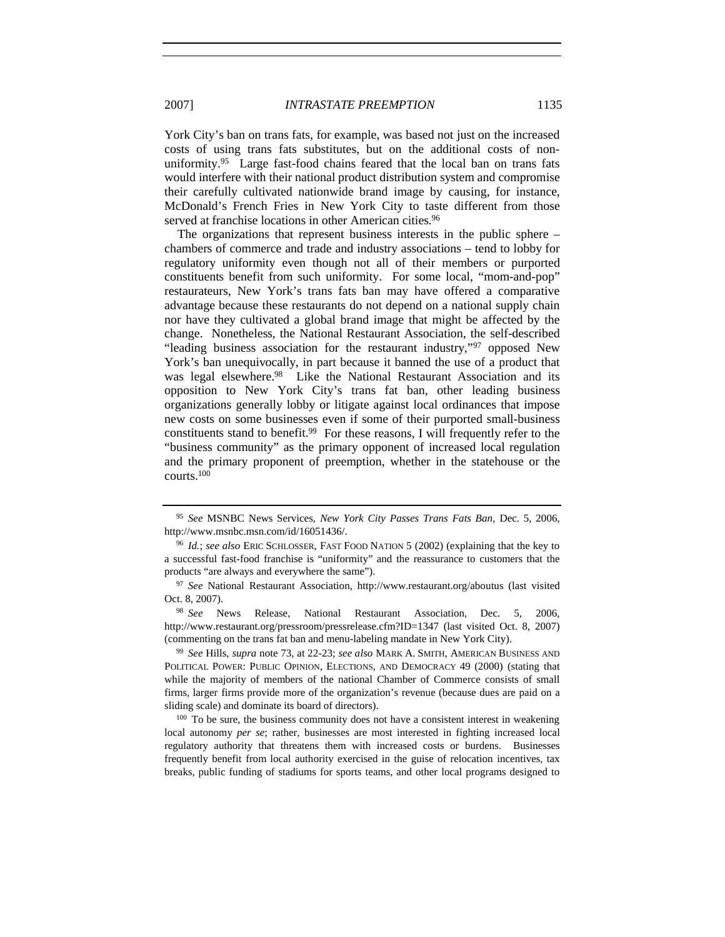York City's ban on trans fats, for example, was based not just on the increased costs of using trans fats substitutes, but on the additional costs of nonuniformity.<sup>95</sup> Large fast-food chains feared that the local ban on trans fats would interfere with their national product distribution system and compromise their carefully cultivated nationwide brand image by causing, for instance, McDonald's French Fries in New York City to taste different from those served at franchise locations in other American cities.<sup>96</sup>

The organizations that represent business interests in the public sphere – chambers of commerce and trade and industry associations – tend to lobby for regulatory uniformity even though not all of their members or purported constituents benefit from such uniformity. For some local, "mom-and-pop" restaurateurs, New York's trans fats ban may have offered a comparative advantage because these restaurants do not depend on a national supply chain nor have they cultivated a global brand image that might be affected by the change. Nonetheless, the National Restaurant Association, the self-described "leading business association for the restaurant industry,"97 opposed New York's ban unequivocally, in part because it banned the use of a product that was legal elsewhere.<sup>98</sup> Like the National Restaurant Association and its opposition to New York City's trans fat ban, other leading business organizations generally lobby or litigate against local ordinances that impose new costs on some businesses even if some of their purported small-business constituents stand to benefit.99 For these reasons, I will frequently refer to the "business community" as the primary opponent of increased local regulation and the primary proponent of preemption, whether in the statehouse or the courts.100

<sup>98</sup> *See* News Release, National Restaurant Association, Dec. 5, 2006, http://www.restaurant.org/pressroom/pressrelease.cfm?ID=1347 (last visited Oct. 8, 2007) (commenting on the trans fat ban and menu-labeling mandate in New York City).

<sup>99</sup> *See* Hills, *supra* note 73, at 22-23; *see also* MARK A. SMITH, AMERICAN BUSINESS AND POLITICAL POWER: PUBLIC OPINION, ELECTIONS, AND DEMOCRACY 49 (2000) (stating that while the majority of members of the national Chamber of Commerce consists of small firms, larger firms provide more of the organization's revenue (because dues are paid on a sliding scale) and dominate its board of directors).

<sup>100</sup> To be sure, the business community does not have a consistent interest in weakening local autonomy *per se*; rather, businesses are most interested in fighting increased local regulatory authority that threatens them with increased costs or burdens. Businesses frequently benefit from local authority exercised in the guise of relocation incentives, tax breaks, public funding of stadiums for sports teams, and other local programs designed to

<sup>95</sup> *See* MSNBC News Services, *New York City Passes Trans Fats Ban*, Dec. 5, 2006, http://www.msnbc.msn.com/id/16051436/.

<sup>96</sup> *Id.*; *see also* ERIC SCHLOSSER, FAST FOOD NATION 5 (2002) (explaining that the key to a successful fast-food franchise is "uniformity" and the reassurance to customers that the products "are always and everywhere the same").

<sup>97</sup> *See* National Restaurant Association, http://www.restaurant.org/aboutus (last visited Oct. 8, 2007).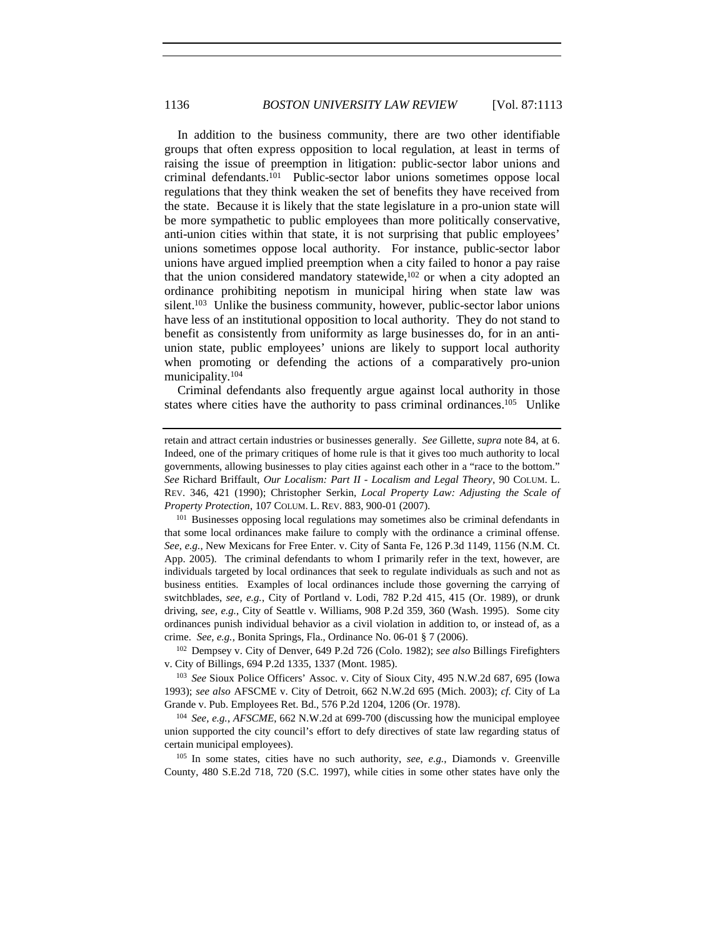In addition to the business community, there are two other identifiable groups that often express opposition to local regulation, at least in terms of raising the issue of preemption in litigation: public-sector labor unions and criminal defendants.101 Public-sector labor unions sometimes oppose local regulations that they think weaken the set of benefits they have received from the state. Because it is likely that the state legislature in a pro-union state will be more sympathetic to public employees than more politically conservative, anti-union cities within that state, it is not surprising that public employees' unions sometimes oppose local authority. For instance, public-sector labor unions have argued implied preemption when a city failed to honor a pay raise that the union considered mandatory statewide, $102$  or when a city adopted an ordinance prohibiting nepotism in municipal hiring when state law was silent.<sup>103</sup> Unlike the business community, however, public-sector labor unions have less of an institutional opposition to local authority. They do not stand to benefit as consistently from uniformity as large businesses do, for in an antiunion state, public employees' unions are likely to support local authority when promoting or defending the actions of a comparatively pro-union municipality.104

Criminal defendants also frequently argue against local authority in those states where cities have the authority to pass criminal ordinances.105 Unlike

<sup>102</sup> Dempsey v. City of Denver, 649 P.2d 726 (Colo. 1982); *see also* Billings Firefighters v. City of Billings, 694 P.2d 1335, 1337 (Mont. 1985).

<sup>103</sup> *See* Sioux Police Officers' Assoc. v. City of Sioux City, 495 N.W.2d 687, 695 (Iowa 1993); *see also* AFSCME v. City of Detroit, 662 N.W.2d 695 (Mich. 2003); *cf.* City of La Grande v. Pub. Employees Ret. Bd., 576 P.2d 1204, 1206 (Or. 1978).

<sup>104</sup> *See, e.g.*, *AFSCME*, 662 N.W.2d at 699-700 (discussing how the municipal employee union supported the city council's effort to defy directives of state law regarding status of certain municipal employees).

<sup>105</sup> In some states, cities have no such authority, *see*, *e.g.*, Diamonds v. Greenville County, 480 S.E.2d 718, 720 (S.C. 1997), while cities in some other states have only the

retain and attract certain industries or businesses generally. *See* Gillette, *supra* note 84, at 6. Indeed, one of the primary critiques of home rule is that it gives too much authority to local governments, allowing businesses to play cities against each other in a "race to the bottom." *See* Richard Briffault, *Our Localism: Part II - Localism and Legal Theory*, 90 COLUM. L. REV. 346, 421 (1990); Christopher Serkin, *Local Property Law: Adjusting the Scale of Property Protection*, 107 COLUM. L. REV. 883, 900-01 (2007).

<sup>&</sup>lt;sup>101</sup> Businesses opposing local regulations may sometimes also be criminal defendants in that some local ordinances make failure to comply with the ordinance a criminal offense. *See*, *e.g.*, New Mexicans for Free Enter. v. City of Santa Fe, 126 P.3d 1149, 1156 (N.M. Ct. App. 2005). The criminal defendants to whom I primarily refer in the text, however, are individuals targeted by local ordinances that seek to regulate individuals as such and not as business entities. Examples of local ordinances include those governing the carrying of switchblades, *see, e.g.*, City of Portland v. Lodi, 782 P.2d 415, 415 (Or. 1989), or drunk driving, *see, e.g.*, City of Seattle v. Williams, 908 P.2d 359, 360 (Wash. 1995). Some city ordinances punish individual behavior as a civil violation in addition to, or instead of, as a crime. *See, e.g.*, Bonita Springs, Fla., Ordinance No. 06-01 § 7 (2006).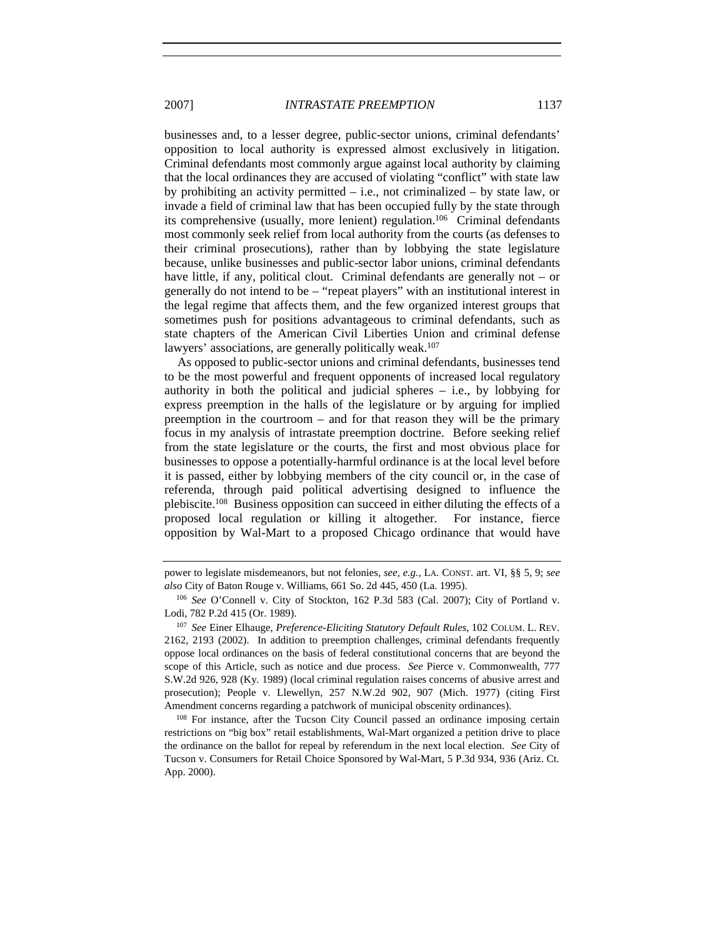businesses and, to a lesser degree, public-sector unions, criminal defendants' opposition to local authority is expressed almost exclusively in litigation. Criminal defendants most commonly argue against local authority by claiming that the local ordinances they are accused of violating "conflict" with state law by prohibiting an activity permitted – i.e., not criminalized – by state law, or invade a field of criminal law that has been occupied fully by the state through its comprehensive (usually, more lenient) regulation.<sup>106</sup> Criminal defendants most commonly seek relief from local authority from the courts (as defenses to their criminal prosecutions), rather than by lobbying the state legislature because, unlike businesses and public-sector labor unions, criminal defendants have little, if any, political clout. Criminal defendants are generally not – or generally do not intend to be – "repeat players" with an institutional interest in the legal regime that affects them, and the few organized interest groups that sometimes push for positions advantageous to criminal defendants, such as state chapters of the American Civil Liberties Union and criminal defense lawyers' associations, are generally politically weak.<sup>107</sup>

As opposed to public-sector unions and criminal defendants, businesses tend to be the most powerful and frequent opponents of increased local regulatory authority in both the political and judicial spheres – i.e., by lobbying for express preemption in the halls of the legislature or by arguing for implied preemption in the courtroom – and for that reason they will be the primary focus in my analysis of intrastate preemption doctrine. Before seeking relief from the state legislature or the courts, the first and most obvious place for businesses to oppose a potentially-harmful ordinance is at the local level before it is passed, either by lobbying members of the city council or, in the case of referenda, through paid political advertising designed to influence the plebiscite.108 Business opposition can succeed in either diluting the effects of a proposed local regulation or killing it altogether. For instance, fierce opposition by Wal-Mart to a proposed Chicago ordinance that would have

power to legislate misdemeanors, but not felonies, *see, e.g.*, LA. CONST. art. VI, §§ 5, 9; *see also* City of Baton Rouge v. Williams, 661 So. 2d 445, 450 (La. 1995).

<sup>106</sup> *See* O'Connell v. City of Stockton, 162 P.3d 583 (Cal. 2007); City of Portland v. Lodi, 782 P.2d 415 (Or. 1989).

<sup>107</sup> *See* Einer Elhauge, *Preference-Eliciting Statutory Default Rules*, 102 COLUM. L. REV. 2162, 2193 (2002). In addition to preemption challenges, criminal defendants frequently oppose local ordinances on the basis of federal constitutional concerns that are beyond the scope of this Article, such as notice and due process. *See* Pierce v. Commonwealth, 777 S.W.2d 926, 928 (Ky. 1989) (local criminal regulation raises concerns of abusive arrest and prosecution); People v. Llewellyn, 257 N.W.2d 902, 907 (Mich. 1977) (citing First Amendment concerns regarding a patchwork of municipal obscenity ordinances).

<sup>108</sup> For instance, after the Tucson City Council passed an ordinance imposing certain restrictions on "big box" retail establishments, Wal-Mart organized a petition drive to place the ordinance on the ballot for repeal by referendum in the next local election. *See* City of Tucson v. Consumers for Retail Choice Sponsored by Wal-Mart, 5 P.3d 934, 936 (Ariz. Ct. App. 2000).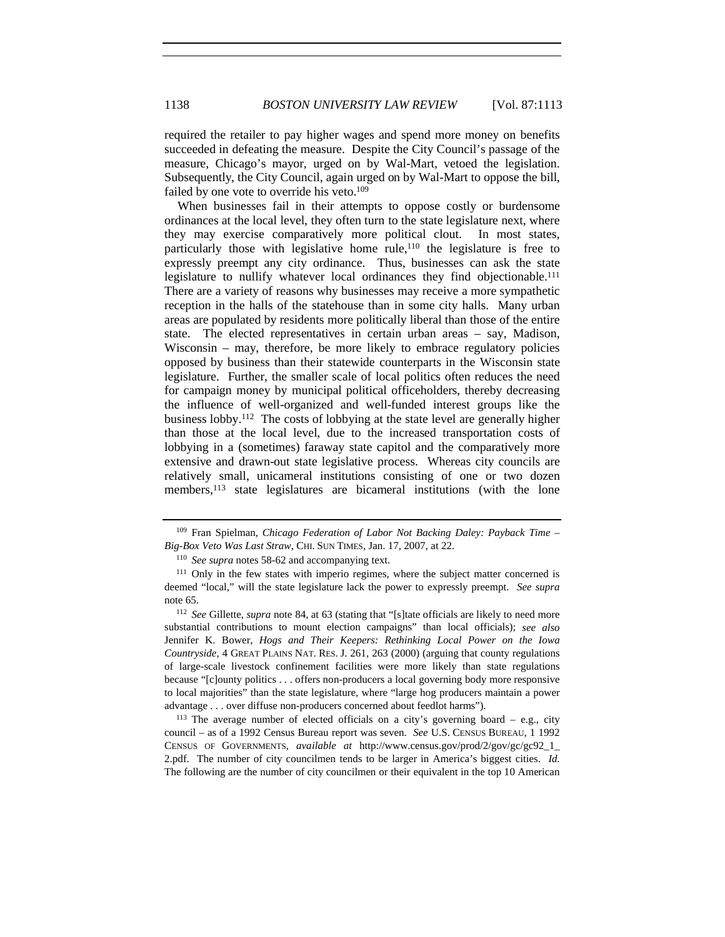required the retailer to pay higher wages and spend more money on benefits succeeded in defeating the measure. Despite the City Council's passage of the measure, Chicago's mayor, urged on by Wal-Mart, vetoed the legislation. Subsequently, the City Council, again urged on by Wal-Mart to oppose the bill, failed by one vote to override his veto.<sup>109</sup>

When businesses fail in their attempts to oppose costly or burdensome ordinances at the local level, they often turn to the state legislature next, where they may exercise comparatively more political clout. In most states, particularly those with legislative home rule,110 the legislature is free to expressly preempt any city ordinance. Thus, businesses can ask the state legislature to nullify whatever local ordinances they find objectionable.<sup>111</sup> There are a variety of reasons why businesses may receive a more sympathetic reception in the halls of the statehouse than in some city halls. Many urban areas are populated by residents more politically liberal than those of the entire state. The elected representatives in certain urban areas – say, Madison, Wisconsin – may, therefore, be more likely to embrace regulatory policies opposed by business than their statewide counterparts in the Wisconsin state legislature. Further, the smaller scale of local politics often reduces the need for campaign money by municipal political officeholders, thereby decreasing the influence of well-organized and well-funded interest groups like the business lobby.112 The costs of lobbying at the state level are generally higher than those at the local level, due to the increased transportation costs of lobbying in a (sometimes) faraway state capitol and the comparatively more extensive and drawn-out state legislative process. Whereas city councils are relatively small, unicameral institutions consisting of one or two dozen members,<sup>113</sup> state legislatures are bicameral institutions (with the lone

<sup>109</sup> Fran Spielman, *Chicago Federation of Labor Not Backing Daley: Payback Time – Big-Box Veto Was Last Straw*, CHI. SUN TIMES, Jan. 17, 2007, at 22.

<sup>110</sup> *See supra* notes 58-62 and accompanying text.

<sup>&</sup>lt;sup>111</sup> Only in the few states with imperio regimes, where the subject matter concerned is deemed "local," will the state legislature lack the power to expressly preempt. *See supra*  note 65.

<sup>112</sup> *See* Gillette, *supra* note 84, at 63 (stating that "[s]tate officials are likely to need more substantial contributions to mount election campaigns" than local officials); *see also*  Jennifer K. Bower, *Hogs and Their Keepers: Rethinking Local Power on the Iowa Countryside*, 4 GREAT PLAINS NAT. RES. J. 261, 263 (2000) (arguing that county regulations of large-scale livestock confinement facilities were more likely than state regulations because "[c]ounty politics . . . offers non-producers a local governing body more responsive to local majorities" than the state legislature, where "large hog producers maintain a power advantage . . . over diffuse non-producers concerned about feedlot harms").

<sup>&</sup>lt;sup>113</sup> The average number of elected officials on a city's governing board  $-$  e.g., city council – as of a 1992 Census Bureau report was seven. *See* U.S. CENSUS BUREAU, 1 1992 CENSUS OF GOVERNMENTS, *available at* http://www.census.gov/prod/2/gov/gc/gc92\_1\_ 2.pdf. The number of city councilmen tends to be larger in America's biggest cities. *Id.* The following are the number of city councilmen or their equivalent in the top 10 American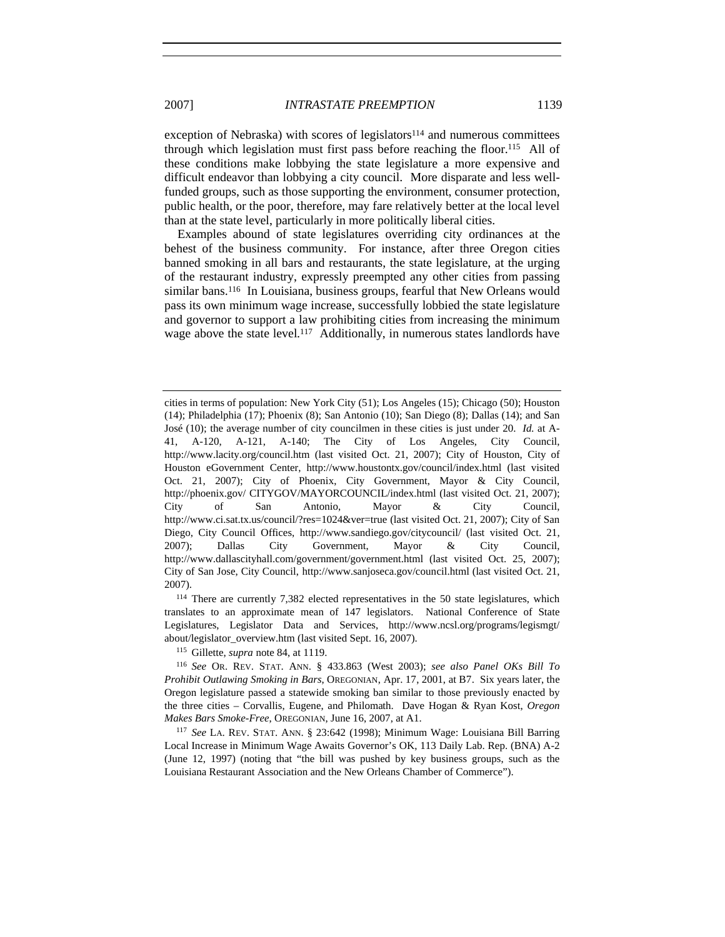exception of Nebraska) with scores of legislators $114$  and numerous committees through which legislation must first pass before reaching the floor.115 All of these conditions make lobbying the state legislature a more expensive and difficult endeavor than lobbying a city council. More disparate and less wellfunded groups, such as those supporting the environment, consumer protection, public health, or the poor, therefore, may fare relatively better at the local level than at the state level, particularly in more politically liberal cities.

Examples abound of state legislatures overriding city ordinances at the behest of the business community. For instance, after three Oregon cities banned smoking in all bars and restaurants, the state legislature, at the urging of the restaurant industry, expressly preempted any other cities from passing similar bans.<sup>116</sup> In Louisiana, business groups, fearful that New Orleans would pass its own minimum wage increase, successfully lobbied the state legislature and governor to support a law prohibiting cities from increasing the minimum wage above the state level.<sup>117</sup> Additionally, in numerous states landlords have

<sup>114</sup> There are currently 7,382 elected representatives in the 50 state legislatures, which translates to an approximate mean of 147 legislators. National Conference of State Legislatures, Legislator Data and Services, http://www.ncsl.org/programs/legismgt/ about/legislator\_overview.htm (last visited Sept. 16, 2007).

<sup>115</sup> Gillette, *supra* note 84, at 1119.

<sup>116</sup> *See* OR. REV. STAT. ANN. § 433.863 (West 2003); *see also Panel OKs Bill To Prohibit Outlawing Smoking in Bars*, OREGONIAN, Apr. 17, 2001, at B7. Six years later, the Oregon legislature passed a statewide smoking ban similar to those previously enacted by the three cities – Corvallis, Eugene, and Philomath. Dave Hogan & Ryan Kost, *Oregon Makes Bars Smoke-Free*, OREGONIAN, June 16, 2007, at A1.

<sup>117</sup> *See* LA. REV. STAT. ANN. § 23:642 (1998); Minimum Wage: Louisiana Bill Barring Local Increase in Minimum Wage Awaits Governor's OK, 113 Daily Lab. Rep. (BNA) A-2 (June 12, 1997) (noting that "the bill was pushed by key business groups, such as the Louisiana Restaurant Association and the New Orleans Chamber of Commerce").

cities in terms of population: New York City (51); Los Angeles (15); Chicago (50); Houston (14); Philadelphia (17); Phoenix (8); San Antonio (10); San Diego (8); Dallas (14); and San José (10); the average number of city councilmen in these cities is just under 20. *Id.* at A-41, A-120, A-121, A-140; The City of Los Angeles, City Council, http://www.lacity.org/council.htm (last visited Oct. 21, 2007); City of Houston, City of Houston eGovernment Center, http://www.houstontx.gov/council/index.html (last visited Oct. 21, 2007); City of Phoenix, City Government, Mayor & City Council, http://phoenix.gov/ CITYGOV/MAYORCOUNCIL/index.html (last visited Oct. 21, 2007); City of San Antonio, Mayor & City Council, http://www.ci.sat.tx.us/council/?res=1024&ver=true (last visited Oct. 21, 2007); City of San Diego, City Council Offices, http://www.sandiego.gov/citycouncil/ (last visited Oct. 21, 2007); Dallas City Government, Mayor & City Council, http://www.dallascityhall.com/government/government.html (last visited Oct. 25, 2007); City of San Jose, City Council, http://www.sanjoseca.gov/council.html (last visited Oct. 21, 2007).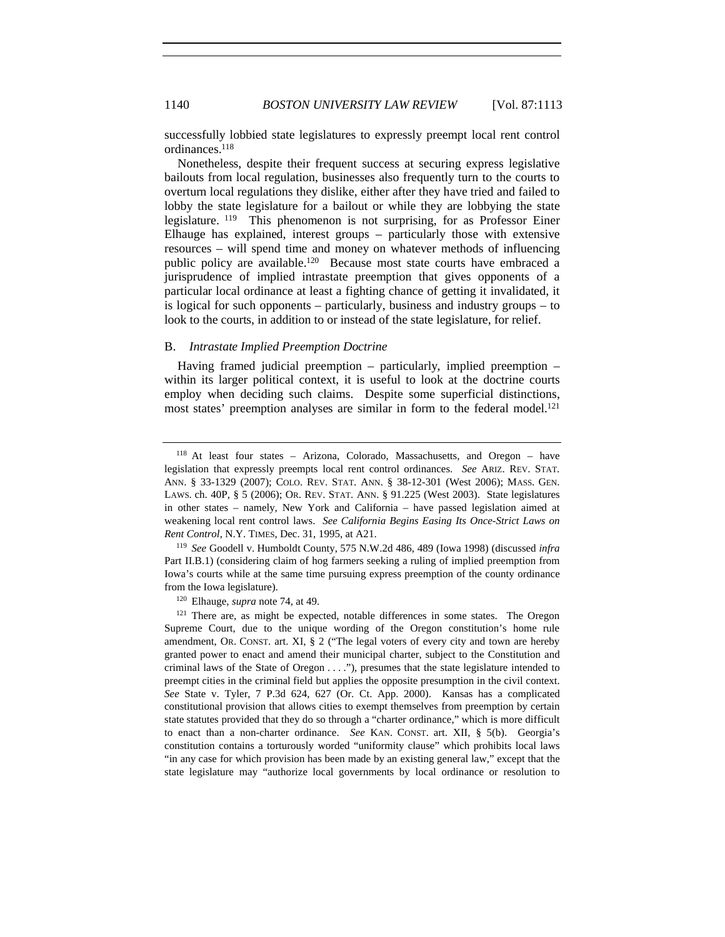successfully lobbied state legislatures to expressly preempt local rent control ordinances.118

Nonetheless, despite their frequent success at securing express legislative bailouts from local regulation, businesses also frequently turn to the courts to overturn local regulations they dislike, either after they have tried and failed to lobby the state legislature for a bailout or while they are lobbying the state legislature. 119 This phenomenon is not surprising, for as Professor Einer Elhauge has explained, interest groups – particularly those with extensive resources – will spend time and money on whatever methods of influencing public policy are available.<sup>120</sup> Because most state courts have embraced a jurisprudence of implied intrastate preemption that gives opponents of a particular local ordinance at least a fighting chance of getting it invalidated, it is logical for such opponents – particularly, business and industry groups – to look to the courts, in addition to or instead of the state legislature, for relief.

# B. *Intrastate Implied Preemption Doctrine*

Having framed judicial preemption – particularly, implied preemption – within its larger political context, it is useful to look at the doctrine courts employ when deciding such claims. Despite some superficial distinctions, most states' preemption analyses are similar in form to the federal model.<sup>121</sup>

<sup>119</sup> *See* Goodell v. Humboldt County, 575 N.W.2d 486, 489 (Iowa 1998) (discussed *infra* Part II.B.1) (considering claim of hog farmers seeking a ruling of implied preemption from Iowa's courts while at the same time pursuing express preemption of the county ordinance from the Iowa legislature).

<sup>120</sup> Elhauge, *supra* note 74, at 49.

<sup>121</sup> There are, as might be expected, notable differences in some states. The Oregon Supreme Court, due to the unique wording of the Oregon constitution's home rule amendment, OR. CONST. art. XI, § 2 ("The legal voters of every city and town are hereby granted power to enact and amend their municipal charter, subject to the Constitution and criminal laws of the State of Oregon . . . ."), presumes that the state legislature intended to preempt cities in the criminal field but applies the opposite presumption in the civil context. *See* State v. Tyler, 7 P.3d 624, 627 (Or. Ct. App. 2000). Kansas has a complicated constitutional provision that allows cities to exempt themselves from preemption by certain state statutes provided that they do so through a "charter ordinance," which is more difficult to enact than a non-charter ordinance. *See* KAN. CONST. art. XII, § 5(b). Georgia's constitution contains a torturously worded "uniformity clause" which prohibits local laws "in any case for which provision has been made by an existing general law," except that the state legislature may "authorize local governments by local ordinance or resolution to

<sup>118</sup> At least four states – Arizona, Colorado, Massachusetts, and Oregon – have legislation that expressly preempts local rent control ordinances. *See* ARIZ. REV. STAT. ANN. § 33-1329 (2007); COLO. REV. STAT. ANN. § 38-12-301 (West 2006); MASS. GEN. LAWS. ch. 40P, § 5 (2006); OR. REV. STAT. ANN. § 91.225 (West 2003). State legislatures in other states – namely, New York and California – have passed legislation aimed at weakening local rent control laws. *See California Begins Easing Its Once-Strict Laws on Rent Control*, N.Y. TIMES, Dec. 31, 1995, at A21.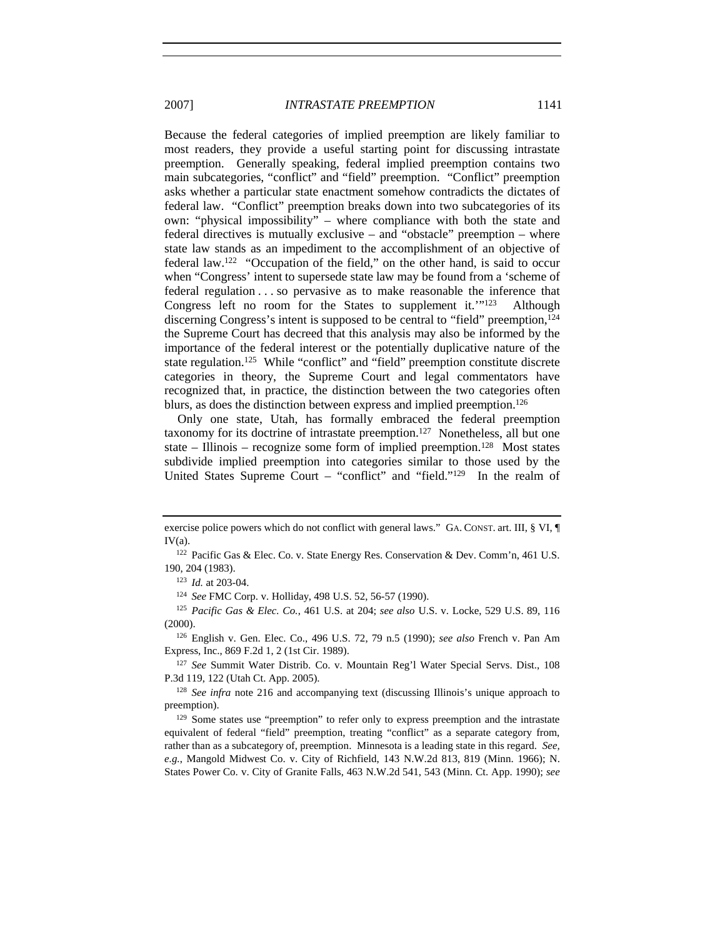Because the federal categories of implied preemption are likely familiar to most readers, they provide a useful starting point for discussing intrastate preemption. Generally speaking, federal implied preemption contains two main subcategories, "conflict" and "field" preemption. "Conflict" preemption asks whether a particular state enactment somehow contradicts the dictates of federal law. "Conflict" preemption breaks down into two subcategories of its own: "physical impossibility" – where compliance with both the state and federal directives is mutually exclusive – and "obstacle" preemption – where state law stands as an impediment to the accomplishment of an objective of federal law.122 "Occupation of the field," on the other hand, is said to occur when "Congress' intent to supersede state law may be found from a 'scheme of federal regulation . . . so pervasive as to make reasonable the inference that Congress left no room for the States to supplement it.'"123 Although discerning Congress's intent is supposed to be central to "field" preemption,<sup>124</sup> the Supreme Court has decreed that this analysis may also be informed by the importance of the federal interest or the potentially duplicative nature of the state regulation.<sup>125</sup> While "conflict" and "field" preemption constitute discrete categories in theory, the Supreme Court and legal commentators have recognized that, in practice, the distinction between the two categories often blurs, as does the distinction between express and implied preemption.<sup>126</sup>

Only one state, Utah, has formally embraced the federal preemption taxonomy for its doctrine of intrastate preemption.127 Nonetheless, all but one state – Illinois – recognize some form of implied preemption.<sup>128</sup> Most states subdivide implied preemption into categories similar to those used by the United States Supreme Court – "conflict" and "field."129 In the realm of

<sup>124</sup> *See* FMC Corp. v. Holliday, 498 U.S. 52, 56-57 (1990).

<sup>125</sup> *Pacific Gas & Elec. Co.*, 461 U.S. at 204; *see also* U.S. v. Locke, 529 U.S. 89, 116 (2000).

<sup>126</sup> English v. Gen. Elec. Co., 496 U.S. 72, 79 n.5 (1990); *see also* French v. Pan Am Express, Inc., 869 F.2d 1, 2 (1st Cir. 1989).

<sup>127</sup> *See* Summit Water Distrib. Co. v. Mountain Reg'l Water Special Servs. Dist., 108 P.3d 119, 122 (Utah Ct. App. 2005).

<sup>128</sup> *See infra* note 216 and accompanying text (discussing Illinois's unique approach to preemption).

 $129$  Some states use "preemption" to refer only to express preemption and the intrastate equivalent of federal "field" preemption, treating "conflict" as a separate category from, rather than as a subcategory of, preemption. Minnesota is a leading state in this regard. *See, e.g.*, Mangold Midwest Co. v. City of Richfield, 143 N.W.2d 813, 819 (Minn. 1966); N. States Power Co. v. City of Granite Falls, 463 N.W.2d 541, 543 (Minn. Ct. App. 1990); *see* 

exercise police powers which do not conflict with general laws." GA. CONST. art. III, § VI, ¶  $IV(a)$ .

<sup>122</sup> Pacific Gas & Elec. Co. v. State Energy Res. Conservation & Dev. Comm'n, 461 U.S. 190, 204 (1983).

<sup>123</sup> *Id.* at 203-04.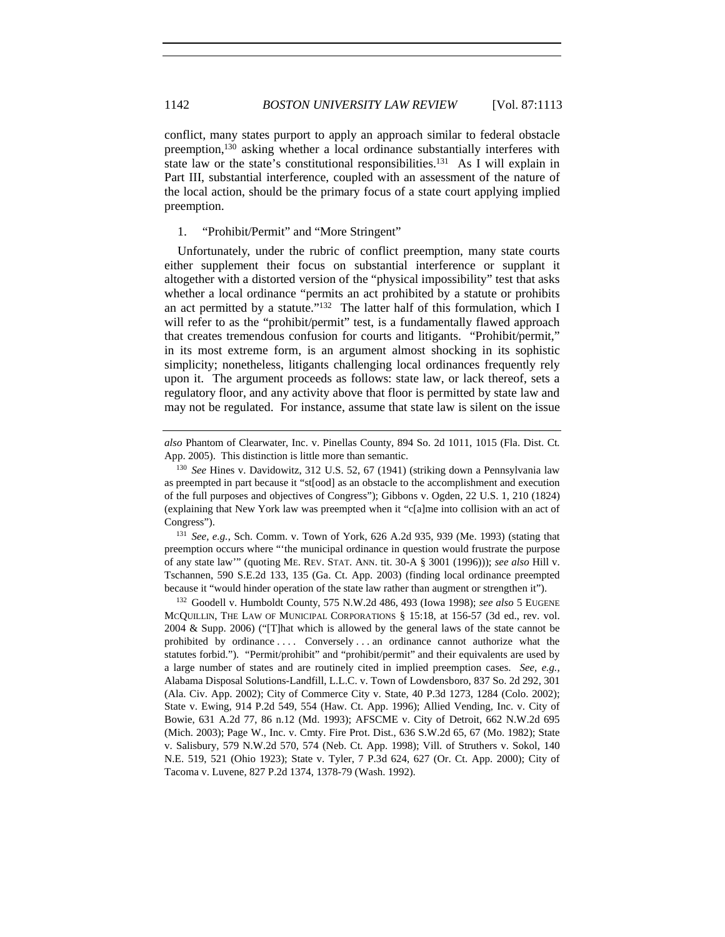conflict, many states purport to apply an approach similar to federal obstacle preemption,130 asking whether a local ordinance substantially interferes with state law or the state's constitutional responsibilities.<sup>131</sup> As I will explain in Part III, substantial interference, coupled with an assessment of the nature of the local action, should be the primary focus of a state court applying implied preemption.

1. "Prohibit/Permit" and "More Stringent"

Unfortunately, under the rubric of conflict preemption, many state courts either supplement their focus on substantial interference or supplant it altogether with a distorted version of the "physical impossibility" test that asks whether a local ordinance "permits an act prohibited by a statute or prohibits an act permitted by a statute."<sup>132</sup> The latter half of this formulation, which I will refer to as the "prohibit/permit" test, is a fundamentally flawed approach that creates tremendous confusion for courts and litigants. "Prohibit/permit," in its most extreme form, is an argument almost shocking in its sophistic simplicity; nonetheless, litigants challenging local ordinances frequently rely upon it. The argument proceeds as follows: state law, or lack thereof, sets a regulatory floor, and any activity above that floor is permitted by state law and may not be regulated. For instance, assume that state law is silent on the issue

<sup>131</sup> *See, e.g.*, Sch. Comm. v. Town of York, 626 A.2d 935, 939 (Me. 1993) (stating that preemption occurs where "'the municipal ordinance in question would frustrate the purpose of any state law'" (quoting ME. REV. STAT. ANN. tit. 30-A § 3001 (1996))); *see also* Hill v. Tschannen, 590 S.E.2d 133, 135 (Ga. Ct. App. 2003) (finding local ordinance preempted because it "would hinder operation of the state law rather than augment or strengthen it").

<sup>132</sup> Goodell v. Humboldt County, 575 N.W.2d 486, 493 (Iowa 1998); *see also* 5 EUGENE MCQUILLIN, THE LAW OF MUNICIPAL CORPORATIONS § 15:18, at 156-57 (3d ed., rev. vol. 2004 & Supp. 2006) ("[T]hat which is allowed by the general laws of the state cannot be prohibited by ordinance . . . . Conversely . . . an ordinance cannot authorize what the statutes forbid."). "Permit/prohibit" and "prohibit/permit" and their equivalents are used by a large number of states and are routinely cited in implied preemption cases. *See, e.g.*, Alabama Disposal Solutions-Landfill, L.L.C. v. Town of Lowdensboro, 837 So. 2d 292, 301 (Ala. Civ. App. 2002); City of Commerce City v. State, 40 P.3d 1273, 1284 (Colo. 2002); State v. Ewing, 914 P.2d 549, 554 (Haw. Ct. App. 1996); Allied Vending, Inc. v. City of Bowie, 631 A.2d 77, 86 n.12 (Md. 1993); AFSCME v. City of Detroit, 662 N.W.2d 695 (Mich. 2003); Page W., Inc. v. Cmty. Fire Prot. Dist., 636 S.W.2d 65, 67 (Mo. 1982); State v. Salisbury, 579 N.W.2d 570, 574 (Neb. Ct. App. 1998); Vill. of Struthers v. Sokol, 140 N.E. 519, 521 (Ohio 1923); State v. Tyler, 7 P.3d 624, 627 (Or. Ct. App. 2000); City of Tacoma v. Luvene, 827 P.2d 1374, 1378-79 (Wash. 1992).

*also* Phantom of Clearwater, Inc. v. Pinellas County, 894 So. 2d 1011, 1015 (Fla. Dist. Ct. App. 2005). This distinction is little more than semantic.

<sup>130</sup> *See* Hines v. Davidowitz, 312 U.S. 52, 67 (1941) (striking down a Pennsylvania law as preempted in part because it "st[ood] as an obstacle to the accomplishment and execution of the full purposes and objectives of Congress"); Gibbons v. Ogden, 22 U.S. 1, 210 (1824) (explaining that New York law was preempted when it "c[a]me into collision with an act of Congress").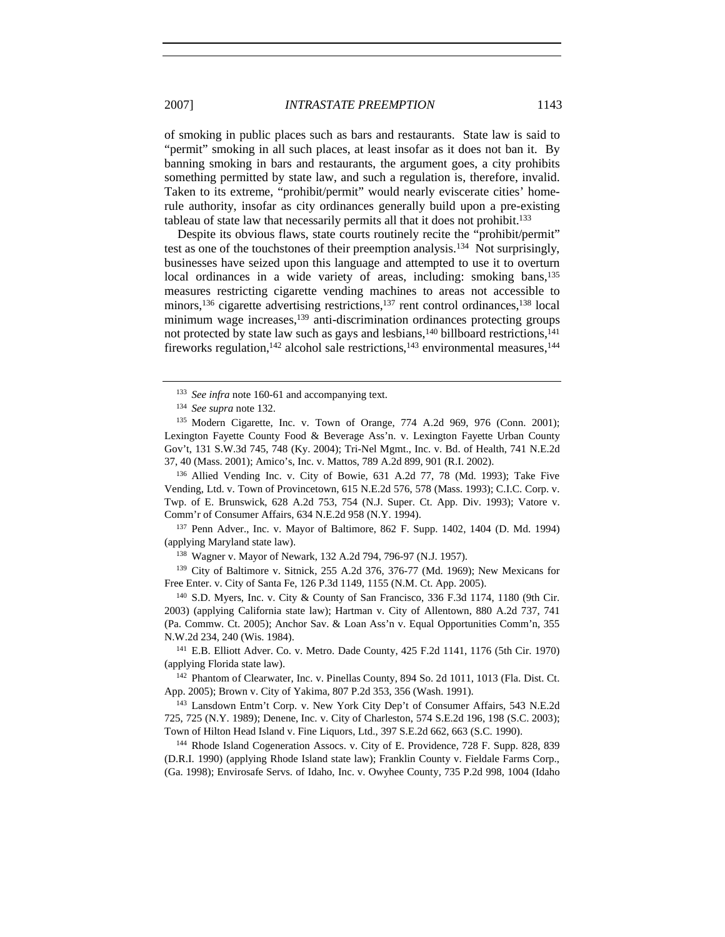of smoking in public places such as bars and restaurants. State law is said to "permit" smoking in all such places, at least insofar as it does not ban it. By banning smoking in bars and restaurants, the argument goes, a city prohibits something permitted by state law, and such a regulation is, therefore, invalid. Taken to its extreme, "prohibit/permit" would nearly eviscerate cities' homerule authority, insofar as city ordinances generally build upon a pre-existing tableau of state law that necessarily permits all that it does not prohibit.<sup>133</sup>

Despite its obvious flaws, state courts routinely recite the "prohibit/permit" test as one of the touchstones of their preemption analysis.134 Not surprisingly, businesses have seized upon this language and attempted to use it to overturn local ordinances in a wide variety of areas, including: smoking bans,135 measures restricting cigarette vending machines to areas not accessible to minors,<sup>136</sup> cigarette advertising restrictions,<sup>137</sup> rent control ordinances,<sup>138</sup> local minimum wage increases,<sup>139</sup> anti-discrimination ordinances protecting groups not protected by state law such as gays and lesbians,<sup>140</sup> billboard restrictions,<sup>141</sup> fireworks regulation,<sup>142</sup> alcohol sale restrictions,<sup>143</sup> environmental measures,<sup>144</sup>

<sup>136</sup> Allied Vending Inc. v. City of Bowie, 631 A.2d 77, 78 (Md. 1993); Take Five Vending, Ltd. v. Town of Provincetown, 615 N.E.2d 576, 578 (Mass. 1993); C.I.C. Corp. v. Twp. of E. Brunswick, 628 A.2d 753, 754 (N.J. Super. Ct. App. Div. 1993); Vatore v. Comm'r of Consumer Affairs, 634 N.E.2d 958 (N.Y. 1994).

<sup>137</sup> Penn Adver., Inc. v. Mayor of Baltimore, 862 F. Supp. 1402, 1404 (D. Md. 1994) (applying Maryland state law).

<sup>138</sup> Wagner v. Mayor of Newark, 132 A.2d 794, 796-97 (N.J. 1957).

<sup>139</sup> City of Baltimore v. Sitnick, 255 A.2d 376, 376-77 (Md. 1969); New Mexicans for Free Enter. v. City of Santa Fe, 126 P.3d 1149, 1155 (N.M. Ct. App. 2005).

<sup>140</sup> S.D. Myers, Inc. v. City & County of San Francisco, 336 F.3d 1174, 1180 (9th Cir. 2003) (applying California state law); Hartman v. City of Allentown, 880 A.2d 737, 741 (Pa. Commw. Ct. 2005); Anchor Sav. & Loan Ass'n v. Equal Opportunities Comm'n, 355 N.W.2d 234, 240 (Wis. 1984).

<sup>141</sup> E.B. Elliott Adver. Co. v. Metro. Dade County, 425 F.2d 1141, 1176 (5th Cir. 1970) (applying Florida state law).

<sup>142</sup> Phantom of Clearwater, Inc. v. Pinellas County, 894 So. 2d 1011, 1013 (Fla. Dist. Ct. App. 2005); Brown v. City of Yakima, 807 P.2d 353, 356 (Wash. 1991).

<sup>143</sup> Lansdown Entm't Corp. v. New York City Dep't of Consumer Affairs, 543 N.E.2d 725, 725 (N.Y. 1989); Denene, Inc. v. City of Charleston, 574 S.E.2d 196, 198 (S.C. 2003); Town of Hilton Head Island v. Fine Liquors, Ltd., 397 S.E.2d 662, 663 (S.C. 1990).

<sup>144</sup> Rhode Island Cogeneration Assocs. v. City of E. Providence, 728 F. Supp. 828, 839 (D.R.I. 1990) (applying Rhode Island state law); Franklin County v. Fieldale Farms Corp., (Ga. 1998); Envirosafe Servs. of Idaho, Inc. v. Owyhee County, 735 P.2d 998, 1004 (Idaho

<sup>&</sup>lt;sup>133</sup> *See infra* note 160-61 and accompanying text.

<sup>134</sup> *See supra* note 132.

<sup>135</sup> Modern Cigarette, Inc. v. Town of Orange, 774 A.2d 969, 976 (Conn. 2001); Lexington Fayette County Food & Beverage Ass'n. v. Lexington Fayette Urban County Gov't, 131 S.W.3d 745, 748 (Ky. 2004); Tri-Nel Mgmt., Inc. v. Bd. of Health, 741 N.E.2d 37, 40 (Mass. 2001); Amico's, Inc. v. Mattos, 789 A.2d 899, 901 (R.I. 2002).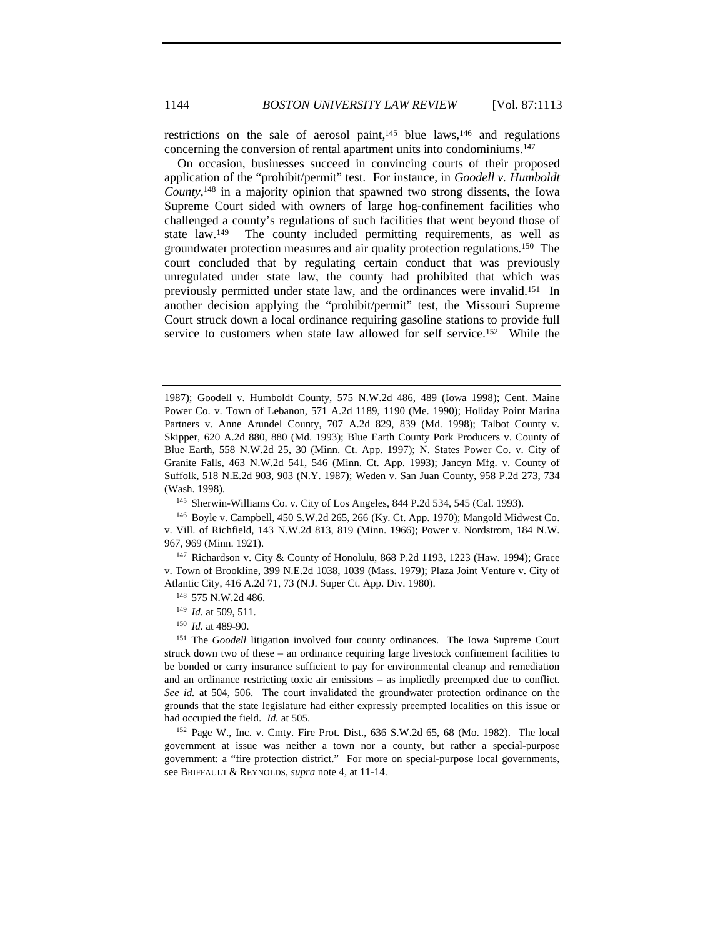restrictions on the sale of aerosol paint, $145$  blue laws,  $146$  and regulations concerning the conversion of rental apartment units into condominiums.147

On occasion, businesses succeed in convincing courts of their proposed application of the "prohibit/permit" test. For instance, in *Goodell v. Humboldt County*, 148 in a majority opinion that spawned two strong dissents, the Iowa Supreme Court sided with owners of large hog-confinement facilities who challenged a county's regulations of such facilities that went beyond those of state law.149 The county included permitting requirements, as well as groundwater protection measures and air quality protection regulations.150 The court concluded that by regulating certain conduct that was previously unregulated under state law, the county had prohibited that which was previously permitted under state law, and the ordinances were invalid.151 In another decision applying the "prohibit/permit" test, the Missouri Supreme Court struck down a local ordinance requiring gasoline stations to provide full service to customers when state law allowed for self service.152 While the

<sup>145</sup> Sherwin-Williams Co. v. City of Los Angeles, 844 P.2d 534, 545 (Cal. 1993).

<sup>1987);</sup> Goodell v. Humboldt County, 575 N.W.2d 486, 489 (Iowa 1998); Cent. Maine Power Co. v. Town of Lebanon, 571 A.2d 1189, 1190 (Me. 1990); Holiday Point Marina Partners v. Anne Arundel County, 707 A.2d 829, 839 (Md. 1998); Talbot County v. Skipper, 620 A.2d 880, 880 (Md. 1993); Blue Earth County Pork Producers v. County of Blue Earth, 558 N.W.2d 25, 30 (Minn. Ct. App. 1997); N. States Power Co. v. City of Granite Falls, 463 N.W.2d 541, 546 (Minn. Ct. App. 1993); Jancyn Mfg. v. County of Suffolk, 518 N.E.2d 903, 903 (N.Y. 1987); Weden v. San Juan County, 958 P.2d 273, 734 (Wash. 1998).

<sup>146</sup> Boyle v. Campbell, 450 S.W.2d 265, 266 (Ky. Ct. App. 1970); Mangold Midwest Co. v. Vill. of Richfield, 143 N.W.2d 813, 819 (Minn. 1966); Power v. Nordstrom, 184 N.W. 967, 969 (Minn. 1921).

<sup>147</sup> Richardson v. City & County of Honolulu, 868 P.2d 1193, 1223 (Haw. 1994); Grace v. Town of Brookline, 399 N.E.2d 1038, 1039 (Mass. 1979); Plaza Joint Venture v. City of Atlantic City, 416 A.2d 71, 73 (N.J. Super Ct. App. Div. 1980).

<sup>148</sup> 575 N.W.2d 486.

<sup>149</sup> *Id.* at 509, 511.

<sup>150</sup> *Id.* at 489-90.

<sup>151</sup> The *Goodell* litigation involved four county ordinances. The Iowa Supreme Court struck down two of these – an ordinance requiring large livestock confinement facilities to be bonded or carry insurance sufficient to pay for environmental cleanup and remediation and an ordinance restricting toxic air emissions – as impliedly preempted due to conflict. *See id.* at 504, 506. The court invalidated the groundwater protection ordinance on the grounds that the state legislature had either expressly preempted localities on this issue or had occupied the field. *Id.* at 505.

<sup>152</sup> Page W., Inc. v. Cmty. Fire Prot. Dist., 636 S.W.2d 65, 68 (Mo. 1982). The local government at issue was neither a town nor a county, but rather a special-purpose government: a "fire protection district." For more on special-purpose local governments, see BRIFFAULT & REYNOLDS, *supra* note 4, at 11-14.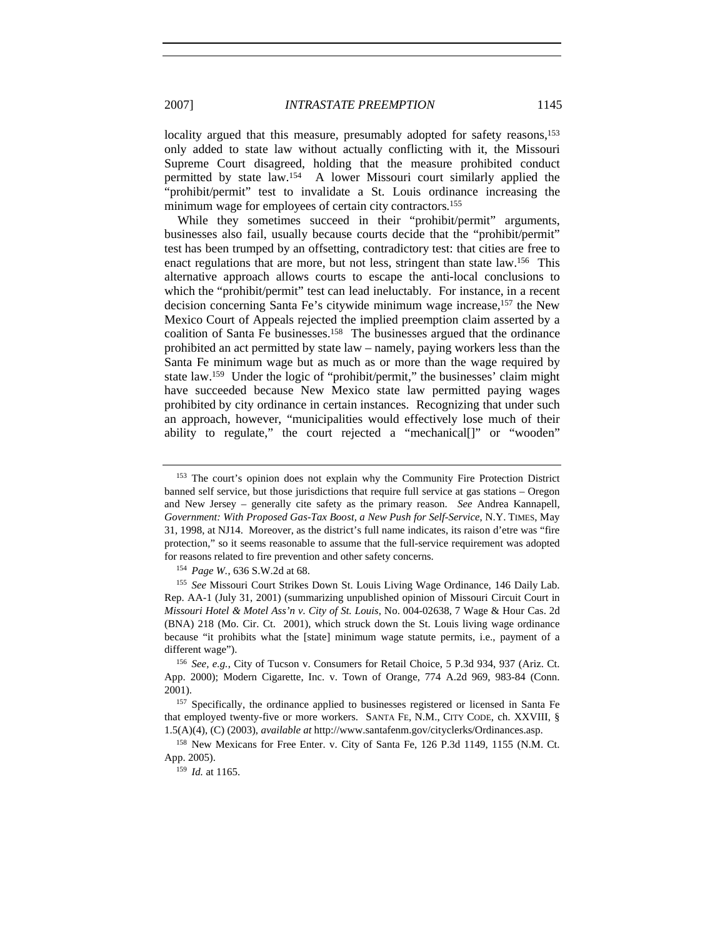locality argued that this measure, presumably adopted for safety reasons,<sup>153</sup> only added to state law without actually conflicting with it, the Missouri Supreme Court disagreed, holding that the measure prohibited conduct permitted by state law.154 A lower Missouri court similarly applied the "prohibit/permit" test to invalidate a St. Louis ordinance increasing the minimum wage for employees of certain city contractors.<sup>155</sup>

While they sometimes succeed in their "prohibit/permit" arguments, businesses also fail, usually because courts decide that the "prohibit/permit" test has been trumped by an offsetting, contradictory test: that cities are free to enact regulations that are more, but not less, stringent than state law.156 This alternative approach allows courts to escape the anti-local conclusions to which the "prohibit/permit" test can lead ineluctably. For instance, in a recent decision concerning Santa Fe's citywide minimum wage increase,157 the New Mexico Court of Appeals rejected the implied preemption claim asserted by a coalition of Santa Fe businesses.<sup>158</sup> The businesses argued that the ordinance prohibited an act permitted by state law – namely, paying workers less than the Santa Fe minimum wage but as much as or more than the wage required by state law.<sup>159</sup> Under the logic of "prohibit/permit," the businesses' claim might have succeeded because New Mexico state law permitted paying wages prohibited by city ordinance in certain instances. Recognizing that under such an approach, however, "municipalities would effectively lose much of their ability to regulate," the court rejected a "mechanical[]" or "wooden"

<sup>153</sup> The court's opinion does not explain why the Community Fire Protection District banned self service, but those jurisdictions that require full service at gas stations – Oregon and New Jersey – generally cite safety as the primary reason. *See* Andrea Kannapell, *Government: With Proposed Gas-Tax Boost, a New Push for Self-Service*, N.Y. TIMES, May 31, 1998, at NJ14. Moreover, as the district's full name indicates, its raison d'etre was "fire protection," so it seems reasonable to assume that the full-service requirement was adopted for reasons related to fire prevention and other safety concerns.

<sup>154</sup> *Page W.*, 636 S.W.2d at 68.

<sup>155</sup> *See* Missouri Court Strikes Down St. Louis Living Wage Ordinance, 146 Daily Lab. Rep. AA-1 (July 31, 2001) (summarizing unpublished opinion of Missouri Circuit Court in *Missouri Hotel & Motel Ass'n v. City of St. Louis*, No. 004-02638, 7 Wage & Hour Cas. 2d (BNA) 218 (Mo. Cir. Ct. 2001), which struck down the St. Louis living wage ordinance because "it prohibits what the [state] minimum wage statute permits, i.e., payment of a different wage").

<sup>156</sup> *See, e.g.*, City of Tucson v. Consumers for Retail Choice, 5 P.3d 934, 937 (Ariz. Ct. App. 2000); Modern Cigarette, Inc. v. Town of Orange, 774 A.2d 969, 983-84 (Conn. 2001).

<sup>&</sup>lt;sup>157</sup> Specifically, the ordinance applied to businesses registered or licensed in Santa Fe that employed twenty-five or more workers. SANTA FE, N.M., CITY CODE, ch. XXVIII, § 1.5(A)(4), (C) (2003), *available at* http://www.santafenm.gov/cityclerks/Ordinances.asp.

<sup>158</sup> New Mexicans for Free Enter. v. City of Santa Fe, 126 P.3d 1149, 1155 (N.M. Ct. App. 2005).

<sup>159</sup> *Id.* at 1165.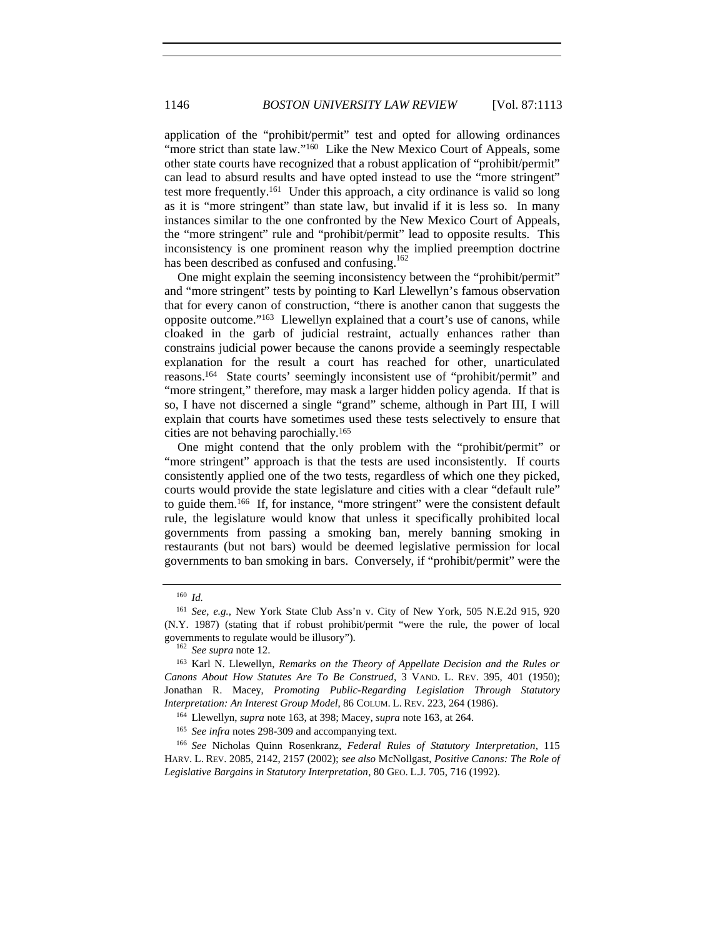application of the "prohibit/permit" test and opted for allowing ordinances "more strict than state law."<sup>160</sup> Like the New Mexico Court of Appeals, some other state courts have recognized that a robust application of "prohibit/permit" can lead to absurd results and have opted instead to use the "more stringent" test more frequently.161 Under this approach, a city ordinance is valid so long as it is "more stringent" than state law, but invalid if it is less so. In many instances similar to the one confronted by the New Mexico Court of Appeals, the "more stringent" rule and "prohibit/permit" lead to opposite results. This inconsistency is one prominent reason why the implied preemption doctrine has been described as confused and confusing.<sup>162</sup>

One might explain the seeming inconsistency between the "prohibit/permit" and "more stringent" tests by pointing to Karl Llewellyn's famous observation that for every canon of construction, "there is another canon that suggests the opposite outcome."163 Llewellyn explained that a court's use of canons, while cloaked in the garb of judicial restraint, actually enhances rather than constrains judicial power because the canons provide a seemingly respectable explanation for the result a court has reached for other, unarticulated reasons.164 State courts' seemingly inconsistent use of "prohibit/permit" and "more stringent," therefore, may mask a larger hidden policy agenda. If that is so, I have not discerned a single "grand" scheme, although in Part III, I will explain that courts have sometimes used these tests selectively to ensure that cities are not behaving parochially.165

One might contend that the only problem with the "prohibit/permit" or "more stringent" approach is that the tests are used inconsistently. If courts consistently applied one of the two tests, regardless of which one they picked, courts would provide the state legislature and cities with a clear "default rule" to guide them.166 If, for instance, "more stringent" were the consistent default rule, the legislature would know that unless it specifically prohibited local governments from passing a smoking ban, merely banning smoking in restaurants (but not bars) would be deemed legislative permission for local governments to ban smoking in bars. Conversely, if "prohibit/permit" were the

<sup>166</sup> *See* Nicholas Quinn Rosenkranz, *Federal Rules of Statutory Interpretation*, 115 HARV. L. REV. 2085, 2142, 2157 (2002); *see also* McNollgast, *Positive Canons: The Role of Legislative Bargains in Statutory Interpretation*, 80 GEO. L.J. 705, 716 (1992).

<sup>160</sup> *Id.*

<sup>161</sup> *See, e.g.*, New York State Club Ass'n v. City of New York, 505 N.E.2d 915, 920 (N.Y. 1987) (stating that if robust prohibit/permit "were the rule, the power of local governments to regulate would be illusory"). <sup>162</sup> *See supra* note 12.

<sup>163</sup> Karl N. Llewellyn, *Remarks on the Theory of Appellate Decision and the Rules or Canons About How Statutes Are To Be Construed*, 3 VAND. L. REV. 395, 401 (1950); Jonathan R. Macey, *Promoting Public-Regarding Legislation Through Statutory Interpretation: An Interest Group Model*, 86 COLUM. L. REV. 223, 264 (1986).

<sup>164</sup> Llewellyn, *supra* note 163, at 398; Macey, *supra* note 163, at 264.

<sup>165</sup> *See infra* notes 298-309 and accompanying text.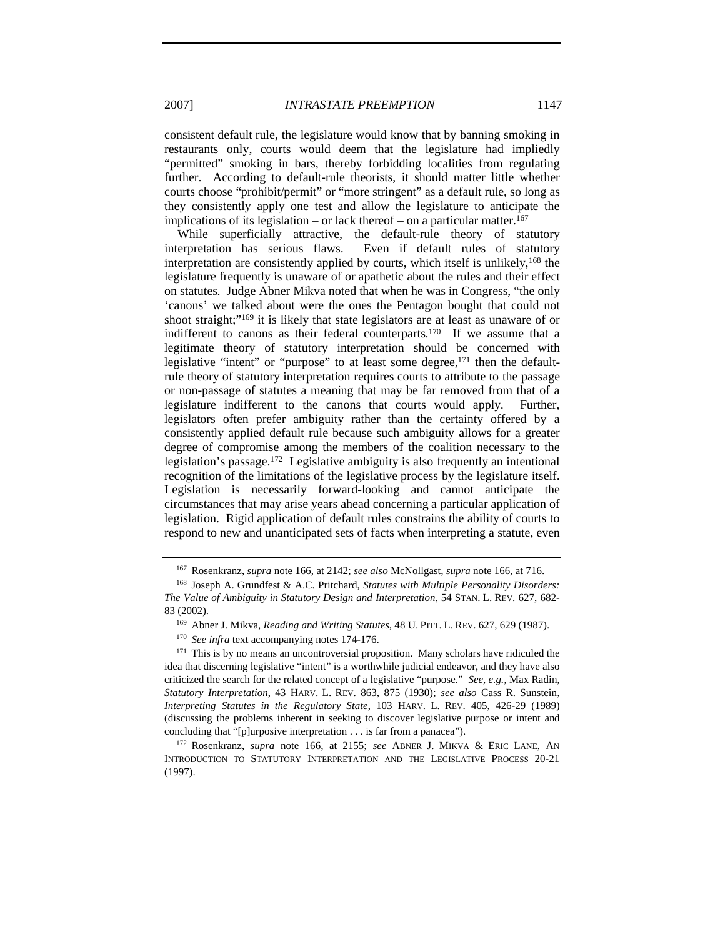consistent default rule, the legislature would know that by banning smoking in restaurants only, courts would deem that the legislature had impliedly "permitted" smoking in bars, thereby forbidding localities from regulating further. According to default-rule theorists, it should matter little whether courts choose "prohibit/permit" or "more stringent" as a default rule, so long as they consistently apply one test and allow the legislature to anticipate the implications of its legislation – or lack thereof – on a particular matter.<sup>167</sup>

While superficially attractive, the default-rule theory of statutory interpretation has serious flaws. Even if default rules of statutory interpretation are consistently applied by courts, which itself is unlikely,168 the legislature frequently is unaware of or apathetic about the rules and their effect on statutes. Judge Abner Mikva noted that when he was in Congress, "the only 'canons' we talked about were the ones the Pentagon bought that could not shoot straight;"169 it is likely that state legislators are at least as unaware of or indifferent to canons as their federal counterparts.<sup>170</sup> If we assume that a legitimate theory of statutory interpretation should be concerned with legislative "intent" or "purpose" to at least some degree,<sup>171</sup> then the defaultrule theory of statutory interpretation requires courts to attribute to the passage or non-passage of statutes a meaning that may be far removed from that of a legislature indifferent to the canons that courts would apply. Further, legislators often prefer ambiguity rather than the certainty offered by a consistently applied default rule because such ambiguity allows for a greater degree of compromise among the members of the coalition necessary to the legislation's passage.172 Legislative ambiguity is also frequently an intentional recognition of the limitations of the legislative process by the legislature itself. Legislation is necessarily forward-looking and cannot anticipate the circumstances that may arise years ahead concerning a particular application of legislation. Rigid application of default rules constrains the ability of courts to respond to new and unanticipated sets of facts when interpreting a statute, even

<sup>167</sup> Rosenkranz, *supra* note 166, at 2142; *see also* McNollgast, *supra* note 166, at 716.

<sup>168</sup> Joseph A. Grundfest & A.C. Pritchard, *Statutes with Multiple Personality Disorders: The Value of Ambiguity in Statutory Design and Interpretation*, 54 STAN. L. REV. 627, 682- 83 (2002).

<sup>169</sup> Abner J. Mikva, *Reading and Writing Statutes*, 48 U. PITT. L. REV. 627, 629 (1987).

<sup>&</sup>lt;sup>170</sup> See infra text accompanying notes 174-176.

 $171$  This is by no means an uncontroversial proposition. Many scholars have ridiculed the idea that discerning legislative "intent" is a worthwhile judicial endeavor, and they have also criticized the search for the related concept of a legislative "purpose." *See, e.g.*, Max Radin, *Statutory Interpretation*, 43 HARV. L. REV. 863, 875 (1930); *see also* Cass R. Sunstein, *Interpreting Statutes in the Regulatory State*, 103 HARV. L. REV. 405, 426-29 (1989) (discussing the problems inherent in seeking to discover legislative purpose or intent and concluding that "[p]urposive interpretation . . . is far from a panacea").

<sup>172</sup> Rosenkranz, *supra* note 166, at 2155; *see* ABNER J. MIKVA & ERIC LANE, AN INTRODUCTION TO STATUTORY INTERPRETATION AND THE LEGISLATIVE PROCESS 20-21 (1997).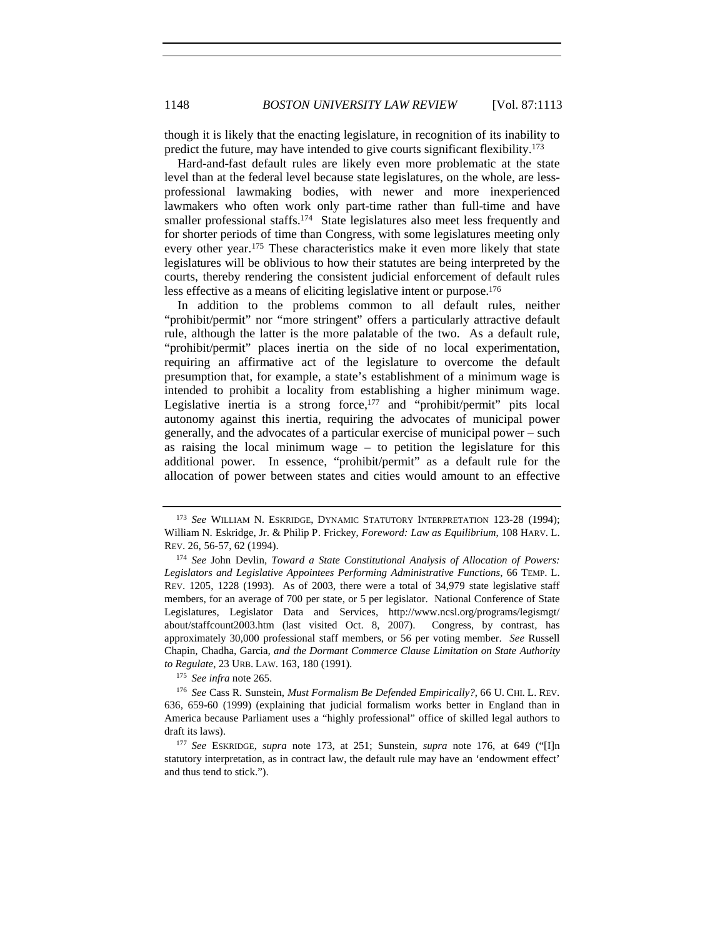though it is likely that the enacting legislature, in recognition of its inability to predict the future, may have intended to give courts significant flexibility.173

Hard-and-fast default rules are likely even more problematic at the state level than at the federal level because state legislatures, on the whole, are lessprofessional lawmaking bodies, with newer and more inexperienced lawmakers who often work only part-time rather than full-time and have smaller professional staffs.<sup>174</sup> State legislatures also meet less frequently and for shorter periods of time than Congress, with some legislatures meeting only every other year.<sup>175</sup> These characteristics make it even more likely that state legislatures will be oblivious to how their statutes are being interpreted by the courts, thereby rendering the consistent judicial enforcement of default rules less effective as a means of eliciting legislative intent or purpose.<sup>176</sup>

In addition to the problems common to all default rules, neither "prohibit/permit" nor "more stringent" offers a particularly attractive default rule, although the latter is the more palatable of the two. As a default rule, "prohibit/permit" places inertia on the side of no local experimentation, requiring an affirmative act of the legislature to overcome the default presumption that, for example, a state's establishment of a minimum wage is intended to prohibit a locality from establishing a higher minimum wage. Legislative inertia is a strong force,<sup>177</sup> and "prohibit/permit" pits local autonomy against this inertia, requiring the advocates of municipal power generally, and the advocates of a particular exercise of municipal power – such as raising the local minimum wage – to petition the legislature for this additional power. In essence, "prohibit/permit" as a default rule for the allocation of power between states and cities would amount to an effective

<sup>175</sup> *See infra* note 265.

<sup>173</sup> *See* WILLIAM N. ESKRIDGE, DYNAMIC STATUTORY INTERPRETATION 123-28 (1994); William N. Eskridge, Jr. & Philip P. Frickey, *Foreword: Law as Equilibrium*, 108 HARV. L. REV. 26, 56-57, 62 (1994).

<sup>174</sup> *See* John Devlin, *Toward a State Constitutional Analysis of Allocation of Powers: Legislators and Legislative Appointees Performing Administrative Functions*, 66 TEMP. L. REV. 1205, 1228 (1993). As of 2003, there were a total of 34,979 state legislative staff members, for an average of 700 per state, or 5 per legislator. National Conference of State Legislatures, Legislator Data and Services, http://www.ncsl.org/programs/legismgt/ about/staffcount2003.htm (last visited Oct. 8, 2007). Congress, by contrast, has approximately 30,000 professional staff members, or 56 per voting member. *See* Russell Chapin, Chadha*,* Garcia*, and the Dormant Commerce Clause Limitation on State Authority to Regulate*, 23 URB. LAW. 163, 180 (1991).

<sup>176</sup> *See* Cass R. Sunstein, *Must Formalism Be Defended Empirically?*, 66 U. CHI. L. REV. 636, 659-60 (1999) (explaining that judicial formalism works better in England than in America because Parliament uses a "highly professional" office of skilled legal authors to draft its laws).

<sup>177</sup> *See* ESKRIDGE, *supra* note 173, at 251; Sunstein, *supra* note 176, at 649 ("[I]n statutory interpretation, as in contract law, the default rule may have an 'endowment effect' and thus tend to stick.").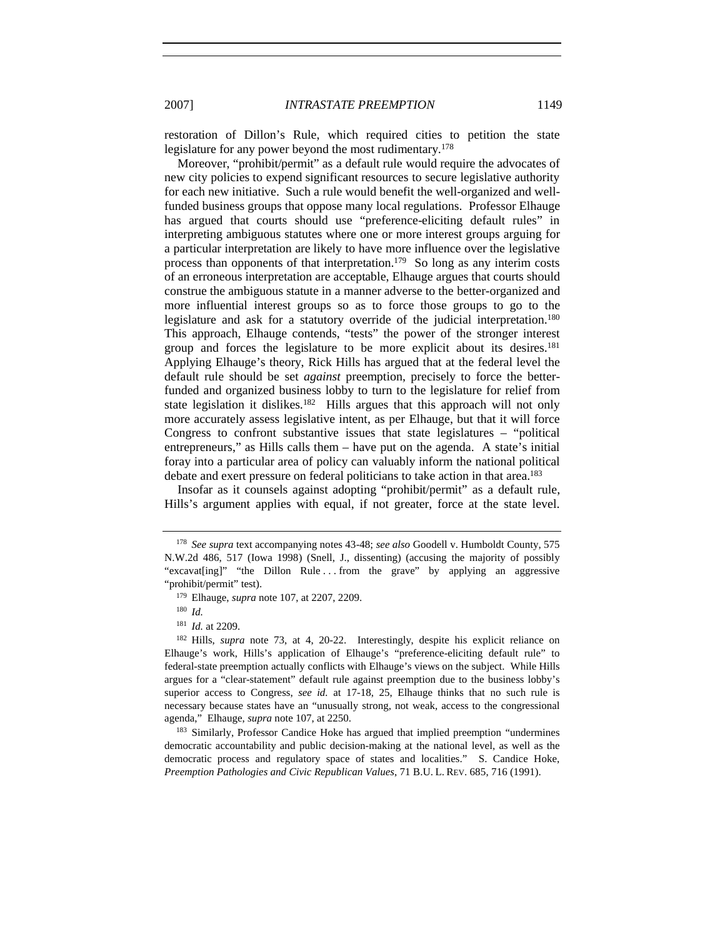restoration of Dillon's Rule, which required cities to petition the state legislature for any power beyond the most rudimentary.178

Moreover, "prohibit/permit" as a default rule would require the advocates of new city policies to expend significant resources to secure legislative authority for each new initiative. Such a rule would benefit the well-organized and wellfunded business groups that oppose many local regulations. Professor Elhauge has argued that courts should use "preference-eliciting default rules" in interpreting ambiguous statutes where one or more interest groups arguing for a particular interpretation are likely to have more influence over the legislative process than opponents of that interpretation.<sup>179</sup> So long as any interim costs of an erroneous interpretation are acceptable, Elhauge argues that courts should construe the ambiguous statute in a manner adverse to the better-organized and more influential interest groups so as to force those groups to go to the legislature and ask for a statutory override of the judicial interpretation.<sup>180</sup> This approach, Elhauge contends, "tests" the power of the stronger interest group and forces the legislature to be more explicit about its desires.<sup>181</sup> Applying Elhauge's theory, Rick Hills has argued that at the federal level the default rule should be set *against* preemption, precisely to force the betterfunded and organized business lobby to turn to the legislature for relief from state legislation it dislikes.182 Hills argues that this approach will not only more accurately assess legislative intent, as per Elhauge, but that it will force Congress to confront substantive issues that state legislatures – "political entrepreneurs," as Hills calls them – have put on the agenda. A state's initial foray into a particular area of policy can valuably inform the national political debate and exert pressure on federal politicians to take action in that area.<sup>183</sup>

Insofar as it counsels against adopting "prohibit/permit" as a default rule, Hills's argument applies with equal, if not greater, force at the state level.

<sup>178</sup> *See supra* text accompanying notes 43-48; *see also* Goodell v. Humboldt County, 575 N.W.2d 486, 517 (Iowa 1998) (Snell, J., dissenting) (accusing the majority of possibly "excavat[ing]" "the Dillon Rule ... from the grave" by applying an aggressive "prohibit/permit" test).

<sup>179</sup> Elhauge, *supra* note 107, at 2207, 2209.

<sup>180</sup> *Id.*

<sup>181</sup> *Id.* at 2209.

<sup>182</sup> Hills, *supra* note 73, at 4, 20-22. Interestingly, despite his explicit reliance on Elhauge's work, Hills's application of Elhauge's "preference-eliciting default rule" to federal-state preemption actually conflicts with Elhauge's views on the subject. While Hills argues for a "clear-statement" default rule against preemption due to the business lobby's superior access to Congress, *see id.* at 17-18, 25, Elhauge thinks that no such rule is necessary because states have an "unusually strong, not weak, access to the congressional agenda," Elhauge, *supra* note 107, at 2250.

<sup>183</sup> Similarly, Professor Candice Hoke has argued that implied preemption "undermines democratic accountability and public decision-making at the national level, as well as the democratic process and regulatory space of states and localities." S. Candice Hoke, *Preemption Pathologies and Civic Republican Values*, 71 B.U. L. REV. 685, 716 (1991).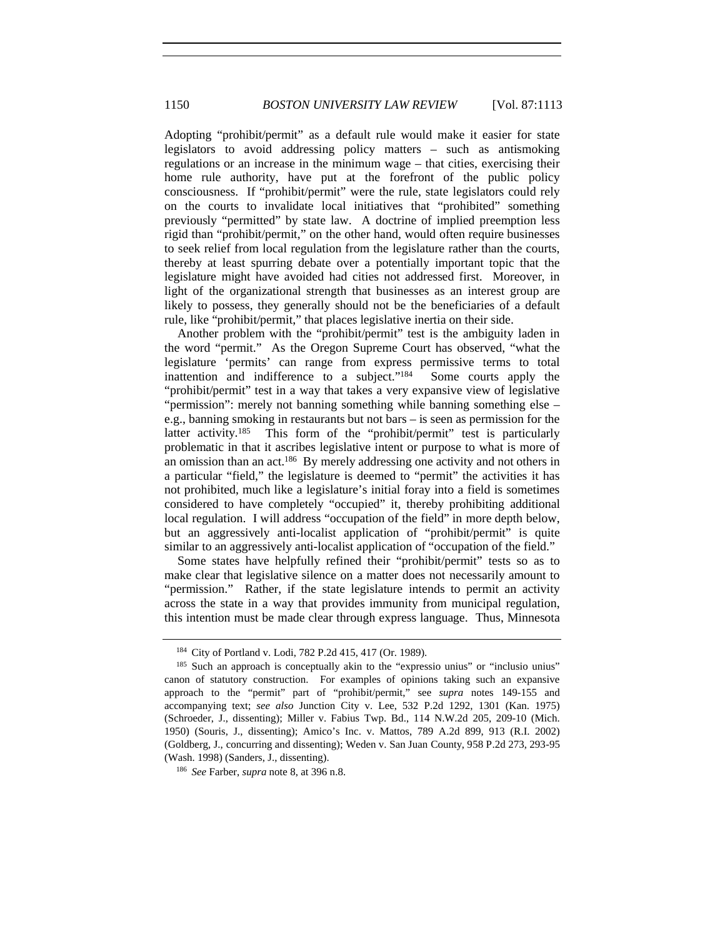Adopting "prohibit/permit" as a default rule would make it easier for state legislators to avoid addressing policy matters – such as antismoking regulations or an increase in the minimum wage – that cities, exercising their home rule authority, have put at the forefront of the public policy consciousness. If "prohibit/permit" were the rule, state legislators could rely on the courts to invalidate local initiatives that "prohibited" something previously "permitted" by state law. A doctrine of implied preemption less rigid than "prohibit/permit," on the other hand, would often require businesses to seek relief from local regulation from the legislature rather than the courts, thereby at least spurring debate over a potentially important topic that the legislature might have avoided had cities not addressed first. Moreover, in light of the organizational strength that businesses as an interest group are likely to possess, they generally should not be the beneficiaries of a default rule, like "prohibit/permit," that places legislative inertia on their side.

Another problem with the "prohibit/permit" test is the ambiguity laden in the word "permit." As the Oregon Supreme Court has observed, "what the legislature 'permits' can range from express permissive terms to total inattention and indifference to a subject."184 Some courts apply the "prohibit/permit" test in a way that takes a very expansive view of legislative "permission": merely not banning something while banning something else – e.g., banning smoking in restaurants but not bars – is seen as permission for the latter activity.185 This form of the "prohibit/permit" test is particularly problematic in that it ascribes legislative intent or purpose to what is more of an omission than an act.186 By merely addressing one activity and not others in a particular "field," the legislature is deemed to "permit" the activities it has not prohibited, much like a legislature's initial foray into a field is sometimes considered to have completely "occupied" it, thereby prohibiting additional local regulation. I will address "occupation of the field" in more depth below, but an aggressively anti-localist application of "prohibit/permit" is quite similar to an aggressively anti-localist application of "occupation of the field."

Some states have helpfully refined their "prohibit/permit" tests so as to make clear that legislative silence on a matter does not necessarily amount to "permission." Rather, if the state legislature intends to permit an activity across the state in a way that provides immunity from municipal regulation, this intention must be made clear through express language. Thus, Minnesota

<sup>184</sup> City of Portland v. Lodi, 782 P.2d 415, 417 (Or. 1989).

<sup>&</sup>lt;sup>185</sup> Such an approach is conceptually akin to the "expressio unius" or "inclusio unius" canon of statutory construction. For examples of opinions taking such an expansive approach to the "permit" part of "prohibit/permit," see *supra* notes 149-155 and accompanying text; *see also* Junction City v. Lee, 532 P.2d 1292, 1301 (Kan. 1975) (Schroeder, J., dissenting); Miller v. Fabius Twp. Bd., 114 N.W.2d 205, 209-10 (Mich. 1950) (Souris, J., dissenting); Amico's Inc. v. Mattos, 789 A.2d 899, 913 (R.I. 2002) (Goldberg, J., concurring and dissenting); Weden v. San Juan County, 958 P.2d 273, 293-95 (Wash. 1998) (Sanders, J., dissenting).

<sup>186</sup> *See* Farber, *supra* note 8, at 396 n.8.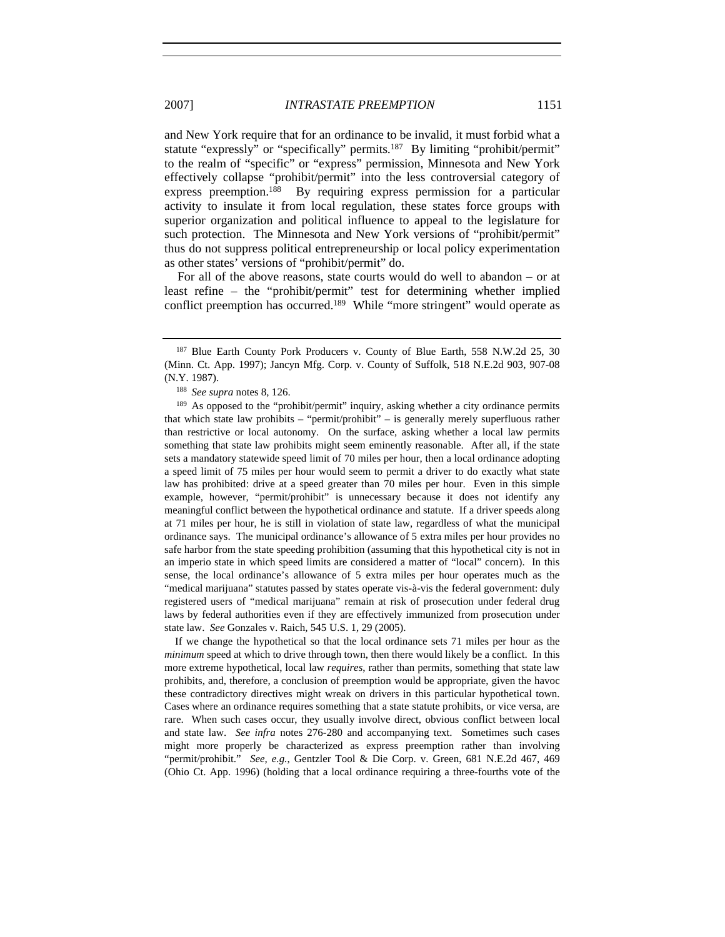and New York require that for an ordinance to be invalid, it must forbid what a statute "expressly" or "specifically" permits.<sup>187</sup> By limiting "prohibit/permit" to the realm of "specific" or "express" permission, Minnesota and New York effectively collapse "prohibit/permit" into the less controversial category of express preemption.<sup>188</sup> By requiring express permission for a particular activity to insulate it from local regulation, these states force groups with superior organization and political influence to appeal to the legislature for such protection. The Minnesota and New York versions of "prohibit/permit" thus do not suppress political entrepreneurship or local policy experimentation as other states' versions of "prohibit/permit" do.

For all of the above reasons, state courts would do well to abandon – or at least refine – the "prohibit/permit" test for determining whether implied conflict preemption has occurred.<sup>189</sup> While "more stringent" would operate as

If we change the hypothetical so that the local ordinance sets 71 miles per hour as the *minimum* speed at which to drive through town, then there would likely be a conflict. In this more extreme hypothetical, local law *requires*, rather than permits, something that state law prohibits, and, therefore, a conclusion of preemption would be appropriate, given the havoc these contradictory directives might wreak on drivers in this particular hypothetical town. Cases where an ordinance requires something that a state statute prohibits, or vice versa, are rare. When such cases occur, they usually involve direct, obvious conflict between local and state law. *See infra* notes 276-280 and accompanying text. Sometimes such cases might more properly be characterized as express preemption rather than involving "permit/prohibit." *See, e.g.*, Gentzler Tool & Die Corp. v. Green, 681 N.E.2d 467, 469 (Ohio Ct. App. 1996) (holding that a local ordinance requiring a three-fourths vote of the

<sup>&</sup>lt;sup>187</sup> Blue Earth County Pork Producers v. County of Blue Earth, 558 N.W.2d 25, 30 (Minn. Ct. App. 1997); Jancyn Mfg. Corp. v. County of Suffolk, 518 N.E.2d 903, 907-08 (N.Y. 1987).

<sup>188</sup> *See supra* notes 8, 126.

<sup>&</sup>lt;sup>189</sup> As opposed to the "prohibit/permit" inquiry, asking whether a city ordinance permits that which state law prohibits – "permit/prohibit" – is generally merely superfluous rather than restrictive or local autonomy. On the surface, asking whether a local law permits something that state law prohibits might seem eminently reasonable. After all, if the state sets a mandatory statewide speed limit of 70 miles per hour, then a local ordinance adopting a speed limit of 75 miles per hour would seem to permit a driver to do exactly what state law has prohibited: drive at a speed greater than 70 miles per hour. Even in this simple example, however, "permit/prohibit" is unnecessary because it does not identify any meaningful conflict between the hypothetical ordinance and statute. If a driver speeds along at 71 miles per hour, he is still in violation of state law, regardless of what the municipal ordinance says. The municipal ordinance's allowance of 5 extra miles per hour provides no safe harbor from the state speeding prohibition (assuming that this hypothetical city is not in an imperio state in which speed limits are considered a matter of "local" concern). In this sense, the local ordinance's allowance of 5 extra miles per hour operates much as the "medical marijuana" statutes passed by states operate vis-à-vis the federal government: duly registered users of "medical marijuana" remain at risk of prosecution under federal drug laws by federal authorities even if they are effectively immunized from prosecution under state law. *See* Gonzales v. Raich, 545 U.S. 1, 29 (2005).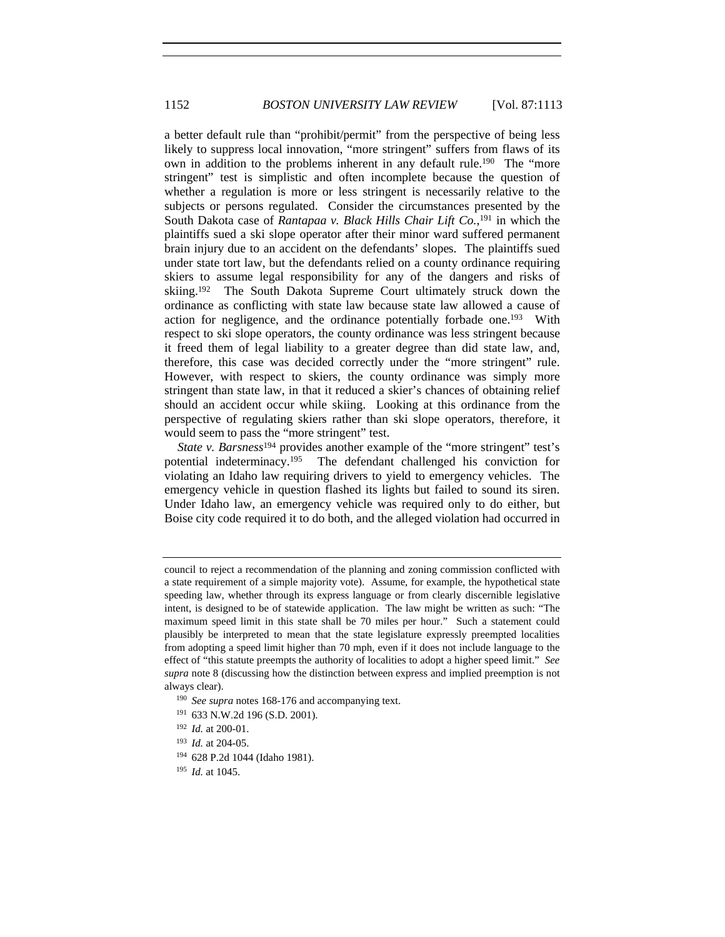a better default rule than "prohibit/permit" from the perspective of being less likely to suppress local innovation, "more stringent" suffers from flaws of its own in addition to the problems inherent in any default rule.<sup>190</sup> The "more" stringent" test is simplistic and often incomplete because the question of whether a regulation is more or less stringent is necessarily relative to the subjects or persons regulated. Consider the circumstances presented by the South Dakota case of *Rantapaa v. Black Hills Chair Lift Co.*, 191 in which the plaintiffs sued a ski slope operator after their minor ward suffered permanent brain injury due to an accident on the defendants' slopes. The plaintiffs sued under state tort law, but the defendants relied on a county ordinance requiring skiers to assume legal responsibility for any of the dangers and risks of skiing.192 The South Dakota Supreme Court ultimately struck down the ordinance as conflicting with state law because state law allowed a cause of action for negligence, and the ordinance potentially forbade one.193 With respect to ski slope operators, the county ordinance was less stringent because it freed them of legal liability to a greater degree than did state law, and, therefore, this case was decided correctly under the "more stringent" rule. However, with respect to skiers, the county ordinance was simply more stringent than state law, in that it reduced a skier's chances of obtaining relief should an accident occur while skiing. Looking at this ordinance from the perspective of regulating skiers rather than ski slope operators, therefore, it would seem to pass the "more stringent" test.

*State v. Barsness*<sup>194</sup> provides another example of the "more stringent" test's potential indeterminacy.195 The defendant challenged his conviction for violating an Idaho law requiring drivers to yield to emergency vehicles. The emergency vehicle in question flashed its lights but failed to sound its siren. Under Idaho law, an emergency vehicle was required only to do either, but Boise city code required it to do both, and the alleged violation had occurred in

- <sup>190</sup> See supra notes 168-176 and accompanying text.
- <sup>191</sup> 633 N.W.2d 196 (S.D. 2001).
- <sup>192</sup> *Id.* at 200-01.
- <sup>193</sup> *Id.* at 204-05.
- <sup>194</sup> 628 P.2d 1044 (Idaho 1981).
- <sup>195</sup> *Id.* at 1045.

council to reject a recommendation of the planning and zoning commission conflicted with a state requirement of a simple majority vote). Assume, for example, the hypothetical state speeding law, whether through its express language or from clearly discernible legislative intent, is designed to be of statewide application. The law might be written as such: "The maximum speed limit in this state shall be 70 miles per hour." Such a statement could plausibly be interpreted to mean that the state legislature expressly preempted localities from adopting a speed limit higher than 70 mph, even if it does not include language to the effect of "this statute preempts the authority of localities to adopt a higher speed limit." *See supra* note 8 (discussing how the distinction between express and implied preemption is not always clear).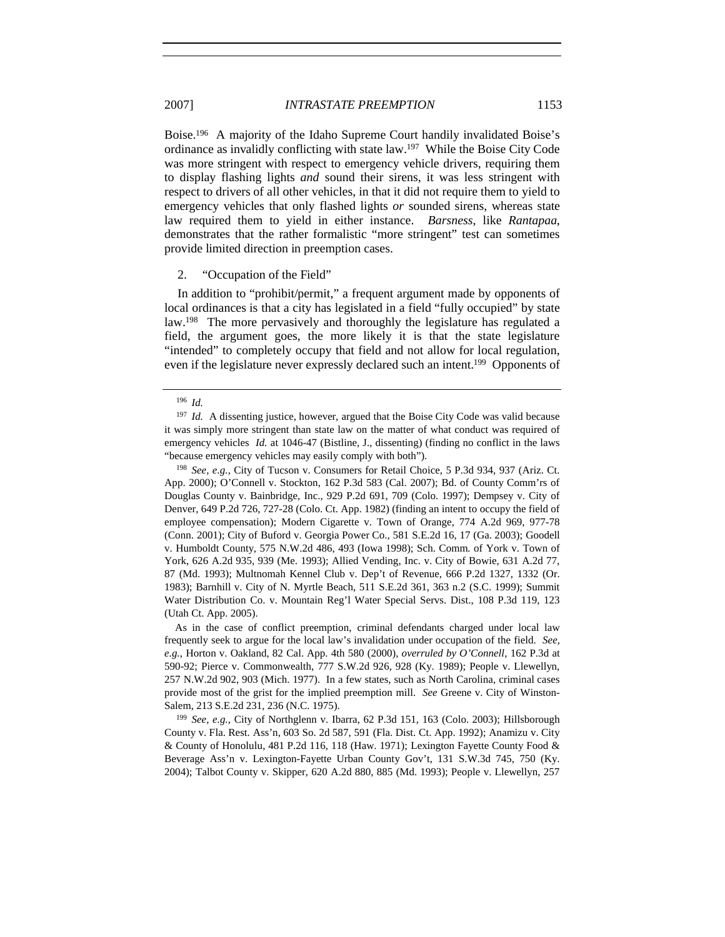Boise.196 A majority of the Idaho Supreme Court handily invalidated Boise's ordinance as invalidly conflicting with state law.197 While the Boise City Code was more stringent with respect to emergency vehicle drivers, requiring them to display flashing lights *and* sound their sirens, it was less stringent with respect to drivers of all other vehicles, in that it did not require them to yield to emergency vehicles that only flashed lights *or* sounded sirens, whereas state law required them to yield in either instance. *Barsness*, like *Rantapaa*, demonstrates that the rather formalistic "more stringent" test can sometimes provide limited direction in preemption cases.

#### 2. "Occupation of the Field"

In addition to "prohibit/permit," a frequent argument made by opponents of local ordinances is that a city has legislated in a field "fully occupied" by state law.<sup>198</sup> The more pervasively and thoroughly the legislature has regulated a field, the argument goes, the more likely it is that the state legislature "intended" to completely occupy that field and not allow for local regulation, even if the legislature never expressly declared such an intent.<sup>199</sup> Opponents of

<sup>198</sup> *See, e.g.*, City of Tucson v. Consumers for Retail Choice, 5 P.3d 934, 937 (Ariz. Ct. App. 2000); O'Connell v. Stockton, 162 P.3d 583 (Cal. 2007); Bd. of County Comm'rs of Douglas County v. Bainbridge, Inc., 929 P.2d 691, 709 (Colo. 1997); Dempsey v. City of Denver, 649 P.2d 726, 727-28 (Colo. Ct. App. 1982) (finding an intent to occupy the field of employee compensation); Modern Cigarette v. Town of Orange, 774 A.2d 969, 977-78 (Conn. 2001); City of Buford v. Georgia Power Co., 581 S.E.2d 16, 17 (Ga. 2003); Goodell v. Humboldt County, 575 N.W.2d 486, 493 (Iowa 1998); Sch. Comm. of York v. Town of York, 626 A.2d 935, 939 (Me. 1993); Allied Vending, Inc. v. City of Bowie, 631 A.2d 77, 87 (Md. 1993); Multnomah Kennel Club v. Dep't of Revenue, 666 P.2d 1327, 1332 (Or. 1983); Barnhill v. City of N. Myrtle Beach, 511 S.E.2d 361, 363 n.2 (S.C. 1999); Summit Water Distribution Co. v. Mountain Reg'l Water Special Servs. Dist., 108 P.3d 119, 123 (Utah Ct. App. 2005).

As in the case of conflict preemption, criminal defendants charged under local law frequently seek to argue for the local law's invalidation under occupation of the field. *See, e.g.*, Horton v. Oakland, 82 Cal. App. 4th 580 (2000), *overruled by O'Connell*, 162 P.3d at 590-92; Pierce v. Commonwealth, 777 S.W.2d 926, 928 (Ky. 1989); People v. Llewellyn, 257 N.W.2d 902, 903 (Mich. 1977). In a few states, such as North Carolina, criminal cases provide most of the grist for the implied preemption mill. *See* Greene v. City of Winston-Salem, 213 S.E.2d 231, 236 (N.C. 1975).

<sup>199</sup> *See, e.g.*, City of Northglenn v. Ibarra, 62 P.3d 151, 163 (Colo. 2003); Hillsborough County v. Fla. Rest. Ass'n, 603 So. 2d 587, 591 (Fla. Dist. Ct. App. 1992); Anamizu v. City & County of Honolulu, 481 P.2d 116, 118 (Haw. 1971); Lexington Fayette County Food & Beverage Ass'n v. Lexington-Fayette Urban County Gov't, 131 S.W.3d 745, 750 (Ky. 2004); Talbot County v. Skipper, 620 A.2d 880, 885 (Md. 1993); People v. Llewellyn, 257

<sup>196</sup> *Id.* 

<sup>&</sup>lt;sup>197</sup> *Id.* A dissenting justice, however, argued that the Boise City Code was valid because it was simply more stringent than state law on the matter of what conduct was required of emergency vehicles *Id.* at 1046-47 (Bistline, J., dissenting) (finding no conflict in the laws "because emergency vehicles may easily comply with both").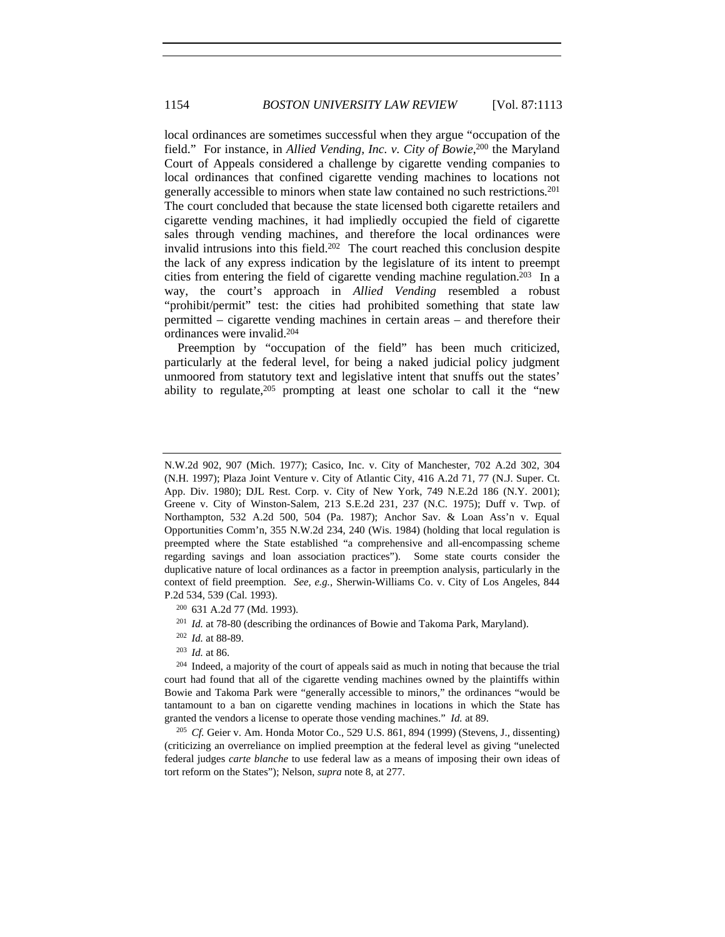local ordinances are sometimes successful when they argue "occupation of the field." For instance, in *Allied Vending, Inc. v. City of Bowie*, 200 the Maryland Court of Appeals considered a challenge by cigarette vending companies to local ordinances that confined cigarette vending machines to locations not generally accessible to minors when state law contained no such restrictions.201 The court concluded that because the state licensed both cigarette retailers and cigarette vending machines, it had impliedly occupied the field of cigarette sales through vending machines, and therefore the local ordinances were invalid intrusions into this field.<sup>202</sup> The court reached this conclusion despite the lack of any express indication by the legislature of its intent to preempt cities from entering the field of cigarette vending machine regulation.203 In a way, the court's approach in *Allied Vending* resembled a robust "prohibit/permit" test: the cities had prohibited something that state law permitted – cigarette vending machines in certain areas – and therefore their ordinances were invalid.204

Preemption by "occupation of the field" has been much criticized, particularly at the federal level, for being a naked judicial policy judgment unmoored from statutory text and legislative intent that snuffs out the states' ability to regulate, $205$  prompting at least one scholar to call it the "new

<sup>200</sup> 631 A.2d 77 (Md. 1993).

<sup>201</sup> *Id.* at 78-80 (describing the ordinances of Bowie and Takoma Park, Maryland).

<sup>202</sup> *Id.* at 88-89.

<sup>203</sup> *Id.* at 86.

<sup>204</sup> Indeed, a majority of the court of appeals said as much in noting that because the trial court had found that all of the cigarette vending machines owned by the plaintiffs within Bowie and Takoma Park were "generally accessible to minors," the ordinances "would be tantamount to a ban on cigarette vending machines in locations in which the State has granted the vendors a license to operate those vending machines." *Id.* at 89.

<sup>205</sup> *Cf.* Geier v. Am. Honda Motor Co., 529 U.S. 861, 894 (1999) (Stevens, J., dissenting) (criticizing an overreliance on implied preemption at the federal level as giving "unelected federal judges *carte blanche* to use federal law as a means of imposing their own ideas of tort reform on the States"); Nelson, *supra* note 8, at 277.

N.W.2d 902, 907 (Mich. 1977); Casico, Inc. v. City of Manchester, 702 A.2d 302, 304 (N.H. 1997); Plaza Joint Venture v. City of Atlantic City, 416 A.2d 71, 77 (N.J. Super. Ct. App. Div. 1980); DJL Rest. Corp. v. City of New York, 749 N.E.2d 186 (N.Y. 2001); Greene v. City of Winston-Salem, 213 S.E.2d 231, 237 (N.C. 1975); Duff v. Twp. of Northampton, 532 A.2d 500, 504 (Pa. 1987); Anchor Sav. & Loan Ass'n v. Equal Opportunities Comm'n, 355 N.W.2d 234, 240 (Wis. 1984) (holding that local regulation is preempted where the State established "a comprehensive and all-encompassing scheme regarding savings and loan association practices"). Some state courts consider the duplicative nature of local ordinances as a factor in preemption analysis, particularly in the context of field preemption. *See, e.g.*, Sherwin-Williams Co. v. City of Los Angeles, 844 P.2d 534, 539 (Cal. 1993).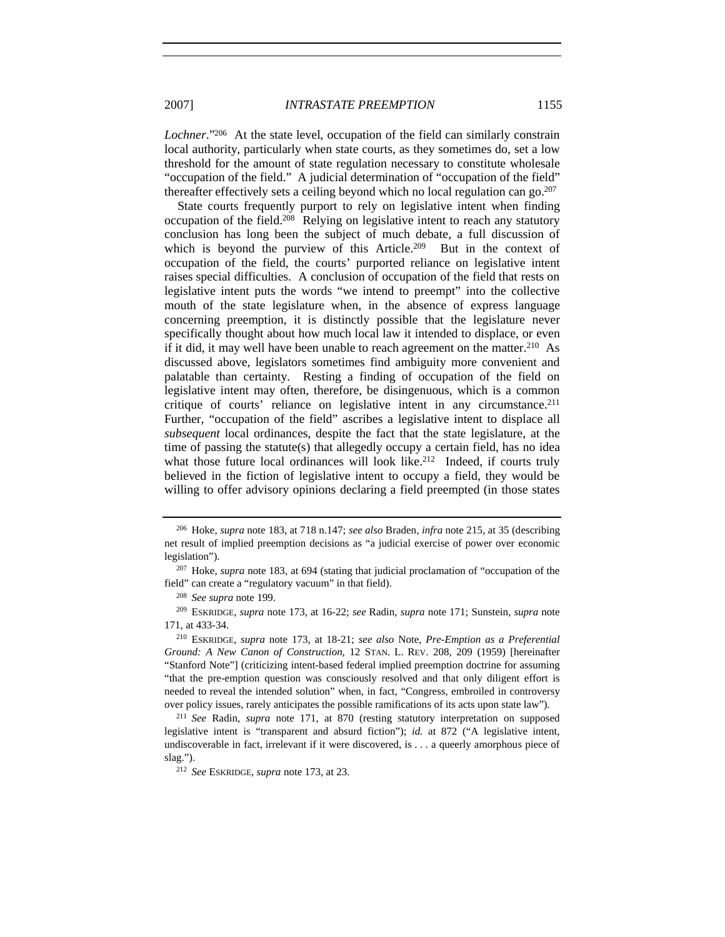*Lochner*."206 At the state level, occupation of the field can similarly constrain local authority, particularly when state courts, as they sometimes do, set a low threshold for the amount of state regulation necessary to constitute wholesale "occupation of the field." A judicial determination of "occupation of the field" thereafter effectively sets a ceiling beyond which no local regulation can  $\gamma^{207}$ 

State courts frequently purport to rely on legislative intent when finding occupation of the field.208 Relying on legislative intent to reach any statutory conclusion has long been the subject of much debate, a full discussion of which is beyond the purview of this Article.<sup>209</sup> But in the context of occupation of the field, the courts' purported reliance on legislative intent raises special difficulties. A conclusion of occupation of the field that rests on legislative intent puts the words "we intend to preempt" into the collective mouth of the state legislature when, in the absence of express language concerning preemption, it is distinctly possible that the legislature never specifically thought about how much local law it intended to displace, or even if it did, it may well have been unable to reach agreement on the matter.<sup>210</sup> As discussed above, legislators sometimes find ambiguity more convenient and palatable than certainty. Resting a finding of occupation of the field on legislative intent may often, therefore, be disingenuous, which is a common critique of courts' reliance on legislative intent in any circumstance.211 Further, "occupation of the field" ascribes a legislative intent to displace all *subsequent* local ordinances, despite the fact that the state legislature, at the time of passing the statute(s) that allegedly occupy a certain field, has no idea what those future local ordinances will look like.<sup>212</sup> Indeed, if courts truly believed in the fiction of legislative intent to occupy a field, they would be willing to offer advisory opinions declaring a field preempted (in those states

<sup>206</sup> Hoke, *supra* note 183, at 718 n.147; *see also* Braden, *infra* note 215, at 35 (describing net result of implied preemption decisions as "a judicial exercise of power over economic legislation").

<sup>207</sup> Hoke, *supra* note 183, at 694 (stating that judicial proclamation of "occupation of the field" can create a "regulatory vacuum" in that field).

<sup>208</sup> *See supra* note 199.

<sup>209</sup> ESKRIDGE, *supra* note 173, at 16-22; *see* Radin, *supra* note 171; Sunstein, *supra* note 171, at 433-34.

<sup>210</sup> ESKRIDGE, *supra* note 173, at 18-21; *see also* Note, *Pre-Emption as a Preferential Ground: A New Canon of Construction*, 12 STAN. L. REV. 208, 209 (1959) [hereinafter "Stanford Note"] (criticizing intent-based federal implied preemption doctrine for assuming "that the pre-emption question was consciously resolved and that only diligent effort is needed to reveal the intended solution" when, in fact, "Congress, embroiled in controversy over policy issues, rarely anticipates the possible ramifications of its acts upon state law").

<sup>211</sup> *See* Radin, *supra* note 171, at 870 (resting statutory interpretation on supposed legislative intent is "transparent and absurd fiction"); *id.* at 872 ("A legislative intent, undiscoverable in fact, irrelevant if it were discovered, is . . . a queerly amorphous piece of slag.").

<sup>212</sup> *See* ESKRIDGE, *supra* note 173, at 23.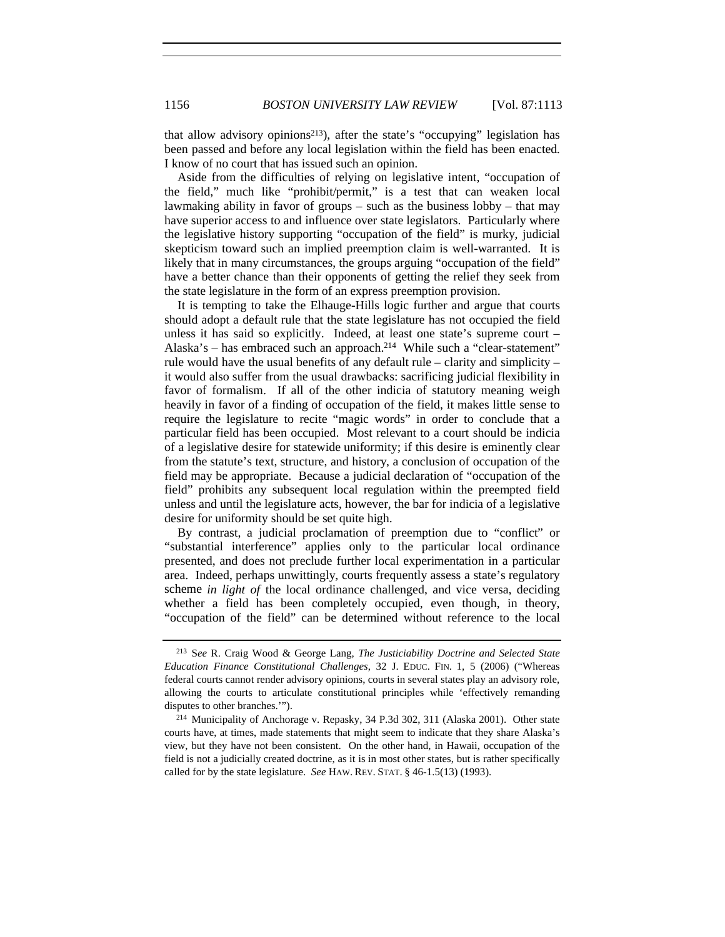that allow advisory opinions213), after the state's "occupying" legislation has been passed and before any local legislation within the field has been enacted. I know of no court that has issued such an opinion.

Aside from the difficulties of relying on legislative intent, "occupation of the field," much like "prohibit/permit," is a test that can weaken local lawmaking ability in favor of groups – such as the business lobby – that may have superior access to and influence over state legislators. Particularly where the legislative history supporting "occupation of the field" is murky, judicial skepticism toward such an implied preemption claim is well-warranted. It is likely that in many circumstances, the groups arguing "occupation of the field" have a better chance than their opponents of getting the relief they seek from the state legislature in the form of an express preemption provision.

It is tempting to take the Elhauge-Hills logic further and argue that courts should adopt a default rule that the state legislature has not occupied the field unless it has said so explicitly. Indeed, at least one state's supreme court  $-$ Alaska's – has embraced such an approach.<sup>214</sup> While such a "clear-statement" rule would have the usual benefits of any default rule – clarity and simplicity – it would also suffer from the usual drawbacks: sacrificing judicial flexibility in favor of formalism. If all of the other indicia of statutory meaning weigh heavily in favor of a finding of occupation of the field, it makes little sense to require the legislature to recite "magic words" in order to conclude that a particular field has been occupied. Most relevant to a court should be indicia of a legislative desire for statewide uniformity; if this desire is eminently clear from the statute's text, structure, and history, a conclusion of occupation of the field may be appropriate. Because a judicial declaration of "occupation of the field" prohibits any subsequent local regulation within the preempted field unless and until the legislature acts, however, the bar for indicia of a legislative desire for uniformity should be set quite high.

By contrast, a judicial proclamation of preemption due to "conflict" or "substantial interference" applies only to the particular local ordinance presented, and does not preclude further local experimentation in a particular area. Indeed, perhaps unwittingly, courts frequently assess a state's regulatory scheme *in light of* the local ordinance challenged, and vice versa, deciding whether a field has been completely occupied, even though, in theory, "occupation of the field" can be determined without reference to the local

<sup>213</sup> S*ee* R. Craig Wood & George Lang, *The Justiciability Doctrine and Selected State Education Finance Constitutional Challenges*, 32 J. EDUC. FIN. 1, 5 (2006) ("Whereas federal courts cannot render advisory opinions, courts in several states play an advisory role, allowing the courts to articulate constitutional principles while 'effectively remanding disputes to other branches.'").

<sup>214</sup> Municipality of Anchorage v. Repasky, 34 P.3d 302, 311 (Alaska 2001). Other state courts have, at times, made statements that might seem to indicate that they share Alaska's view, but they have not been consistent. On the other hand, in Hawaii, occupation of the field is not a judicially created doctrine, as it is in most other states, but is rather specifically called for by the state legislature. *See* HAW. REV. STAT. § 46-1.5(13) (1993).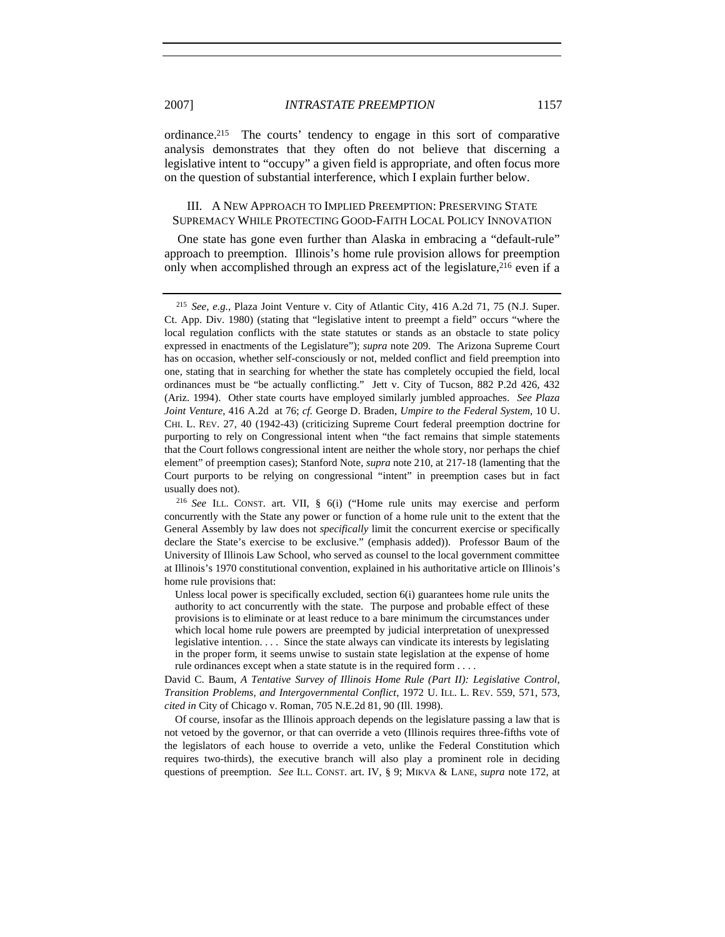ordinance.215 The courts' tendency to engage in this sort of comparative analysis demonstrates that they often do not believe that discerning a legislative intent to "occupy" a given field is appropriate, and often focus more on the question of substantial interference, which I explain further below.

# III. A NEW APPROACH TO IMPLIED PREEMPTION: PRESERVING STATE SUPREMACY WHILE PROTECTING GOOD-FAITH LOCAL POLICY INNOVATION

One state has gone even further than Alaska in embracing a "default-rule" approach to preemption. Illinois's home rule provision allows for preemption only when accomplished through an express act of the legislature,<sup>216</sup> even if a

<sup>215</sup> *See, e.g.*, Plaza Joint Venture v. City of Atlantic City, 416 A.2d 71, 75 (N.J. Super. Ct. App. Div. 1980) (stating that "legislative intent to preempt a field" occurs "where the local regulation conflicts with the state statutes or stands as an obstacle to state policy expressed in enactments of the Legislature"); *supra* note 209. The Arizona Supreme Court has on occasion, whether self-consciously or not, melded conflict and field preemption into one, stating that in searching for whether the state has completely occupied the field, local ordinances must be "be actually conflicting." Jett v. City of Tucson, 882 P.2d 426, 432 (Ariz. 1994). Other state courts have employed similarly jumbled approaches. *See Plaza Joint Venture*, 416 A.2d at 76; *cf.* George D. Braden, *Umpire to the Federal System*, 10 U. CHI. L. REV. 27, 40 (1942-43) (criticizing Supreme Court federal preemption doctrine for purporting to rely on Congressional intent when "the fact remains that simple statements that the Court follows congressional intent are neither the whole story, nor perhaps the chief element" of preemption cases); Stanford Note, *supra* note 210, at 217-18 (lamenting that the Court purports to be relying on congressional "intent" in preemption cases but in fact usually does not).

<sup>216</sup> *See* ILL. CONST. art. VII, § 6(i) ("Home rule units may exercise and perform concurrently with the State any power or function of a home rule unit to the extent that the General Assembly by law does not *specifically* limit the concurrent exercise or specifically declare the State's exercise to be exclusive." (emphasis added)). Professor Baum of the University of Illinois Law School, who served as counsel to the local government committee at Illinois's 1970 constitutional convention, explained in his authoritative article on Illinois's home rule provisions that:

Unless local power is specifically excluded, section 6(i) guarantees home rule units the authority to act concurrently with the state. The purpose and probable effect of these provisions is to eliminate or at least reduce to a bare minimum the circumstances under which local home rule powers are preempted by judicial interpretation of unexpressed legislative intention. . . . Since the state always can vindicate its interests by legislating in the proper form, it seems unwise to sustain state legislation at the expense of home rule ordinances except when a state statute is in the required form . . . .

David C. Baum, *A Tentative Survey of Illinois Home Rule (Part II): Legislative Control, Transition Problems, and Intergovernmental Conflict*, 1972 U. ILL. L. REV. 559, 571, 573, *cited in* City of Chicago v. Roman, 705 N.E.2d 81, 90 (Ill. 1998).

Of course, insofar as the Illinois approach depends on the legislature passing a law that is not vetoed by the governor, or that can override a veto (Illinois requires three-fifths vote of the legislators of each house to override a veto, unlike the Federal Constitution which requires two-thirds), the executive branch will also play a prominent role in deciding questions of preemption. *See* ILL. CONST. art. IV, § 9; MIKVA & LANE, *supra* note 172, at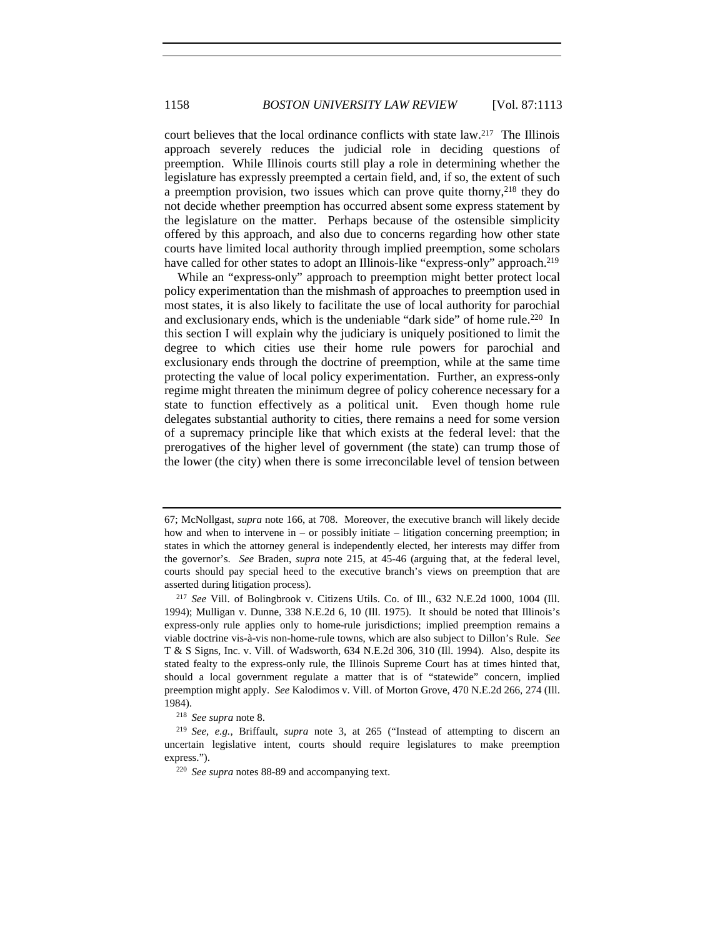court believes that the local ordinance conflicts with state law.217 The Illinois approach severely reduces the judicial role in deciding questions of preemption. While Illinois courts still play a role in determining whether the legislature has expressly preempted a certain field, and, if so, the extent of such a preemption provision, two issues which can prove quite thorny,<sup>218</sup> they do not decide whether preemption has occurred absent some express statement by the legislature on the matter. Perhaps because of the ostensible simplicity offered by this approach, and also due to concerns regarding how other state courts have limited local authority through implied preemption, some scholars have called for other states to adopt an Illinois-like "express-only" approach.<sup>219</sup>

While an "express-only" approach to preemption might better protect local policy experimentation than the mishmash of approaches to preemption used in most states, it is also likely to facilitate the use of local authority for parochial and exclusionary ends, which is the undeniable "dark side" of home rule.<sup>220</sup> In this section I will explain why the judiciary is uniquely positioned to limit the degree to which cities use their home rule powers for parochial and exclusionary ends through the doctrine of preemption, while at the same time protecting the value of local policy experimentation. Further, an express-only regime might threaten the minimum degree of policy coherence necessary for a state to function effectively as a political unit. Even though home rule delegates substantial authority to cities, there remains a need for some version of a supremacy principle like that which exists at the federal level: that the prerogatives of the higher level of government (the state) can trump those of the lower (the city) when there is some irreconcilable level of tension between

<sup>218</sup> *See supra* note 8.

<sup>219</sup> *See*, *e.g.*, Briffault, *supra* note 3, at 265 ("Instead of attempting to discern an uncertain legislative intent, courts should require legislatures to make preemption express.").

<sup>220</sup> *See supra* notes 88-89 and accompanying text.

<sup>67;</sup> McNollgast, *supra* note 166, at 708. Moreover, the executive branch will likely decide how and when to intervene in – or possibly initiate – litigation concerning preemption; in states in which the attorney general is independently elected, her interests may differ from the governor's. *See* Braden, *supra* note 215, at 45-46 (arguing that, at the federal level, courts should pay special heed to the executive branch's views on preemption that are asserted during litigation process).

<sup>217</sup> *See* Vill. of Bolingbrook v. Citizens Utils. Co. of Ill., 632 N.E.2d 1000, 1004 (Ill. 1994); Mulligan v. Dunne, 338 N.E.2d 6, 10 (Ill. 1975). It should be noted that Illinois's express-only rule applies only to home-rule jurisdictions; implied preemption remains a viable doctrine vis-à-vis non-home-rule towns, which are also subject to Dillon's Rule. *See* T & S Signs, Inc. v. Vill. of Wadsworth, 634 N.E.2d 306, 310 (Ill. 1994). Also, despite its stated fealty to the express-only rule, the Illinois Supreme Court has at times hinted that, should a local government regulate a matter that is of "statewide" concern, implied preemption might apply. *See* Kalodimos v. Vill. of Morton Grove, 470 N.E.2d 266, 274 (Ill. 1984).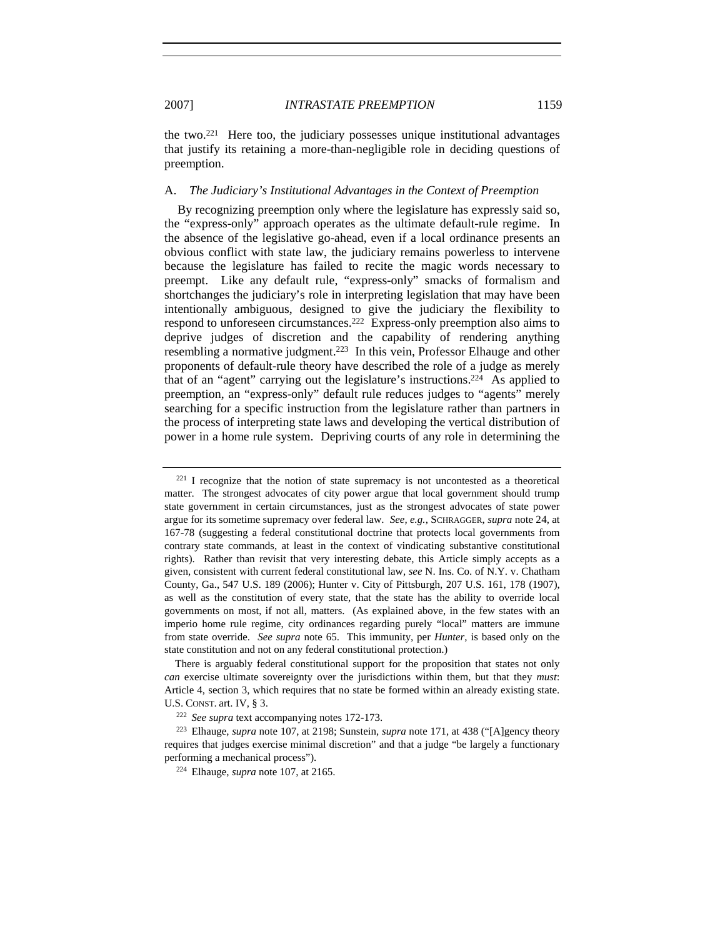the two.221 Here too, the judiciary possesses unique institutional advantages that justify its retaining a more-than-negligible role in deciding questions of preemption.

## A. *The Judiciary's Institutional Advantages in the Context of Preemption*

By recognizing preemption only where the legislature has expressly said so, the "express-only" approach operates as the ultimate default-rule regime. In the absence of the legislative go-ahead, even if a local ordinance presents an obvious conflict with state law, the judiciary remains powerless to intervene because the legislature has failed to recite the magic words necessary to preempt. Like any default rule, "express-only" smacks of formalism and shortchanges the judiciary's role in interpreting legislation that may have been intentionally ambiguous, designed to give the judiciary the flexibility to respond to unforeseen circumstances.222 Express-only preemption also aims to deprive judges of discretion and the capability of rendering anything resembling a normative judgment.223 In this vein, Professor Elhauge and other proponents of default-rule theory have described the role of a judge as merely that of an "agent" carrying out the legislature's instructions.224 As applied to preemption, an "express-only" default rule reduces judges to "agents" merely searching for a specific instruction from the legislature rather than partners in the process of interpreting state laws and developing the vertical distribution of power in a home rule system. Depriving courts of any role in determining the

<sup>221</sup> I recognize that the notion of state supremacy is not uncontested as a theoretical matter. The strongest advocates of city power argue that local government should trump state government in certain circumstances, just as the strongest advocates of state power argue for its sometime supremacy over federal law. *See, e.g.*, SCHRAGGER, *supra* note 24, at 167-78 (suggesting a federal constitutional doctrine that protects local governments from contrary state commands, at least in the context of vindicating substantive constitutional rights). Rather than revisit that very interesting debate, this Article simply accepts as a given, consistent with current federal constitutional law, *see* N. Ins. Co. of N.Y. v. Chatham County, Ga., 547 U.S. 189 (2006); Hunter v. City of Pittsburgh, 207 U.S. 161, 178 (1907), as well as the constitution of every state, that the state has the ability to override local governments on most, if not all, matters. (As explained above, in the few states with an imperio home rule regime, city ordinances regarding purely "local" matters are immune from state override. *See supra* note 65. This immunity, per *Hunter*, is based only on the state constitution and not on any federal constitutional protection.)

There is arguably federal constitutional support for the proposition that states not only *can* exercise ultimate sovereignty over the jurisdictions within them, but that they *must*: Article 4, section 3, which requires that no state be formed within an already existing state. U.S. CONST. art. IV, § 3.

<sup>222</sup> *See supra* text accompanying notes 172-173.

<sup>223</sup> Elhauge, *supra* note 107, at 2198; Sunstein, *supra* note 171, at 438 ("[A]gency theory requires that judges exercise minimal discretion" and that a judge "be largely a functionary performing a mechanical process").

<sup>224</sup> Elhauge, *supra* note 107, at 2165.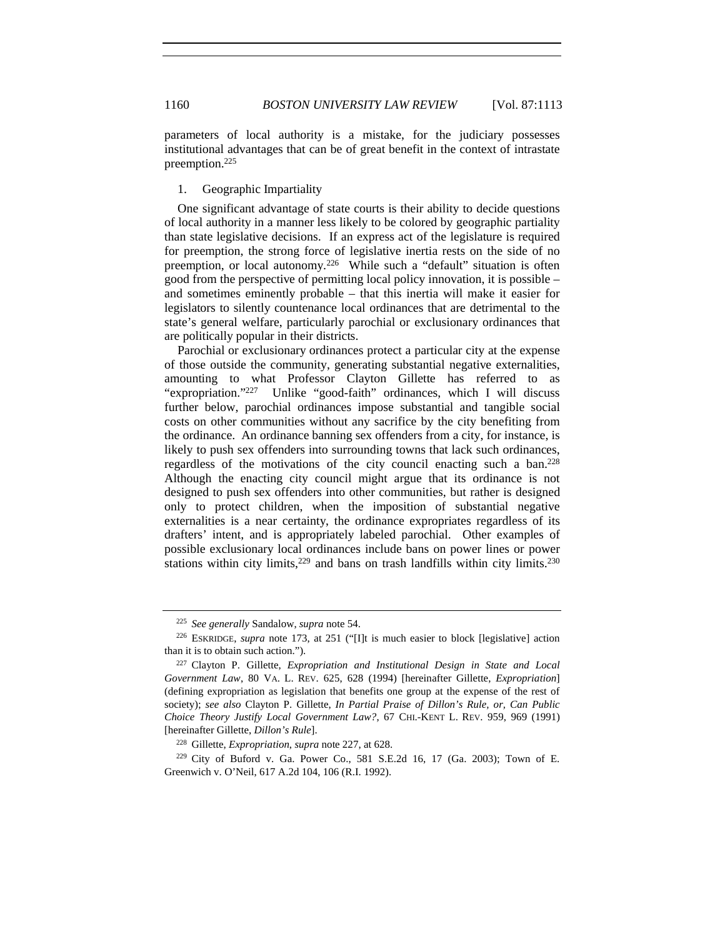parameters of local authority is a mistake, for the judiciary possesses institutional advantages that can be of great benefit in the context of intrastate preemption.225

# 1. Geographic Impartiality

One significant advantage of state courts is their ability to decide questions of local authority in a manner less likely to be colored by geographic partiality than state legislative decisions. If an express act of the legislature is required for preemption, the strong force of legislative inertia rests on the side of no preemption, or local autonomy.226 While such a "default" situation is often good from the perspective of permitting local policy innovation, it is possible – and sometimes eminently probable – that this inertia will make it easier for legislators to silently countenance local ordinances that are detrimental to the state's general welfare, particularly parochial or exclusionary ordinances that are politically popular in their districts.

Parochial or exclusionary ordinances protect a particular city at the expense of those outside the community, generating substantial negative externalities, amounting to what Professor Clayton Gillette has referred to as "expropriation."<sup>227</sup> Unlike "good-faith" ordinances, which I will discuss further below, parochial ordinances impose substantial and tangible social costs on other communities without any sacrifice by the city benefiting from the ordinance. An ordinance banning sex offenders from a city, for instance, is likely to push sex offenders into surrounding towns that lack such ordinances, regardless of the motivations of the city council enacting such a ban.228 Although the enacting city council might argue that its ordinance is not designed to push sex offenders into other communities, but rather is designed only to protect children, when the imposition of substantial negative externalities is a near certainty, the ordinance expropriates regardless of its drafters' intent, and is appropriately labeled parochial. Other examples of possible exclusionary local ordinances include bans on power lines or power stations within city limits, $229$  and bans on trash landfills within city limits. $230$ 

<sup>225</sup> *See generally* Sandalow, *supra* note 54.

<sup>226</sup> ESKRIDGE, *supra* note 173, at 251 ("[I]t is much easier to block [legislative] action than it is to obtain such action.").

<sup>227</sup> Clayton P. Gillette, *Expropriation and Institutional Design in State and Local Government Law*, 80 VA. L. REV. 625, 628 (1994) [hereinafter Gillette, *Expropriation*] (defining expropriation as legislation that benefits one group at the expense of the rest of society); *see also* Clayton P. Gillette, *In Partial Praise of Dillon's Rule, or, Can Public Choice Theory Justify Local Government Law?*, 67 CHI.-KENT L. REV. 959, 969 (1991) [hereinafter Gillette, *Dillon's Rule*].

<sup>228</sup> Gillette, *Expropriation*, *supra* note 227, at 628.

 $229$  City of Buford v. Ga. Power Co., 581 S.E.2d 16, 17 (Ga. 2003); Town of E. Greenwich v. O'Neil, 617 A.2d 104, 106 (R.I. 1992).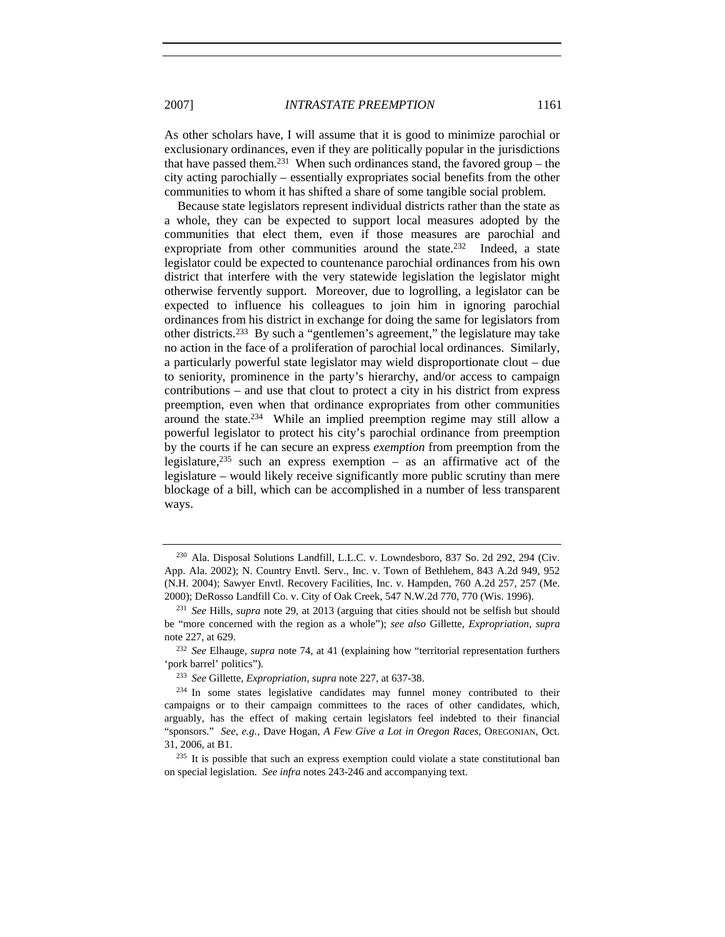As other scholars have, I will assume that it is good to minimize parochial or exclusionary ordinances, even if they are politically popular in the jurisdictions that have passed them.<sup>231</sup> When such ordinances stand, the favored group – the city acting parochially – essentially expropriates social benefits from the other communities to whom it has shifted a share of some tangible social problem.

Because state legislators represent individual districts rather than the state as a whole, they can be expected to support local measures adopted by the communities that elect them, even if those measures are parochial and expropriate from other communities around the state.<sup>232</sup> Indeed, a state legislator could be expected to countenance parochial ordinances from his own district that interfere with the very statewide legislation the legislator might otherwise fervently support. Moreover, due to logrolling, a legislator can be expected to influence his colleagues to join him in ignoring parochial ordinances from his district in exchange for doing the same for legislators from other districts.233 By such a "gentlemen's agreement," the legislature may take no action in the face of a proliferation of parochial local ordinances. Similarly, a particularly powerful state legislator may wield disproportionate clout – due to seniority, prominence in the party's hierarchy, and/or access to campaign contributions – and use that clout to protect a city in his district from express preemption, even when that ordinance expropriates from other communities around the state.234 While an implied preemption regime may still allow a powerful legislator to protect his city's parochial ordinance from preemption by the courts if he can secure an express *exemption* from preemption from the legislature,<sup>235</sup> such an express exemption – as an affirmative act of the legislature – would likely receive significantly more public scrutiny than mere blockage of a bill, which can be accomplished in a number of less transparent ways.

<sup>230</sup> Ala. Disposal Solutions Landfill, L.L.C. v. Lowndesboro, 837 So. 2d 292, 294 (Civ. App. Ala. 2002); N. Country Envtl. Serv., Inc. v. Town of Bethlehem, 843 A.2d 949, 952 (N.H. 2004); Sawyer Envtl. Recovery Facilities, Inc. v. Hampden, 760 A.2d 257, 257 (Me. 2000); DeRosso Landfill Co. v. City of Oak Creek, 547 N.W.2d 770, 770 (Wis. 1996).

<sup>231</sup> *See* Hills, *supra* note 29, at 2013 (arguing that cities should not be selfish but should be "more concerned with the region as a whole"); *see also* Gillette, *Expropriation*, *supra*  note 227, at 629.

<sup>232</sup> *See* Elhauge, *supra* note 74, at 41 (explaining how "territorial representation furthers 'pork barrel' politics").

<sup>233</sup> *See* Gillette, *Expropriation*, *supra* note 227, at 637-38.

<sup>&</sup>lt;sup>234</sup> In some states legislative candidates may funnel money contributed to their campaigns or to their campaign committees to the races of other candidates, which, arguably, has the effect of making certain legislators feel indebted to their financial "sponsors." *See, e.g.*, Dave Hogan, *A Few Give a Lot in Oregon Races*, OREGONIAN, Oct. 31, 2006, at B1.

 $235$  It is possible that such an express exemption could violate a state constitutional ban on special legislation. *See infra* notes 243-246 and accompanying text.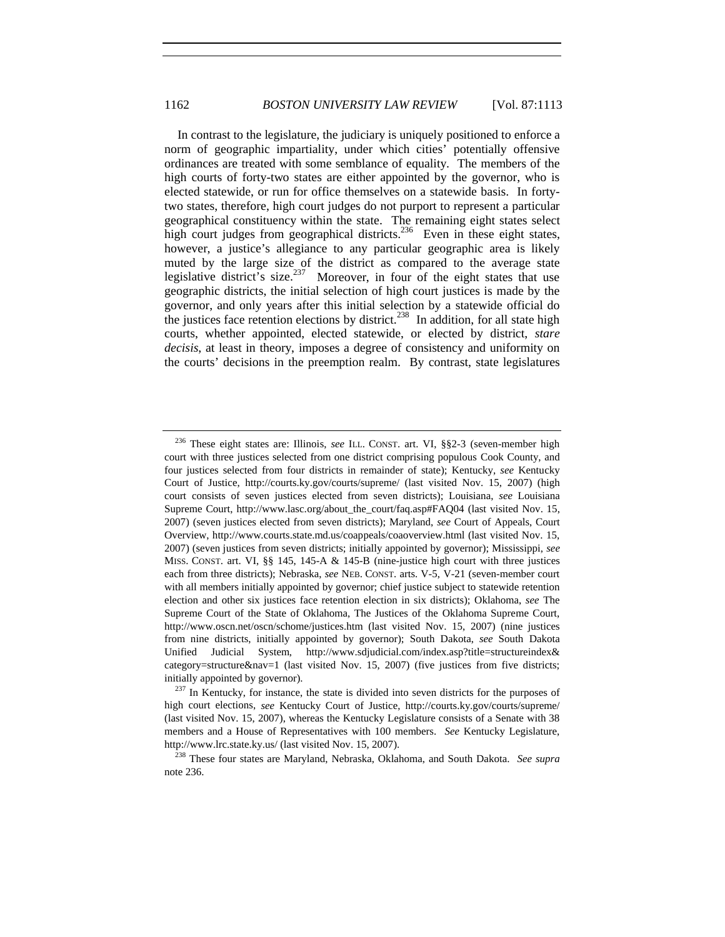In contrast to the legislature, the judiciary is uniquely positioned to enforce a norm of geographic impartiality, under which cities' potentially offensive ordinances are treated with some semblance of equality. The members of the high courts of forty-two states are either appointed by the governor, who is elected statewide, or run for office themselves on a statewide basis. In fortytwo states, therefore, high court judges do not purport to represent a particular geographical constituency within the state. The remaining eight states select high court judges from geographical districts.<sup>236</sup> Even in these eight states, however, a justice's allegiance to any particular geographic area is likely muted by the large size of the district as compared to the average state legislative district's size.<sup>237</sup> Moreover, in four of the eight states that use geographic districts, the initial selection of high court justices is made by the governor, and only years after this initial selection by a statewide official do the justices face retention elections by district.<sup>238</sup> In addition, for all state high courts, whether appointed, elected statewide, or elected by district, *stare decisis*, at least in theory, imposes a degree of consistency and uniformity on the courts' decisions in the preemption realm. By contrast, state legislatures

<sup>236</sup> These eight states are: Illinois, *see* ILL. CONST. art. VI, §§2-3 (seven-member high court with three justices selected from one district comprising populous Cook County, and four justices selected from four districts in remainder of state); Kentucky, *see* Kentucky Court of Justice, http://courts.ky.gov/courts/supreme/ (last visited Nov. 15, 2007) (high court consists of seven justices elected from seven districts); Louisiana, *see* Louisiana Supreme Court, http://www.lasc.org/about\_the\_court/faq.asp#FAQ04 (last visited Nov. 15, 2007) (seven justices elected from seven districts); Maryland, *see* Court of Appeals, Court Overview, http://www.courts.state.md.us/coappeals/coaoverview.html (last visited Nov. 15, 2007) (seven justices from seven districts; initially appointed by governor); Mississippi, *see* MISS. CONST. art. VI, §§ 145, 145-A & 145-B (nine-justice high court with three justices each from three districts); Nebraska, *see* NEB. CONST. arts. V-5, V-21 (seven-member court with all members initially appointed by governor; chief justice subject to statewide retention election and other six justices face retention election in six districts); Oklahoma, *see* The Supreme Court of the State of Oklahoma, The Justices of the Oklahoma Supreme Court, http://www.oscn.net/oscn/schome/justices.htm (last visited Nov. 15, 2007) (nine justices from nine districts, initially appointed by governor); South Dakota, *see* South Dakota Unified Judicial System, http://www.sdjudicial.com/index.asp?title=structureindex& category=structure&nav=1 (last visited Nov. 15, 2007) (five justices from five districts; initially appointed by governor).

 $237$  In Kentucky, for instance, the state is divided into seven districts for the purposes of high court elections, *see* Kentucky Court of Justice, http://courts.ky.gov/courts/supreme/ (last visited Nov. 15, 2007), whereas the Kentucky Legislature consists of a Senate with 38 members and a House of Representatives with 100 members. *See* Kentucky Legislature, http://www.lrc.state.ky.us/ (last visited Nov. 15, 2007).

<sup>238</sup> These four states are Maryland, Nebraska, Oklahoma, and South Dakota. *See supra* note 236.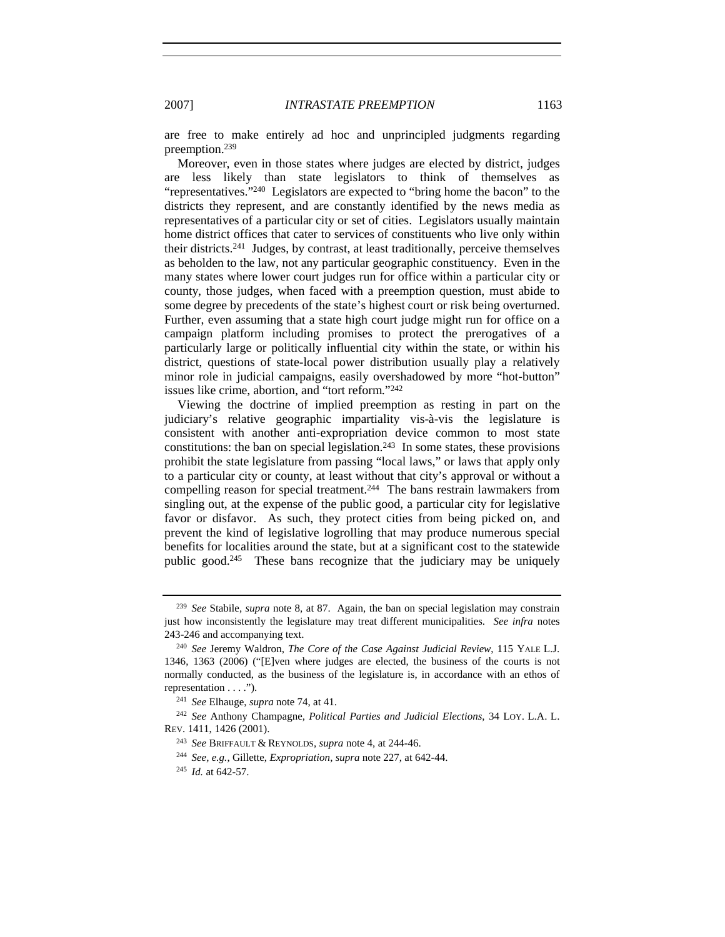are free to make entirely ad hoc and unprincipled judgments regarding preemption.239

Moreover, even in those states where judges are elected by district, judges are less likely than state legislators to think of themselves as "representatives."240 Legislators are expected to "bring home the bacon" to the districts they represent, and are constantly identified by the news media as representatives of a particular city or set of cities. Legislators usually maintain home district offices that cater to services of constituents who live only within their districts.241 Judges, by contrast, at least traditionally, perceive themselves as beholden to the law, not any particular geographic constituency. Even in the many states where lower court judges run for office within a particular city or county, those judges, when faced with a preemption question, must abide to some degree by precedents of the state's highest court or risk being overturned. Further, even assuming that a state high court judge might run for office on a campaign platform including promises to protect the prerogatives of a particularly large or politically influential city within the state, or within his district, questions of state-local power distribution usually play a relatively minor role in judicial campaigns, easily overshadowed by more "hot-button" issues like crime, abortion, and "tort reform."242

Viewing the doctrine of implied preemption as resting in part on the judiciary's relative geographic impartiality vis-à-vis the legislature is consistent with another anti-expropriation device common to most state constitutions: the ban on special legislation.<sup>243</sup> In some states, these provisions prohibit the state legislature from passing "local laws," or laws that apply only to a particular city or county, at least without that city's approval or without a compelling reason for special treatment.244 The bans restrain lawmakers from singling out, at the expense of the public good, a particular city for legislative favor or disfavor. As such, they protect cities from being picked on, and prevent the kind of legislative logrolling that may produce numerous special benefits for localities around the state, but at a significant cost to the statewide public good.245 These bans recognize that the judiciary may be uniquely

<sup>239</sup> *See* Stabile, *supra* note 8, at 87. Again, the ban on special legislation may constrain just how inconsistently the legislature may treat different municipalities. *See infra* notes 243-246 and accompanying text.

<sup>240</sup> *See* Jeremy Waldron, *The Core of the Case Against Judicial Review*, 115 YALE L.J. 1346, 1363 (2006) ("[E]ven where judges are elected, the business of the courts is not normally conducted, as the business of the legislature is, in accordance with an ethos of representation . . . .").

<sup>241</sup> *See* Elhauge, *supra* note 74, at 41.

<sup>242</sup> *See* Anthony Champagne, *Political Parties and Judicial Elections*, 34 LOY. L.A. L. REV. 1411, 1426 (2001).

<sup>243</sup> *See* BRIFFAULT & REYNOLDS, *supra* note 4, at 244-46.

<sup>244</sup> *See, e.g.*, Gillette, *Expropriation*, *supra* note 227, at 642-44.

<sup>245</sup> *Id.* at 642-57.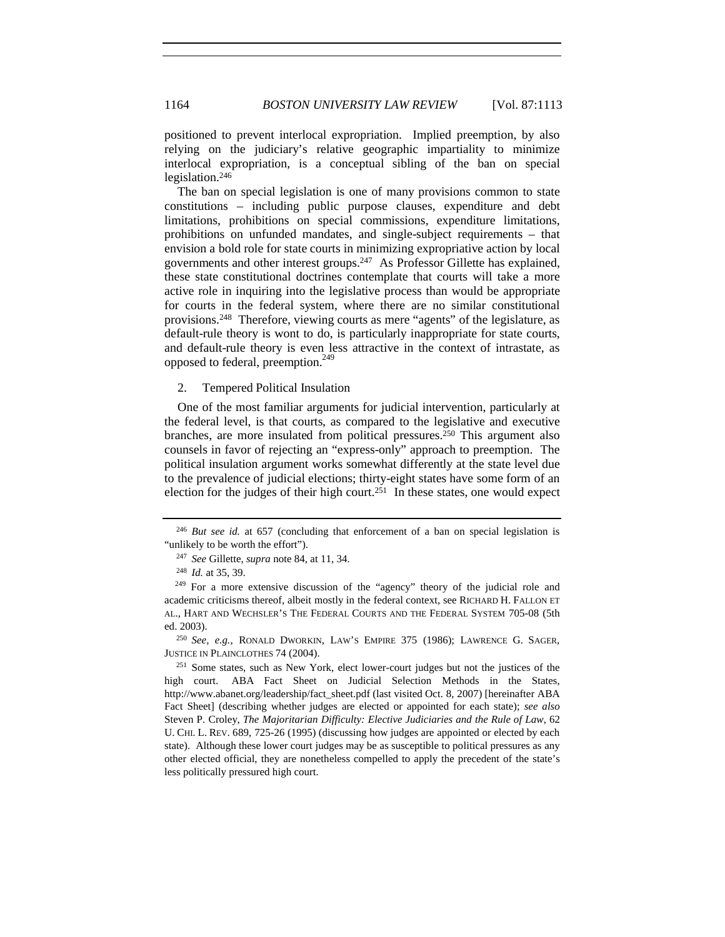positioned to prevent interlocal expropriation. Implied preemption, by also relying on the judiciary's relative geographic impartiality to minimize interlocal expropriation, is a conceptual sibling of the ban on special legislation.246

The ban on special legislation is one of many provisions common to state constitutions – including public purpose clauses, expenditure and debt limitations, prohibitions on special commissions, expenditure limitations, prohibitions on unfunded mandates, and single-subject requirements – that envision a bold role for state courts in minimizing expropriative action by local governments and other interest groups.247 As Professor Gillette has explained, these state constitutional doctrines contemplate that courts will take a more active role in inquiring into the legislative process than would be appropriate for courts in the federal system, where there are no similar constitutional provisions.248 Therefore, viewing courts as mere "agents" of the legislature, as default-rule theory is wont to do, is particularly inappropriate for state courts, and default-rule theory is even less attractive in the context of intrastate, as opposed to federal, preemption.<sup>249</sup>

2. Tempered Political Insulation

One of the most familiar arguments for judicial intervention, particularly at the federal level, is that courts, as compared to the legislative and executive branches, are more insulated from political pressures.250 This argument also counsels in favor of rejecting an "express-only" approach to preemption. The political insulation argument works somewhat differently at the state level due to the prevalence of judicial elections; thirty-eight states have some form of an election for the judges of their high court.<sup>251</sup> In these states, one would expect

<sup>250</sup> *See, e.g.*, RONALD DWORKIN, LAW'S EMPIRE 375 (1986); LAWRENCE G. SAGER, JUSTICE IN PLAINCLOTHES 74 (2004).

<sup>246</sup> *But see id.* at 657 (concluding that enforcement of a ban on special legislation is "unlikely to be worth the effort").

<sup>247</sup> *See* Gillette, *supra* note 84, at 11, 34.

<sup>248</sup> *Id.* at 35, 39.

<sup>&</sup>lt;sup>249</sup> For a more extensive discussion of the "agency" theory of the judicial role and academic criticisms thereof, albeit mostly in the federal context, see RICHARD H. FALLON ET AL., HART AND WECHSLER'S THE FEDERAL COURTS AND THE FEDERAL SYSTEM 705-08 (5th ed. 2003).

 $251$  Some states, such as New York, elect lower-court judges but not the justices of the high court. ABA Fact Sheet on Judicial Selection Methods in the States, http://www.abanet.org/leadership/fact\_sheet.pdf (last visited Oct. 8, 2007) [hereinafter ABA Fact Sheet] (describing whether judges are elected or appointed for each state); *see also*  Steven P. Croley, *The Majoritarian Difficulty: Elective Judiciaries and the Rule of Law*, 62 U. CHI. L. REV. 689, 725-26 (1995) (discussing how judges are appointed or elected by each state). Although these lower court judges may be as susceptible to political pressures as any other elected official, they are nonetheless compelled to apply the precedent of the state's less politically pressured high court.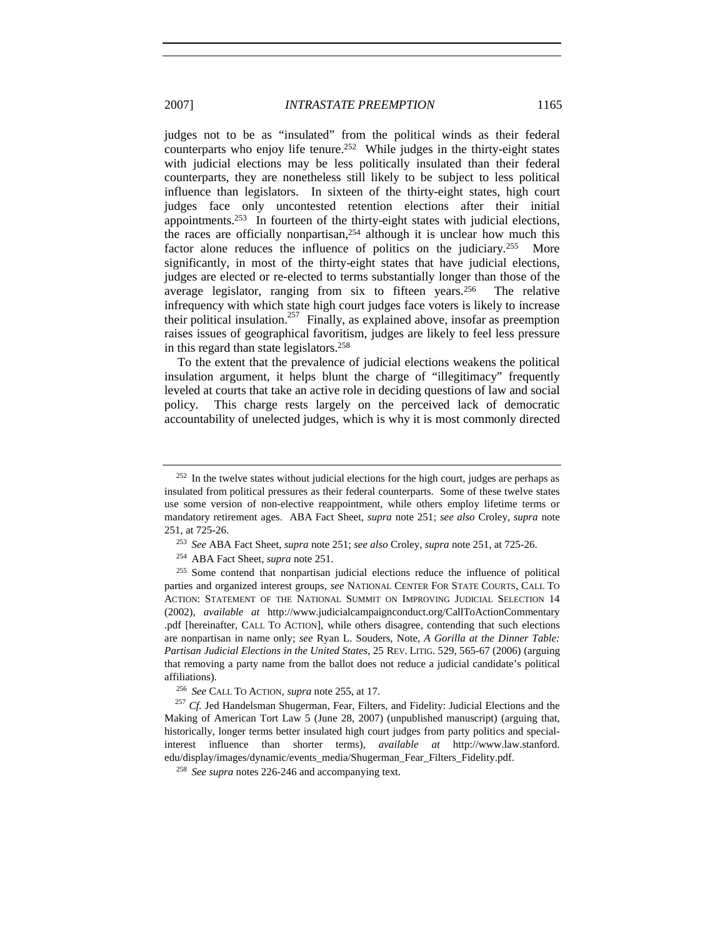judges not to be as "insulated" from the political winds as their federal counterparts who enjoy life tenure.<sup>252</sup> While judges in the thirty-eight states with judicial elections may be less politically insulated than their federal counterparts, they are nonetheless still likely to be subject to less political influence than legislators. In sixteen of the thirty-eight states, high court judges face only uncontested retention elections after their initial appointments.253 In fourteen of the thirty-eight states with judicial elections, the races are officially nonpartisan,254 although it is unclear how much this factor alone reduces the influence of politics on the judiciary.<sup>255</sup> More significantly, in most of the thirty-eight states that have judicial elections, judges are elected or re-elected to terms substantially longer than those of the average legislator, ranging from six to fifteen years.<sup>256</sup> The relative infrequency with which state high court judges face voters is likely to increase their political insulation.<sup>257</sup> Finally, as explained above, insofar as preemption raises issues of geographical favoritism, judges are likely to feel less pressure in this regard than state legislators.258

To the extent that the prevalence of judicial elections weakens the political insulation argument, it helps blunt the charge of "illegitimacy" frequently leveled at courts that take an active role in deciding questions of law and social policy. This charge rests largely on the perceived lack of democratic accountability of unelected judges, which is why it is most commonly directed

 $252$  In the twelve states without judicial elections for the high court, judges are perhaps as insulated from political pressures as their federal counterparts. Some of these twelve states use some version of non-elective reappointment, while others employ lifetime terms or mandatory retirement ages. ABA Fact Sheet, *supra* note 251; *see also* Croley, *supra* note 251, at 725-26.

<sup>253</sup> *See* ABA Fact Sheet, *supra* note 251; *see also* Croley, *supra* note 251, at 725-26.

<sup>254</sup> ABA Fact Sheet, *supra* note 251.

<sup>255</sup> Some contend that nonpartisan judicial elections reduce the influence of political parties and organized interest groups, *see* NATIONAL CENTER FOR STATE COURTS, CALL TO ACTION: STATEMENT OF THE NATIONAL SUMMIT ON IMPROVING JUDICIAL SELECTION 14 (2002), *available at* http://www.judicialcampaignconduct.org/CallToActionCommentary .pdf [hereinafter, CALL TO ACTION], while others disagree, contending that such elections are nonpartisan in name only; *see* Ryan L. Souders, Note, *A Gorilla at the Dinner Table: Partisan Judicial Elections in the United States*, 25 REV. LITIG. 529, 565-67 (2006) (arguing that removing a party name from the ballot does not reduce a judicial candidate's political affiliations).

<sup>256</sup> *See* CALL TO ACTION, *supra* note 255, at 17.

<sup>&</sup>lt;sup>257</sup> *Cf.* Jed Handelsman Shugerman, Fear, Filters, and Fidelity: Judicial Elections and the Making of American Tort Law 5 (June 28, 2007) (unpublished manuscript) (arguing that, historically, longer terms better insulated high court judges from party politics and specialinterest influence than shorter terms), *available at* http://www.law.stanford. edu/display/images/dynamic/events\_media/Shugerman\_Fear\_Filters\_Fidelity.pdf.

<sup>258</sup> *See supra* notes 226-246 and accompanying text.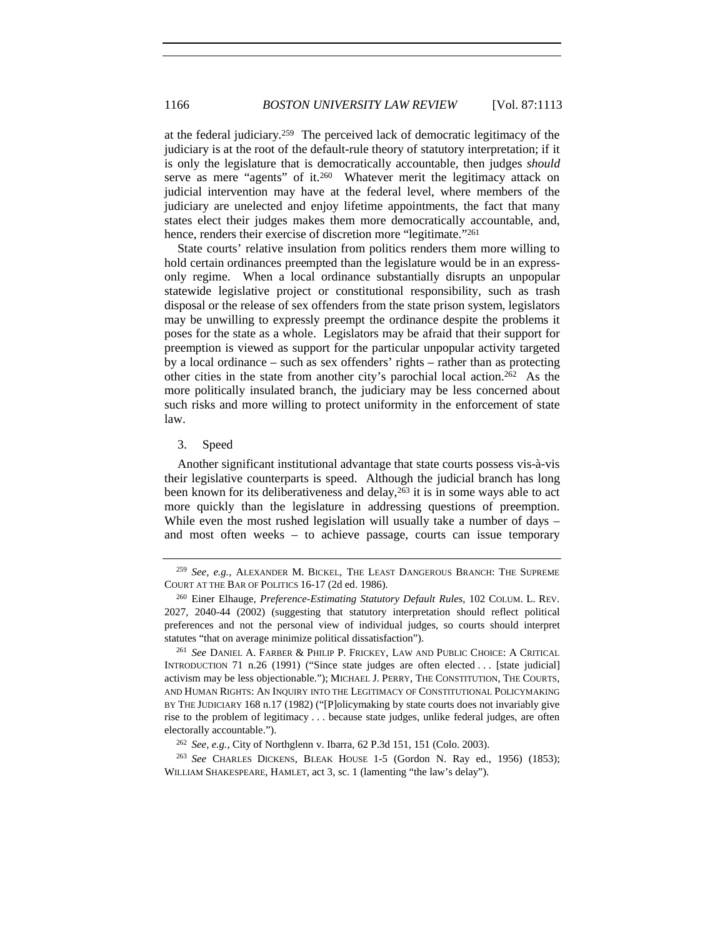at the federal judiciary.259 The perceived lack of democratic legitimacy of the judiciary is at the root of the default-rule theory of statutory interpretation; if it is only the legislature that is democratically accountable, then judges *should* serve as mere "agents" of it.<sup>260</sup> Whatever merit the legitimacy attack on judicial intervention may have at the federal level, where members of the judiciary are unelected and enjoy lifetime appointments, the fact that many states elect their judges makes them more democratically accountable, and, hence, renders their exercise of discretion more "legitimate."<sup>261</sup>

State courts' relative insulation from politics renders them more willing to hold certain ordinances preempted than the legislature would be in an expressonly regime. When a local ordinance substantially disrupts an unpopular statewide legislative project or constitutional responsibility, such as trash disposal or the release of sex offenders from the state prison system, legislators may be unwilling to expressly preempt the ordinance despite the problems it poses for the state as a whole. Legislators may be afraid that their support for preemption is viewed as support for the particular unpopular activity targeted by a local ordinance – such as sex offenders' rights – rather than as protecting other cities in the state from another city's parochial local action.262 As the more politically insulated branch, the judiciary may be less concerned about such risks and more willing to protect uniformity in the enforcement of state law.

#### 3. Speed

Another significant institutional advantage that state courts possess vis-à-vis their legislative counterparts is speed. Although the judicial branch has long been known for its deliberativeness and delay,<sup>263</sup> it is in some ways able to act more quickly than the legislature in addressing questions of preemption. While even the most rushed legislation will usually take a number of days – and most often weeks – to achieve passage, courts can issue temporary

<sup>259</sup> *See, e.g.*, ALEXANDER M. BICKEL, THE LEAST DANGEROUS BRANCH: THE SUPREME COURT AT THE BAR OF POLITICS 16-17 (2d ed. 1986).

<sup>260</sup> Einer Elhauge, *Preference-Estimating Statutory Default Rules*, 102 COLUM. L. REV. 2027, 2040-44 (2002) (suggesting that statutory interpretation should reflect political preferences and not the personal view of individual judges, so courts should interpret statutes "that on average minimize political dissatisfaction").

<sup>261</sup> *See* DANIEL A. FARBER & PHILIP P. FRICKEY, LAW AND PUBLIC CHOICE: A CRITICAL INTRODUCTION 71 n.26 (1991) ("Since state judges are often elected . . . [state judicial] activism may be less objectionable."); MICHAEL J. PERRY, THE CONSTITUTION, THE COURTS, AND HUMAN RIGHTS: AN INQUIRY INTO THE LEGITIMACY OF CONSTITUTIONAL POLICYMAKING BY THE JUDICIARY 168 n.17 (1982) ("[P]olicymaking by state courts does not invariably give rise to the problem of legitimacy . . . because state judges, unlike federal judges, are often electorally accountable.").

<sup>262</sup> *See, e.g.*, City of Northglenn v. Ibarra, 62 P.3d 151, 151 (Colo. 2003).

<sup>263</sup> *See* CHARLES DICKENS, BLEAK HOUSE 1-5 (Gordon N. Ray ed., 1956) (1853); WILLIAM SHAKESPEARE, HAMLET, act 3, sc. 1 (lamenting "the law's delay").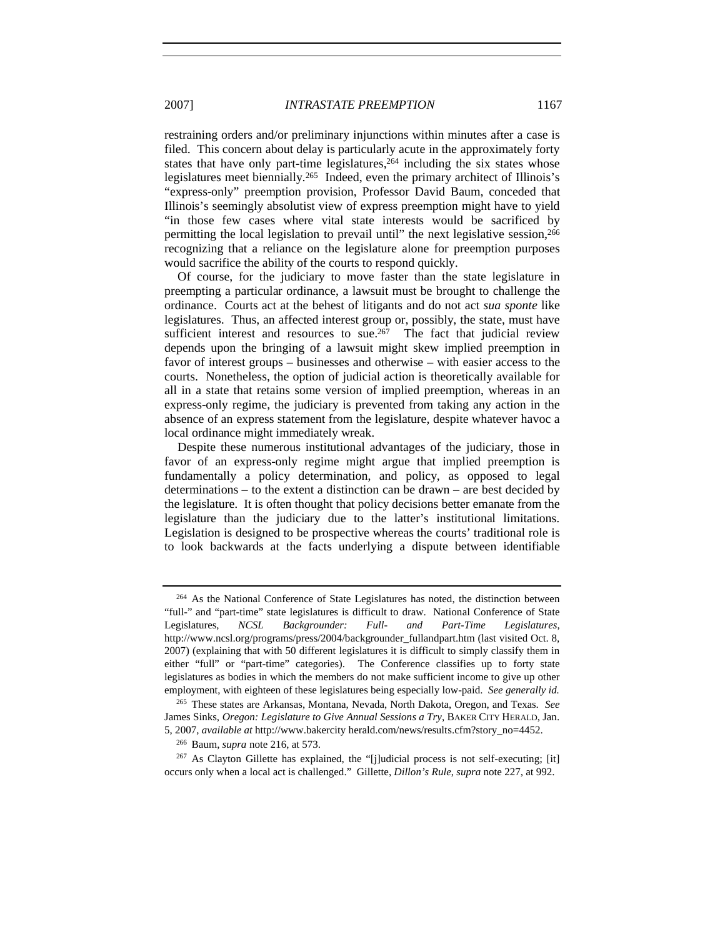restraining orders and/or preliminary injunctions within minutes after a case is filed. This concern about delay is particularly acute in the approximately forty states that have only part-time legislatures, $264$  including the six states whose legislatures meet biennially.265 Indeed, even the primary architect of Illinois's "express-only" preemption provision, Professor David Baum, conceded that Illinois's seemingly absolutist view of express preemption might have to yield "in those few cases where vital state interests would be sacrificed by permitting the local legislation to prevail until" the next legislative session,<sup>266</sup> recognizing that a reliance on the legislature alone for preemption purposes would sacrifice the ability of the courts to respond quickly.

Of course, for the judiciary to move faster than the state legislature in preempting a particular ordinance, a lawsuit must be brought to challenge the ordinance. Courts act at the behest of litigants and do not act *sua sponte* like legislatures. Thus, an affected interest group or, possibly, the state, must have sufficient interest and resources to sue.<sup>267</sup> The fact that judicial review depends upon the bringing of a lawsuit might skew implied preemption in favor of interest groups – businesses and otherwise – with easier access to the courts. Nonetheless, the option of judicial action is theoretically available for all in a state that retains some version of implied preemption, whereas in an express-only regime, the judiciary is prevented from taking any action in the absence of an express statement from the legislature, despite whatever havoc a local ordinance might immediately wreak.

Despite these numerous institutional advantages of the judiciary, those in favor of an express-only regime might argue that implied preemption is fundamentally a policy determination, and policy, as opposed to legal determinations – to the extent a distinction can be drawn – are best decided by the legislature. It is often thought that policy decisions better emanate from the legislature than the judiciary due to the latter's institutional limitations. Legislation is designed to be prospective whereas the courts' traditional role is to look backwards at the facts underlying a dispute between identifiable

<sup>264</sup> As the National Conference of State Legislatures has noted, the distinction between "full-" and "part-time" state legislatures is difficult to draw. National Conference of State Legislatures, *NCSL Backgrounder: Full- and Part-Time Legislatures*, http://www.ncsl.org/programs/press/2004/backgrounder\_fullandpart.htm (last visited Oct. 8, 2007) (explaining that with 50 different legislatures it is difficult to simply classify them in either "full" or "part-time" categories). The Conference classifies up to forty state legislatures as bodies in which the members do not make sufficient income to give up other employment, with eighteen of these legislatures being especially low-paid. *See generally id.*

<sup>265</sup> These states are Arkansas, Montana, Nevada, North Dakota, Oregon, and Texas. *See*  James Sinks, *Oregon: Legislature to Give Annual Sessions a Try*, BAKER CITY HERALD, Jan. 5, 2007, *available at* http://www.bakercity herald.com/news/results.cfm?story\_no=4452.

<sup>266</sup> Baum, *supra* note 216, at 573.

 $^{267}$  As Clayton Gillette has explained, the "[j]udicial process is not self-executing; [it] occurs only when a local act is challenged." Gillette, *Dillon's Rule*, *supra* note 227, at 992.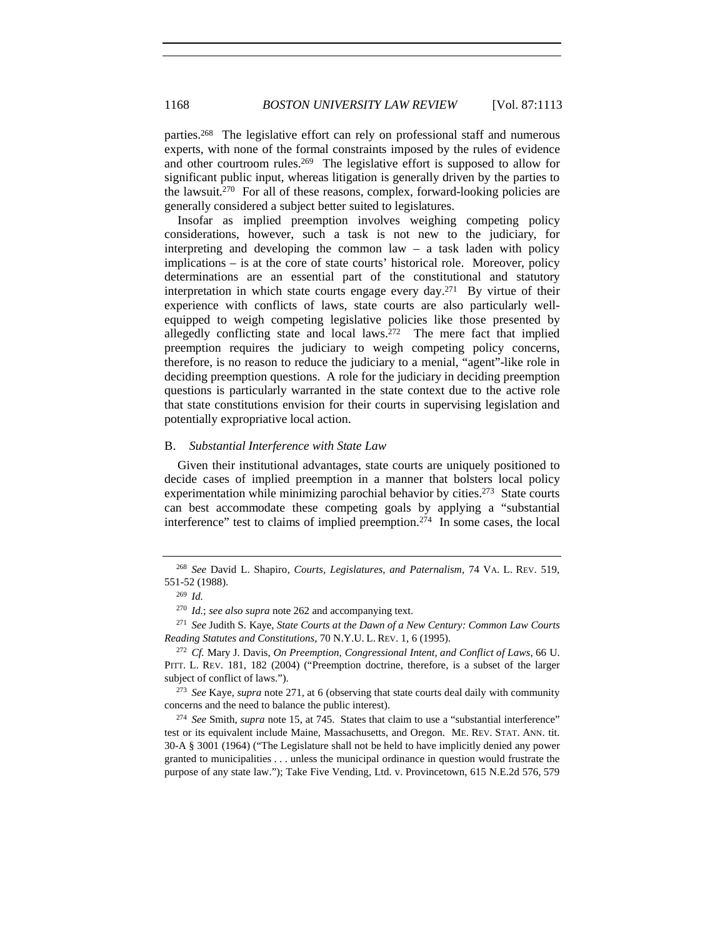parties.268 The legislative effort can rely on professional staff and numerous experts, with none of the formal constraints imposed by the rules of evidence and other courtroom rules.269 The legislative effort is supposed to allow for significant public input, whereas litigation is generally driven by the parties to the lawsuit.<sup>270</sup> For all of these reasons, complex, forward-looking policies are generally considered a subject better suited to legislatures.

Insofar as implied preemption involves weighing competing policy considerations, however, such a task is not new to the judiciary, for interpreting and developing the common law – a task laden with policy implications – is at the core of state courts' historical role. Moreover, policy determinations are an essential part of the constitutional and statutory interpretation in which state courts engage every day.271 By virtue of their experience with conflicts of laws, state courts are also particularly wellequipped to weigh competing legislative policies like those presented by allegedly conflicting state and local laws.<sup>272</sup> The mere fact that implied preemption requires the judiciary to weigh competing policy concerns, therefore, is no reason to reduce the judiciary to a menial, "agent"-like role in deciding preemption questions. A role for the judiciary in deciding preemption questions is particularly warranted in the state context due to the active role that state constitutions envision for their courts in supervising legislation and potentially expropriative local action.

### B. *Substantial Interference with State Law*

Given their institutional advantages, state courts are uniquely positioned to decide cases of implied preemption in a manner that bolsters local policy experimentation while minimizing parochial behavior by cities.<sup>273</sup> State courts can best accommodate these competing goals by applying a "substantial interference" test to claims of implied preemption.274 In some cases, the local

<sup>268</sup> *See* David L. Shapiro, *Courts, Legislatures, and Paternalism*, 74 VA. L. REV. 519, 551-52 (1988).

<sup>269</sup> *Id.*

<sup>270</sup> *Id.*; *see also supra* note 262 and accompanying text.

<sup>271</sup> *See* Judith S. Kaye, *State Courts at the Dawn of a New Century: Common Law Courts Reading Statutes and Constitutions*, 70 N.Y.U. L. REV. 1, 6 (1995).

<sup>272</sup> *Cf.* Mary J. Davis, *On Preemption, Congressional Intent, and Conflict of Laws*, 66 U. PITT. L. REV. 181, 182 (2004) ("Preemption doctrine, therefore, is a subset of the larger subject of conflict of laws.").

<sup>273</sup> *See* Kaye, *supra* note 271, at 6 (observing that state courts deal daily with community concerns and the need to balance the public interest).

<sup>274</sup> *See* Smith, *supra* note 15, at 745. States that claim to use a "substantial interference" test or its equivalent include Maine, Massachusetts, and Oregon. ME. REV. STAT. ANN. tit. 30-A § 3001 (1964) ("The Legislature shall not be held to have implicitly denied any power granted to municipalities . . . unless the municipal ordinance in question would frustrate the purpose of any state law."); Take Five Vending, Ltd. v. Provincetown, 615 N.E.2d 576, 579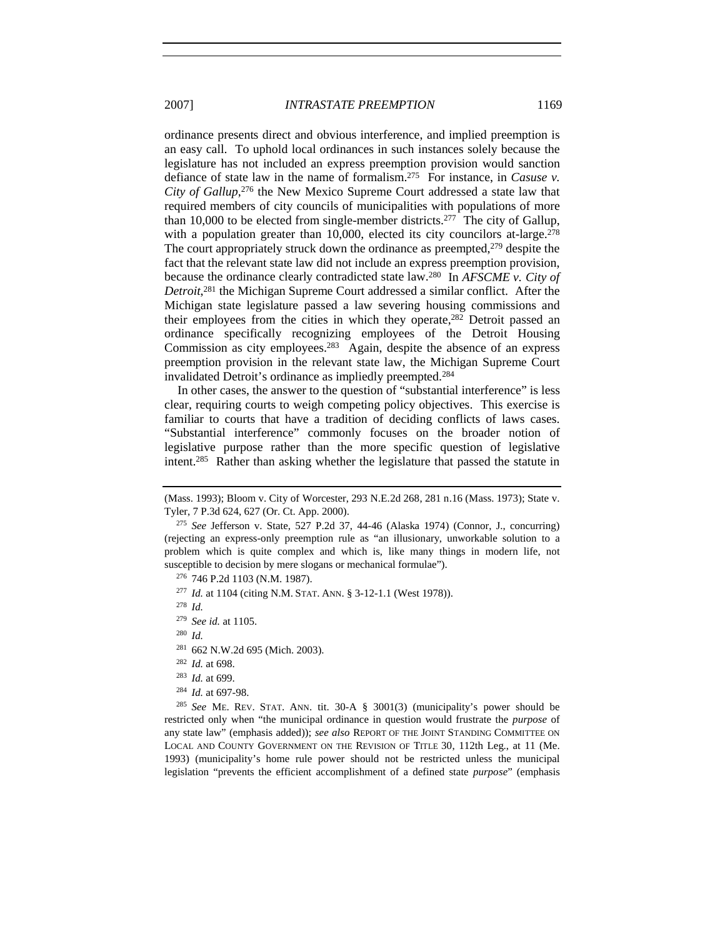ordinance presents direct and obvious interference, and implied preemption is an easy call. To uphold local ordinances in such instances solely because the legislature has not included an express preemption provision would sanction defiance of state law in the name of formalism.275 For instance, in *Casuse v. City of Gallup*, 276 the New Mexico Supreme Court addressed a state law that required members of city councils of municipalities with populations of more than 10,000 to be elected from single-member districts.<sup>277</sup> The city of Gallup, with a population greater than 10,000, elected its city councilors at-large.<sup>278</sup> The court appropriately struck down the ordinance as preempted,<sup>279</sup> despite the fact that the relevant state law did not include an express preemption provision, because the ordinance clearly contradicted state law.280 In *AFSCME v. City of Detroit*, 281 the Michigan Supreme Court addressed a similar conflict. After the Michigan state legislature passed a law severing housing commissions and their employees from the cities in which they operate,282 Detroit passed an ordinance specifically recognizing employees of the Detroit Housing Commission as city employees.283 Again, despite the absence of an express preemption provision in the relevant state law, the Michigan Supreme Court invalidated Detroit's ordinance as impliedly preempted.284

In other cases, the answer to the question of "substantial interference" is less clear, requiring courts to weigh competing policy objectives. This exercise is familiar to courts that have a tradition of deciding conflicts of laws cases. "Substantial interference" commonly focuses on the broader notion of legislative purpose rather than the more specific question of legislative intent.285 Rather than asking whether the legislature that passed the statute in

<sup>278</sup> *Id.*

<sup>280</sup> *Id.*

- <sup>281</sup> 662 N.W.2d 695 (Mich. 2003).
- <sup>282</sup> *Id.* at 698.
- <sup>283</sup> *Id.* at 699.
- <sup>284</sup> *Id.* at 697-98.

<sup>285</sup> *See* ME. REV. STAT. ANN. tit. 30-A § 3001(3) (municipality's power should be restricted only when "the municipal ordinance in question would frustrate the *purpose* of any state law" (emphasis added)); *see also* REPORT OF THE JOINT STANDING COMMITTEE ON LOCAL AND COUNTY GOVERNMENT ON THE REVISION OF TITLE 30, 112th Leg., at 11 (Me. 1993) (municipality's home rule power should not be restricted unless the municipal legislation "prevents the efficient accomplishment of a defined state *purpose*" (emphasis

<sup>(</sup>Mass. 1993); Bloom v. City of Worcester, 293 N.E.2d 268, 281 n.16 (Mass. 1973); State v. Tyler, 7 P.3d 624, 627 (Or. Ct. App. 2000).

<sup>275</sup> *See* Jefferson v. State, 527 P.2d 37, 44-46 (Alaska 1974) (Connor, J., concurring) (rejecting an express-only preemption rule as "an illusionary, unworkable solution to a problem which is quite complex and which is, like many things in modern life, not susceptible to decision by mere slogans or mechanical formulae").

<sup>276</sup> 746 P.2d 1103 (N.M. 1987).

<sup>277</sup> *Id.* at 1104 (citing N.M. STAT. ANN. § 3-12-1.1 (West 1978)).

<sup>279</sup> *See id.* at 1105.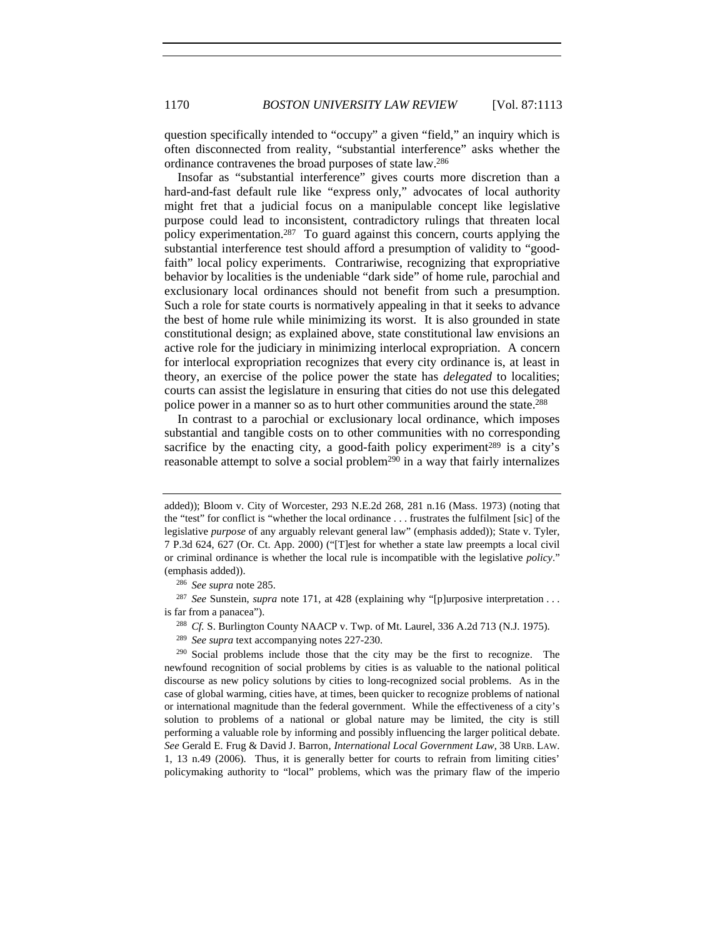question specifically intended to "occupy" a given "field," an inquiry which is often disconnected from reality, "substantial interference" asks whether the ordinance contravenes the broad purposes of state law.286

Insofar as "substantial interference" gives courts more discretion than a hard-and-fast default rule like "express only," advocates of local authority might fret that a judicial focus on a manipulable concept like legislative purpose could lead to inconsistent, contradictory rulings that threaten local policy experimentation.<sup>287</sup> To guard against this concern, courts applying the substantial interference test should afford a presumption of validity to "goodfaith" local policy experiments. Contrariwise, recognizing that expropriative behavior by localities is the undeniable "dark side" of home rule, parochial and exclusionary local ordinances should not benefit from such a presumption. Such a role for state courts is normatively appealing in that it seeks to advance the best of home rule while minimizing its worst. It is also grounded in state constitutional design; as explained above, state constitutional law envisions an active role for the judiciary in minimizing interlocal expropriation. A concern for interlocal expropriation recognizes that every city ordinance is, at least in theory, an exercise of the police power the state has *delegated* to localities; courts can assist the legislature in ensuring that cities do not use this delegated police power in a manner so as to hurt other communities around the state.288

In contrast to a parochial or exclusionary local ordinance, which imposes substantial and tangible costs on to other communities with no corresponding sacrifice by the enacting city, a good-faith policy experiment<sup>289</sup> is a city's reasonable attempt to solve a social problem<sup>290</sup> in a way that fairly internalizes

<sup>286</sup> *See supra* note 285.

<sup>287</sup> See Sunstein, *supra* note 171, at 428 (explaining why "[p]urposive interpretation . . . is far from a panacea").

<sup>288</sup> *Cf.* S. Burlington County NAACP v. Twp. of Mt. Laurel, 336 A.2d 713 (N.J. 1975).

<sup>289</sup> *See supra* text accompanying notes 227-230.

<sup>290</sup> Social problems include those that the city may be the first to recognize. The newfound recognition of social problems by cities is as valuable to the national political discourse as new policy solutions by cities to long-recognized social problems. As in the case of global warming, cities have, at times, been quicker to recognize problems of national or international magnitude than the federal government. While the effectiveness of a city's solution to problems of a national or global nature may be limited, the city is still performing a valuable role by informing and possibly influencing the larger political debate. *See* Gerald E. Frug & David J. Barron, *International Local Government Law*, 38 URB. LAW. 1, 13 n.49 (2006). Thus, it is generally better for courts to refrain from limiting cities' policymaking authority to "local" problems, which was the primary flaw of the imperio

added)); Bloom v. City of Worcester, 293 N.E.2d 268, 281 n.16 (Mass. 1973) (noting that the "test" for conflict is "whether the local ordinance . . . frustrates the fulfilment [sic] of the legislative *purpose* of any arguably relevant general law" (emphasis added)); State v. Tyler, 7 P.3d 624, 627 (Or. Ct. App. 2000) ("[T]est for whether a state law preempts a local civil or criminal ordinance is whether the local rule is incompatible with the legislative *policy*." (emphasis added)).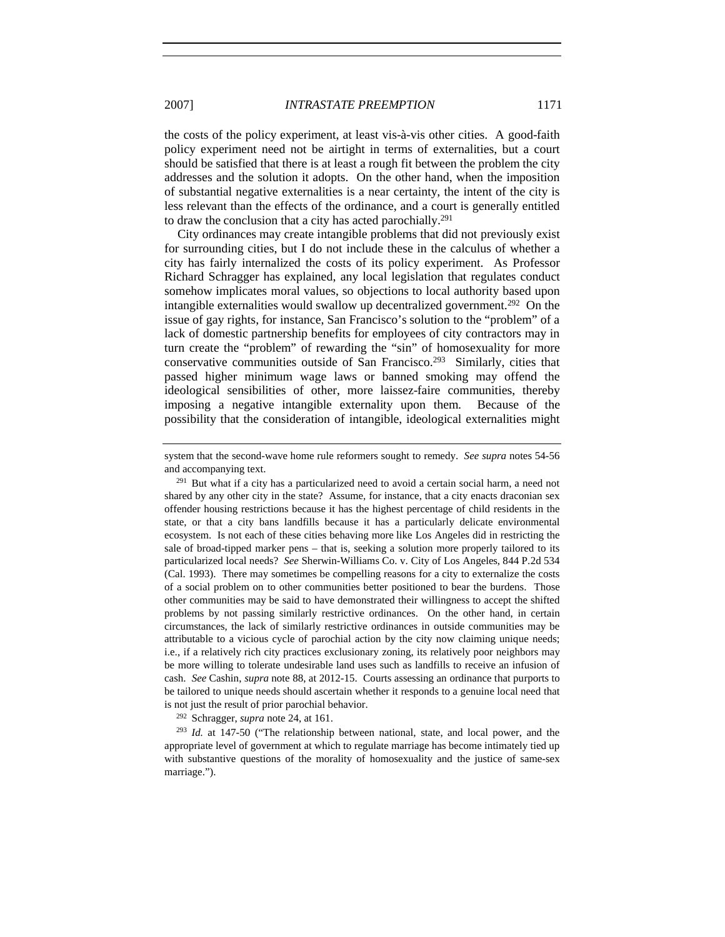the costs of the policy experiment, at least vis-à-vis other cities. A good-faith policy experiment need not be airtight in terms of externalities, but a court should be satisfied that there is at least a rough fit between the problem the city addresses and the solution it adopts. On the other hand, when the imposition of substantial negative externalities is a near certainty, the intent of the city is less relevant than the effects of the ordinance, and a court is generally entitled to draw the conclusion that a city has acted parochially.291

City ordinances may create intangible problems that did not previously exist for surrounding cities, but I do not include these in the calculus of whether a city has fairly internalized the costs of its policy experiment. As Professor Richard Schragger has explained, any local legislation that regulates conduct somehow implicates moral values, so objections to local authority based upon intangible externalities would swallow up decentralized government.292 On the issue of gay rights, for instance, San Francisco's solution to the "problem" of a lack of domestic partnership benefits for employees of city contractors may in turn create the "problem" of rewarding the "sin" of homosexuality for more conservative communities outside of San Francisco.293 Similarly, cities that passed higher minimum wage laws or banned smoking may offend the ideological sensibilities of other, more laissez-faire communities, thereby imposing a negative intangible externality upon them. Because of the possibility that the consideration of intangible, ideological externalities might

<sup>292</sup> Schragger, *supra* note 24, at 161.

<sup>293</sup> *Id.* at 147-50 ("The relationship between national, state, and local power, and the appropriate level of government at which to regulate marriage has become intimately tied up with substantive questions of the morality of homosexuality and the justice of same-sex marriage.").

system that the second-wave home rule reformers sought to remedy. *See supra* notes 54-56 and accompanying text.

 $^{291}$  But what if a city has a particularized need to avoid a certain social harm, a need not shared by any other city in the state? Assume, for instance, that a city enacts draconian sex offender housing restrictions because it has the highest percentage of child residents in the state, or that a city bans landfills because it has a particularly delicate environmental ecosystem. Is not each of these cities behaving more like Los Angeles did in restricting the sale of broad-tipped marker pens – that is, seeking a solution more properly tailored to its particularized local needs? *See* Sherwin-Williams Co. v. City of Los Angeles, 844 P.2d 534 (Cal. 1993). There may sometimes be compelling reasons for a city to externalize the costs of a social problem on to other communities better positioned to bear the burdens. Those other communities may be said to have demonstrated their willingness to accept the shifted problems by not passing similarly restrictive ordinances. On the other hand, in certain circumstances, the lack of similarly restrictive ordinances in outside communities may be attributable to a vicious cycle of parochial action by the city now claiming unique needs; i.e., if a relatively rich city practices exclusionary zoning, its relatively poor neighbors may be more willing to tolerate undesirable land uses such as landfills to receive an infusion of cash. *See* Cashin, *supra* note 88, at 2012-15. Courts assessing an ordinance that purports to be tailored to unique needs should ascertain whether it responds to a genuine local need that is not just the result of prior parochial behavior.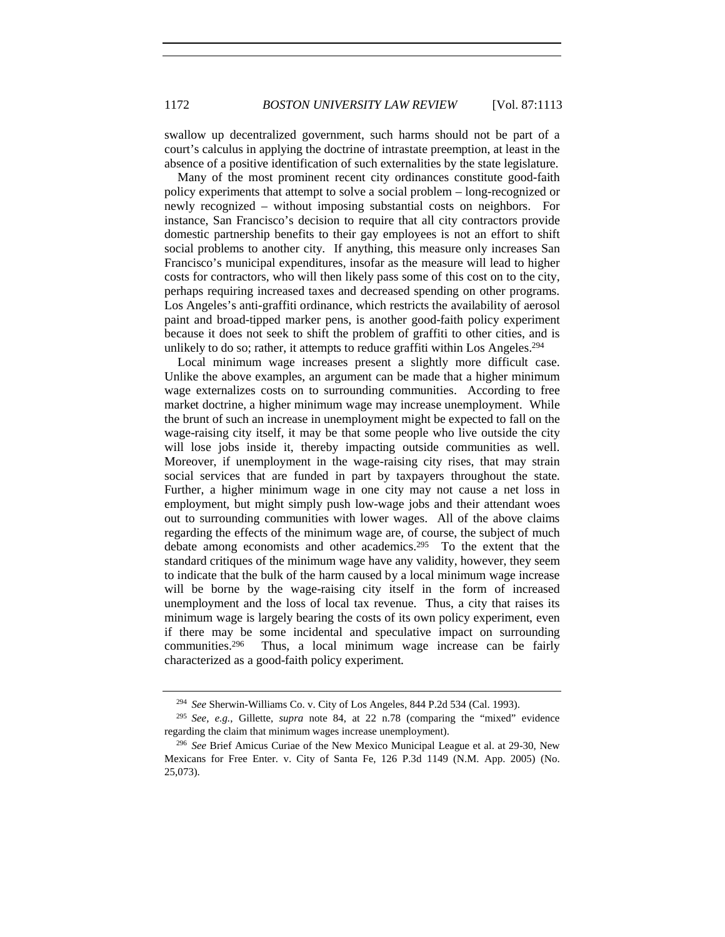swallow up decentralized government, such harms should not be part of a court's calculus in applying the doctrine of intrastate preemption, at least in the absence of a positive identification of such externalities by the state legislature.

Many of the most prominent recent city ordinances constitute good-faith policy experiments that attempt to solve a social problem – long-recognized or newly recognized – without imposing substantial costs on neighbors. For instance, San Francisco's decision to require that all city contractors provide domestic partnership benefits to their gay employees is not an effort to shift social problems to another city. If anything, this measure only increases San Francisco's municipal expenditures, insofar as the measure will lead to higher costs for contractors, who will then likely pass some of this cost on to the city, perhaps requiring increased taxes and decreased spending on other programs. Los Angeles's anti-graffiti ordinance, which restricts the availability of aerosol paint and broad-tipped marker pens, is another good-faith policy experiment because it does not seek to shift the problem of graffiti to other cities, and is unlikely to do so; rather, it attempts to reduce graffiti within Los Angeles.<sup>294</sup>

Local minimum wage increases present a slightly more difficult case. Unlike the above examples, an argument can be made that a higher minimum wage externalizes costs on to surrounding communities. According to free market doctrine, a higher minimum wage may increase unemployment. While the brunt of such an increase in unemployment might be expected to fall on the wage-raising city itself, it may be that some people who live outside the city will lose jobs inside it, thereby impacting outside communities as well. Moreover, if unemployment in the wage-raising city rises, that may strain social services that are funded in part by taxpayers throughout the state. Further, a higher minimum wage in one city may not cause a net loss in employment, but might simply push low-wage jobs and their attendant woes out to surrounding communities with lower wages. All of the above claims regarding the effects of the minimum wage are, of course, the subject of much debate among economists and other academics.295 To the extent that the standard critiques of the minimum wage have any validity, however, they seem to indicate that the bulk of the harm caused by a local minimum wage increase will be borne by the wage-raising city itself in the form of increased unemployment and the loss of local tax revenue. Thus, a city that raises its minimum wage is largely bearing the costs of its own policy experiment, even if there may be some incidental and speculative impact on surrounding communities.296 Thus, a local minimum wage increase can be fairly characterized as a good-faith policy experiment.

<sup>294</sup> *See* Sherwin-Williams Co. v. City of Los Angeles, 844 P.2d 534 (Cal. 1993).

<sup>295</sup> *See, e.g.*, Gillette, *supra* note 84, at 22 n.78 (comparing the "mixed" evidence regarding the claim that minimum wages increase unemployment).

<sup>296</sup> *See* Brief Amicus Curiae of the New Mexico Municipal League et al. at 29-30, New Mexicans for Free Enter. v. City of Santa Fe, 126 P.3d 1149 (N.M. App. 2005) (No. 25,073).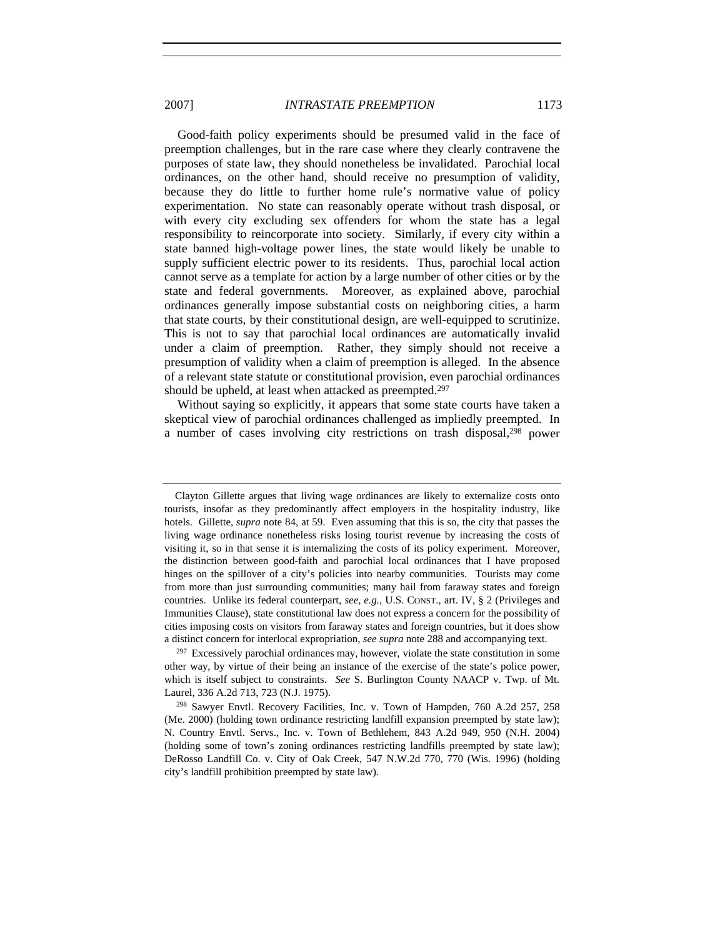Good-faith policy experiments should be presumed valid in the face of preemption challenges, but in the rare case where they clearly contravene the purposes of state law, they should nonetheless be invalidated. Parochial local ordinances, on the other hand, should receive no presumption of validity, because they do little to further home rule's normative value of policy experimentation. No state can reasonably operate without trash disposal, or with every city excluding sex offenders for whom the state has a legal responsibility to reincorporate into society. Similarly, if every city within a state banned high-voltage power lines, the state would likely be unable to supply sufficient electric power to its residents. Thus, parochial local action cannot serve as a template for action by a large number of other cities or by the state and federal governments. Moreover, as explained above, parochial ordinances generally impose substantial costs on neighboring cities, a harm that state courts, by their constitutional design, are well-equipped to scrutinize. This is not to say that parochial local ordinances are automatically invalid under a claim of preemption. Rather, they simply should not receive a presumption of validity when a claim of preemption is alleged. In the absence of a relevant state statute or constitutional provision, even parochial ordinances should be upheld, at least when attacked as preempted.<sup>297</sup>

Without saying so explicitly, it appears that some state courts have taken a skeptical view of parochial ordinances challenged as impliedly preempted. In a number of cases involving city restrictions on trash disposal,<sup>298</sup> power

Clayton Gillette argues that living wage ordinances are likely to externalize costs onto tourists, insofar as they predominantly affect employers in the hospitality industry, like hotels. Gillette, *supra* note 84, at 59. Even assuming that this is so, the city that passes the living wage ordinance nonetheless risks losing tourist revenue by increasing the costs of visiting it, so in that sense it is internalizing the costs of its policy experiment. Moreover, the distinction between good-faith and parochial local ordinances that I have proposed hinges on the spillover of a city's policies into nearby communities. Tourists may come from more than just surrounding communities; many hail from faraway states and foreign countries. Unlike its federal counterpart, *see, e.g.*, U.S. CONST., art. IV, § 2 (Privileges and Immunities Clause), state constitutional law does not express a concern for the possibility of cities imposing costs on visitors from faraway states and foreign countries, but it does show a distinct concern for interlocal expropriation, *see supra* note 288 and accompanying text.

 $297$  Excessively parochial ordinances may, however, violate the state constitution in some other way, by virtue of their being an instance of the exercise of the state's police power, which is itself subject to constraints. *See* S. Burlington County NAACP v. Twp. of Mt. Laurel, 336 A.2d 713, 723 (N.J. 1975).

<sup>298</sup> Sawyer Envtl. Recovery Facilities, Inc. v. Town of Hampden, 760 A.2d 257, 258 (Me. 2000) (holding town ordinance restricting landfill expansion preempted by state law); N. Country Envtl. Servs., Inc. v. Town of Bethlehem, 843 A.2d 949, 950 (N.H. 2004) (holding some of town's zoning ordinances restricting landfills preempted by state law); DeRosso Landfill Co. v. City of Oak Creek, 547 N.W.2d 770, 770 (Wis. 1996) (holding city's landfill prohibition preempted by state law).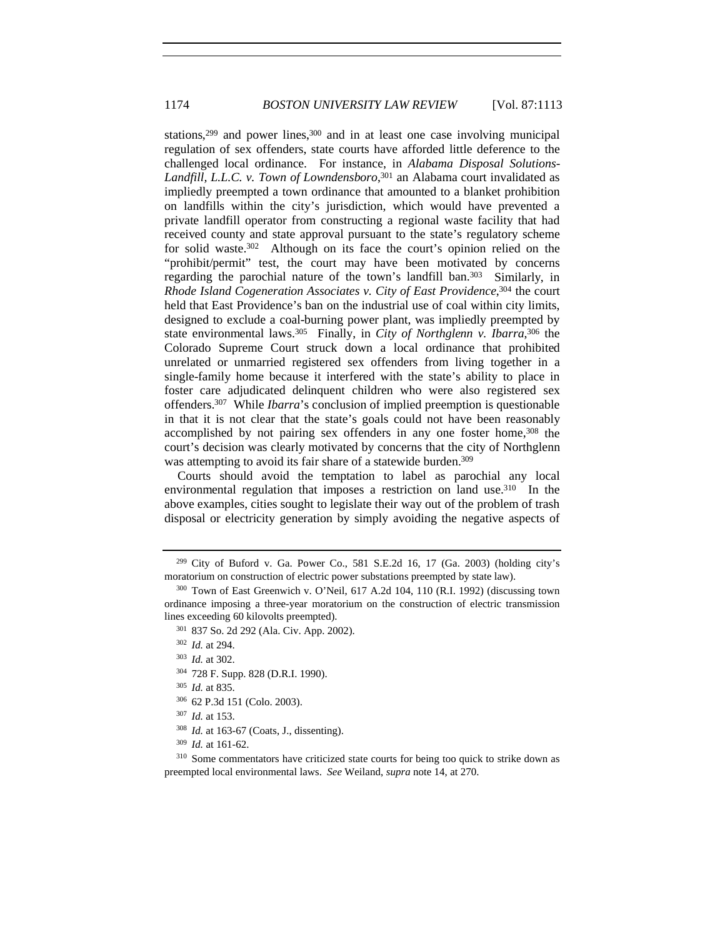stations,<sup>299</sup> and power lines,<sup>300</sup> and in at least one case involving municipal regulation of sex offenders, state courts have afforded little deference to the challenged local ordinance. For instance, in *Alabama Disposal Solutions-Landfill, L.L.C. v. Town of Lowndensboro*, 301 an Alabama court invalidated as impliedly preempted a town ordinance that amounted to a blanket prohibition on landfills within the city's jurisdiction, which would have prevented a private landfill operator from constructing a regional waste facility that had received county and state approval pursuant to the state's regulatory scheme for solid waste.302 Although on its face the court's opinion relied on the "prohibit/permit" test, the court may have been motivated by concerns regarding the parochial nature of the town's landfill ban.303 Similarly, in *Rhode Island Cogeneration Associates v. City of East Providence*, 304 the court held that East Providence's ban on the industrial use of coal within city limits, designed to exclude a coal-burning power plant, was impliedly preempted by state environmental laws.<sup>305</sup> Finally, in *City of Northglenn v. Ibarra*,<sup>306</sup> the Colorado Supreme Court struck down a local ordinance that prohibited unrelated or unmarried registered sex offenders from living together in a single-family home because it interfered with the state's ability to place in foster care adjudicated delinquent children who were also registered sex offenders.307 While *Ibarra*'s conclusion of implied preemption is questionable in that it is not clear that the state's goals could not have been reasonably accomplished by not pairing sex offenders in any one foster home,<sup>308</sup> the court's decision was clearly motivated by concerns that the city of Northglenn was attempting to avoid its fair share of a statewide burden.<sup>309</sup>

Courts should avoid the temptation to label as parochial any local environmental regulation that imposes a restriction on land use.<sup>310</sup> In the above examples, cities sought to legislate their way out of the problem of trash disposal or electricity generation by simply avoiding the negative aspects of

- <sup>304</sup> 728 F. Supp. 828 (D.R.I. 1990).
- <sup>305</sup> *Id.* at 835.
- <sup>306</sup> 62 P.3d 151 (Colo. 2003).
- <sup>307</sup> *Id.* at 153.
- <sup>308</sup> *Id.* at 163-67 (Coats, J., dissenting).
- <sup>309</sup> *Id.* at 161-62.

<sup>310</sup> Some commentators have criticized state courts for being too quick to strike down as preempted local environmental laws. *See* Weiland, *supra* note 14, at 270.

 $299$  City of Buford v. Ga. Power Co., 581 S.E.2d 16, 17 (Ga. 2003) (holding city's moratorium on construction of electric power substations preempted by state law).

<sup>300</sup> Town of East Greenwich v. O'Neil, 617 A.2d 104, 110 (R.I. 1992) (discussing town ordinance imposing a three-year moratorium on the construction of electric transmission lines exceeding 60 kilovolts preempted).

<sup>301</sup> 837 So. 2d 292 (Ala. Civ. App. 2002).

<sup>302</sup> *Id.* at 294.

<sup>303</sup> *Id.* at 302.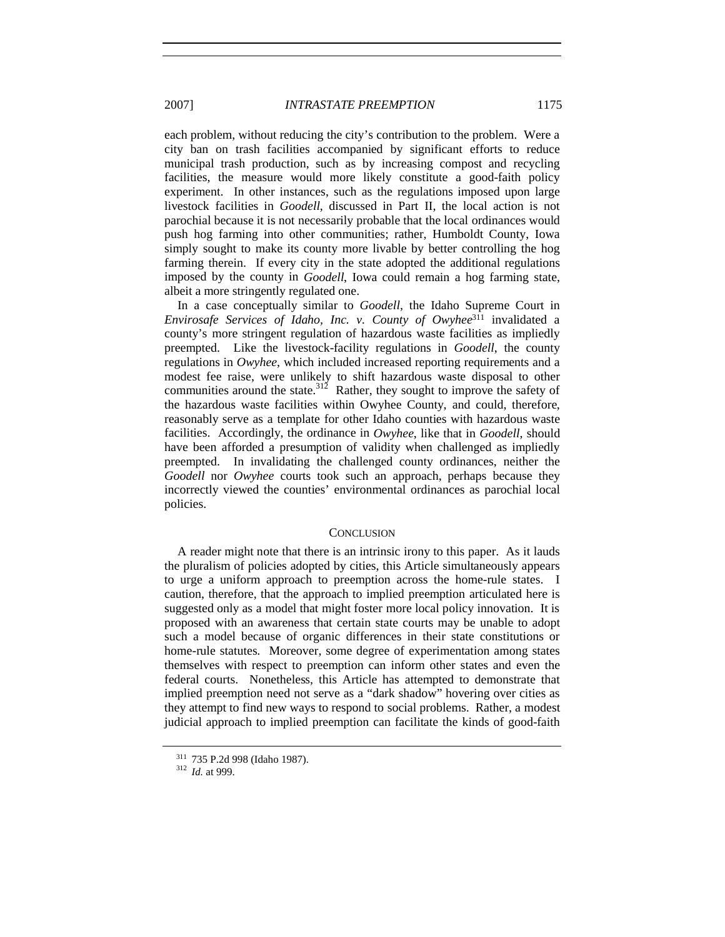each problem, without reducing the city's contribution to the problem. Were a city ban on trash facilities accompanied by significant efforts to reduce municipal trash production, such as by increasing compost and recycling facilities, the measure would more likely constitute a good-faith policy experiment. In other instances, such as the regulations imposed upon large livestock facilities in *Goodell*, discussed in Part II, the local action is not parochial because it is not necessarily probable that the local ordinances would push hog farming into other communities; rather, Humboldt County, Iowa simply sought to make its county more livable by better controlling the hog farming therein. If every city in the state adopted the additional regulations imposed by the county in *Goodell*, Iowa could remain a hog farming state, albeit a more stringently regulated one.

In a case conceptually similar to *Goodell*, the Idaho Supreme Court in *Envirosafe Services of Idaho, Inc. v. County of Owyhee*<sup>311</sup> invalidated a county's more stringent regulation of hazardous waste facilities as impliedly preempted. Like the livestock-facility regulations in *Goodell*, the county regulations in *Owyhee*, which included increased reporting requirements and a modest fee raise, were unlikely to shift hazardous waste disposal to other communities around the state.<sup>312</sup> Rather, they sought to improve the safety of the hazardous waste facilities within Owyhee County, and could, therefore, reasonably serve as a template for other Idaho counties with hazardous waste facilities. Accordingly, the ordinance in *Owyhee*, like that in *Goodell*, should have been afforded a presumption of validity when challenged as impliedly preempted. In invalidating the challenged county ordinances, neither the *Goodell* nor *Owyhee* courts took such an approach, perhaps because they incorrectly viewed the counties' environmental ordinances as parochial local policies.

#### **CONCLUSION**

A reader might note that there is an intrinsic irony to this paper. As it lauds the pluralism of policies adopted by cities, this Article simultaneously appears to urge a uniform approach to preemption across the home-rule states. I caution, therefore, that the approach to implied preemption articulated here is suggested only as a model that might foster more local policy innovation. It is proposed with an awareness that certain state courts may be unable to adopt such a model because of organic differences in their state constitutions or home-rule statutes. Moreover, some degree of experimentation among states themselves with respect to preemption can inform other states and even the federal courts. Nonetheless, this Article has attempted to demonstrate that implied preemption need not serve as a "dark shadow" hovering over cities as they attempt to find new ways to respond to social problems. Rather, a modest judicial approach to implied preemption can facilitate the kinds of good-faith

<sup>311</sup> 735 P.2d 998 (Idaho 1987). <sup>312</sup> *Id.* at 999.